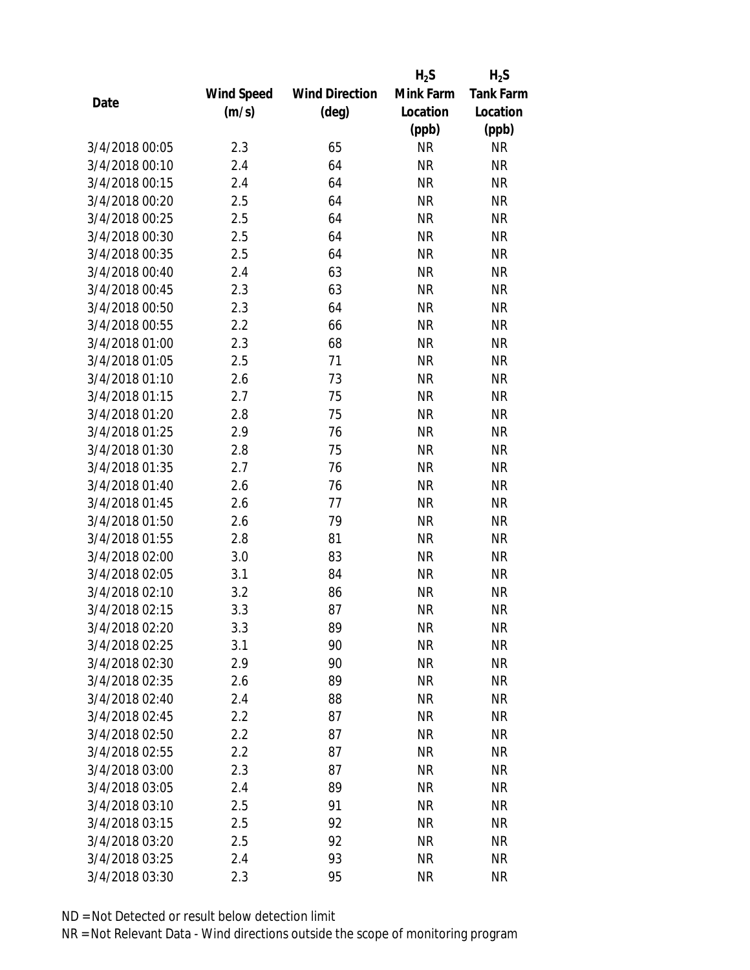|                |                   |                       | $H_2S$    | $H_2S$           |
|----------------|-------------------|-----------------------|-----------|------------------|
|                | <b>Wind Speed</b> | <b>Wind Direction</b> | Mink Farm | <b>Tank Farm</b> |
| Date           | (m/s)             | $(\text{deg})$        | Location  | Location         |
|                |                   |                       | (ppb)     | (ppb)            |
| 3/4/2018 00:05 | 2.3               | 65                    | <b>NR</b> | <b>NR</b>        |
| 3/4/2018 00:10 | 2.4               | 64                    | <b>NR</b> | <b>NR</b>        |
| 3/4/2018 00:15 | 2.4               | 64                    | <b>NR</b> | <b>NR</b>        |
| 3/4/2018 00:20 | 2.5               | 64                    | <b>NR</b> | <b>NR</b>        |
| 3/4/2018 00:25 | 2.5               | 64                    | <b>NR</b> | <b>NR</b>        |
| 3/4/2018 00:30 | 2.5               | 64                    | <b>NR</b> | <b>NR</b>        |
| 3/4/2018 00:35 | 2.5               | 64                    | <b>NR</b> | <b>NR</b>        |
| 3/4/2018 00:40 | 2.4               | 63                    | <b>NR</b> | <b>NR</b>        |
| 3/4/2018 00:45 | 2.3               | 63                    | <b>NR</b> | <b>NR</b>        |
| 3/4/2018 00:50 | 2.3               | 64                    | <b>NR</b> | <b>NR</b>        |
| 3/4/2018 00:55 | 2.2               | 66                    | <b>NR</b> | <b>NR</b>        |
| 3/4/2018 01:00 | 2.3               | 68                    | <b>NR</b> | <b>NR</b>        |
| 3/4/2018 01:05 | 2.5               | 71                    | <b>NR</b> | <b>NR</b>        |
| 3/4/2018 01:10 | 2.6               | 73                    | <b>NR</b> | <b>NR</b>        |
| 3/4/2018 01:15 | 2.7               | 75                    | <b>NR</b> | <b>NR</b>        |
| 3/4/2018 01:20 | 2.8               | 75                    | <b>NR</b> | <b>NR</b>        |
| 3/4/2018 01:25 | 2.9               | 76                    | <b>NR</b> | <b>NR</b>        |
| 3/4/2018 01:30 | 2.8               | 75                    | <b>NR</b> | <b>NR</b>        |
| 3/4/2018 01:35 | 2.7               | 76                    | <b>NR</b> | <b>NR</b>        |
| 3/4/2018 01:40 | 2.6               | 76                    | <b>NR</b> | <b>NR</b>        |
| 3/4/2018 01:45 | 2.6               | 77                    | <b>NR</b> | <b>NR</b>        |
| 3/4/2018 01:50 | 2.6               | 79                    | <b>NR</b> | <b>NR</b>        |
| 3/4/2018 01:55 | 2.8               | 81                    | <b>NR</b> | <b>NR</b>        |
| 3/4/2018 02:00 | 3.0               | 83                    | <b>NR</b> | <b>NR</b>        |
| 3/4/2018 02:05 | 3.1               | 84                    | <b>NR</b> | <b>NR</b>        |
| 3/4/2018 02:10 | 3.2               | 86                    | <b>NR</b> | <b>NR</b>        |
| 3/4/2018 02:15 | 3.3               | 87                    | <b>NR</b> | <b>NR</b>        |
| 3/4/2018 02:20 | 3.3               | 89                    | ΝR        | <b>NR</b>        |
| 3/4/2018 02:25 | 3.1               | 90                    | <b>NR</b> | <b>NR</b>        |
| 3/4/2018 02:30 | 2.9               | 90                    | <b>NR</b> | <b>NR</b>        |
| 3/4/2018 02:35 | 2.6               | 89                    | <b>NR</b> | <b>NR</b>        |
| 3/4/2018 02:40 | 2.4               | 88                    | <b>NR</b> | <b>NR</b>        |
| 3/4/2018 02:45 | 2.2               | 87                    | <b>NR</b> | <b>NR</b>        |
| 3/4/2018 02:50 | 2.2               | 87                    | <b>NR</b> | <b>NR</b>        |
| 3/4/2018 02:55 | 2.2               | 87                    | <b>NR</b> | <b>NR</b>        |
| 3/4/2018 03:00 | 2.3               | 87                    | <b>NR</b> | <b>NR</b>        |
| 3/4/2018 03:05 | 2.4               | 89                    | <b>NR</b> | <b>NR</b>        |
| 3/4/2018 03:10 | 2.5               | 91                    | <b>NR</b> | <b>NR</b>        |
| 3/4/2018 03:15 | 2.5               | 92                    | <b>NR</b> | <b>NR</b>        |
| 3/4/2018 03:20 | 2.5               | 92                    | NR        | <b>NR</b>        |
| 3/4/2018 03:25 | 2.4               | 93                    | <b>NR</b> | <b>NR</b>        |
| 3/4/2018 03:30 | 2.3               | 95                    | <b>NR</b> | <b>NR</b>        |
|                |                   |                       |           |                  |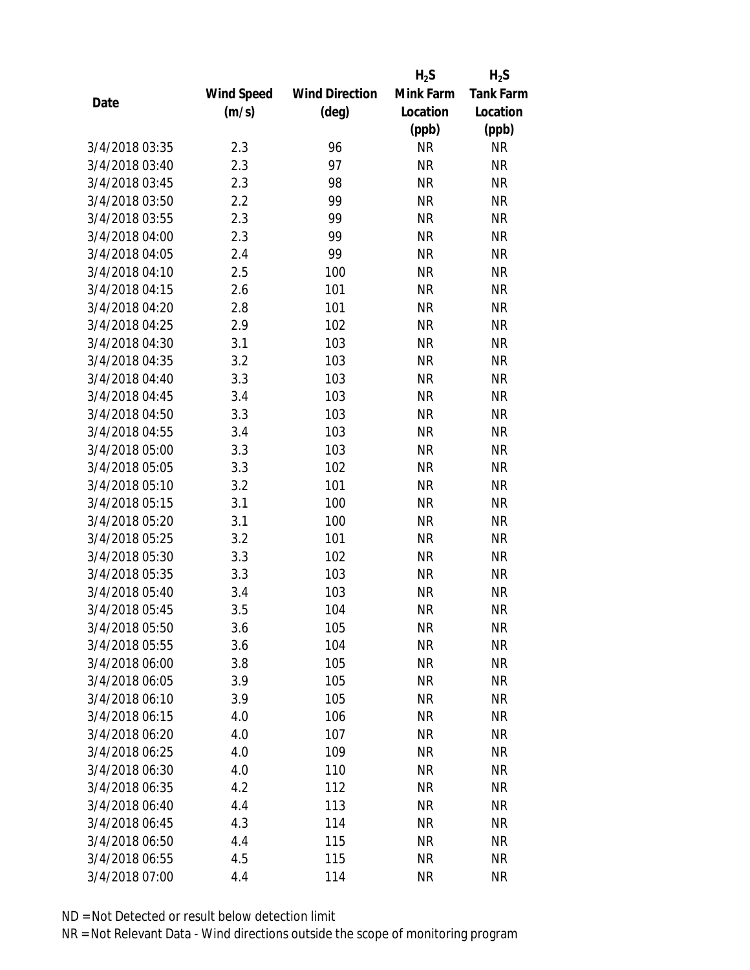|                |            |                       | $H_2S$    | $H_2S$           |
|----------------|------------|-----------------------|-----------|------------------|
|                | Wind Speed | <b>Wind Direction</b> | Mink Farm | <b>Tank Farm</b> |
| Date           | (m/s)      | $(\text{deg})$        | Location  | Location         |
|                |            |                       | (ppb)     | (ppb)            |
| 3/4/2018 03:35 | 2.3        | 96                    | <b>NR</b> | <b>NR</b>        |
| 3/4/2018 03:40 | 2.3        | 97                    | <b>NR</b> | <b>NR</b>        |
| 3/4/2018 03:45 | 2.3        | 98                    | <b>NR</b> | <b>NR</b>        |
| 3/4/2018 03:50 | 2.2        | 99                    | <b>NR</b> | <b>NR</b>        |
| 3/4/2018 03:55 | 2.3        | 99                    | <b>NR</b> | <b>NR</b>        |
| 3/4/2018 04:00 | 2.3        | 99                    | <b>NR</b> | <b>NR</b>        |
| 3/4/2018 04:05 | 2.4        | 99                    | <b>NR</b> | <b>NR</b>        |
| 3/4/2018 04:10 | 2.5        | 100                   | <b>NR</b> | <b>NR</b>        |
| 3/4/2018 04:15 | 2.6        | 101                   | <b>NR</b> | <b>NR</b>        |
| 3/4/2018 04:20 | 2.8        | 101                   | <b>NR</b> | <b>NR</b>        |
| 3/4/2018 04:25 | 2.9        | 102                   | <b>NR</b> | <b>NR</b>        |
| 3/4/2018 04:30 | 3.1        | 103                   | <b>NR</b> | <b>NR</b>        |
| 3/4/2018 04:35 | 3.2        | 103                   | <b>NR</b> | <b>NR</b>        |
| 3/4/2018 04:40 | 3.3        | 103                   | <b>NR</b> | <b>NR</b>        |
| 3/4/2018 04:45 | 3.4        | 103                   | <b>NR</b> | <b>NR</b>        |
| 3/4/2018 04:50 | 3.3        | 103                   | <b>NR</b> | <b>NR</b>        |
| 3/4/2018 04:55 | 3.4        | 103                   | <b>NR</b> | <b>NR</b>        |
| 3/4/2018 05:00 | 3.3        | 103                   | <b>NR</b> | <b>NR</b>        |
| 3/4/2018 05:05 | 3.3        | 102                   | <b>NR</b> | <b>NR</b>        |
| 3/4/2018 05:10 | 3.2        | 101                   | <b>NR</b> | <b>NR</b>        |
| 3/4/2018 05:15 | 3.1        | 100                   | <b>NR</b> | <b>NR</b>        |
| 3/4/2018 05:20 | 3.1        | 100                   | <b>NR</b> | <b>NR</b>        |
| 3/4/2018 05:25 | 3.2        | 101                   | <b>NR</b> | <b>NR</b>        |
| 3/4/2018 05:30 | 3.3        | 102                   | <b>NR</b> | <b>NR</b>        |
| 3/4/2018 05:35 | 3.3        | 103                   | <b>NR</b> | <b>NR</b>        |
| 3/4/2018 05:40 | 3.4        | 103                   | <b>NR</b> | <b>NR</b>        |
| 3/4/2018 05:45 | 3.5        | 104                   | <b>NR</b> | <b>NR</b>        |
| 3/4/2018 05:50 | 3.6        | 105                   | ΝR        | <b>NR</b>        |
| 3/4/2018 05:55 | 3.6        | 104                   | <b>NR</b> | <b>NR</b>        |
| 3/4/2018 06:00 | 3.8        | 105                   | <b>NR</b> | <b>NR</b>        |
| 3/4/2018 06:05 | 3.9        | 105                   | <b>NR</b> | NR               |
| 3/4/2018 06:10 | 3.9        | 105                   | <b>NR</b> | NR               |
| 3/4/2018 06:15 | 4.0        | 106                   | <b>NR</b> | NR               |
| 3/4/2018 06:20 | 4.0        | 107                   | <b>NR</b> | <b>NR</b>        |
| 3/4/2018 06:25 | 4.0        | 109                   | <b>NR</b> | <b>NR</b>        |
| 3/4/2018 06:30 | 4.0        | 110                   | <b>NR</b> | <b>NR</b>        |
| 3/4/2018 06:35 | 4.2        | 112                   | <b>NR</b> | NR               |
| 3/4/2018 06:40 | 4.4        | 113                   | <b>NR</b> | NR               |
| 3/4/2018 06:45 | 4.3        | 114                   | <b>NR</b> | NR               |
| 3/4/2018 06:50 | 4.4        | 115                   | <b>NR</b> | NR               |
| 3/4/2018 06:55 | 4.5        | 115                   | <b>NR</b> | NR               |
| 3/4/2018 07:00 | 4.4        | 114                   | <b>NR</b> | <b>NR</b>        |
|                |            |                       |           |                  |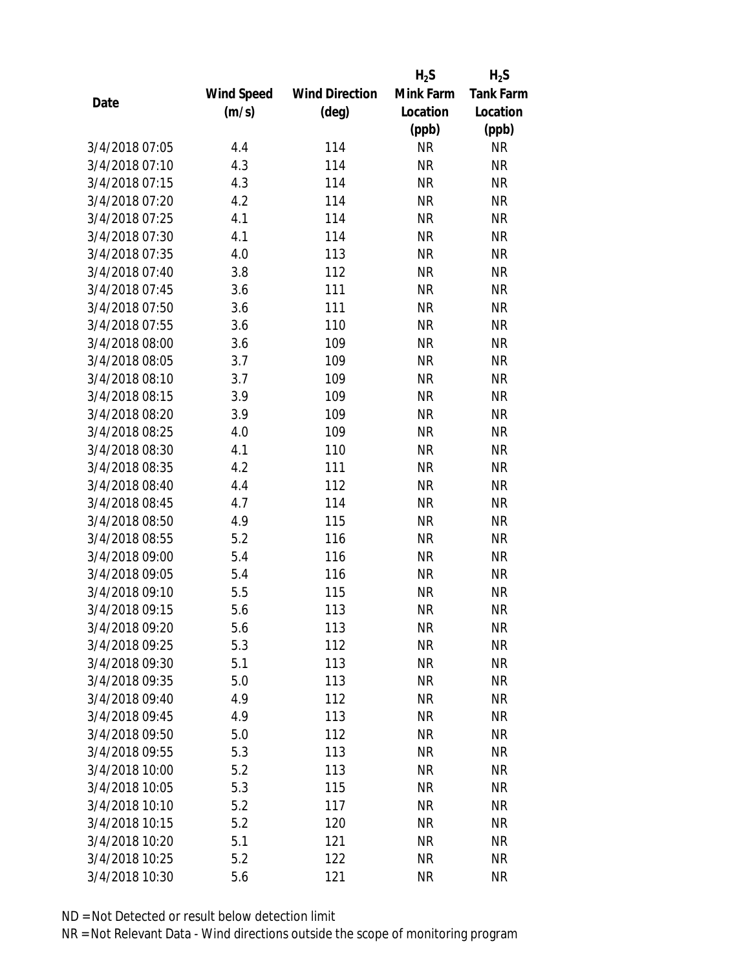|                |                   |                       | $H_2S$    | $H_2S$           |
|----------------|-------------------|-----------------------|-----------|------------------|
|                | <b>Wind Speed</b> | <b>Wind Direction</b> | Mink Farm | <b>Tank Farm</b> |
| Date           | (m/s)             | $(\text{deg})$        | Location  | Location         |
|                |                   |                       | (ppb)     | (ppb)            |
| 3/4/2018 07:05 | 4.4               | 114                   | <b>NR</b> | <b>NR</b>        |
| 3/4/2018 07:10 | 4.3               | 114                   | <b>NR</b> | <b>NR</b>        |
| 3/4/2018 07:15 | 4.3               | 114                   | <b>NR</b> | <b>NR</b>        |
| 3/4/2018 07:20 | 4.2               | 114                   | <b>NR</b> | <b>NR</b>        |
| 3/4/2018 07:25 | 4.1               | 114                   | <b>NR</b> | <b>NR</b>        |
| 3/4/2018 07:30 | 4.1               | 114                   | <b>NR</b> | <b>NR</b>        |
| 3/4/2018 07:35 | 4.0               | 113                   | <b>NR</b> | <b>NR</b>        |
| 3/4/2018 07:40 | 3.8               | 112                   | <b>NR</b> | <b>NR</b>        |
| 3/4/2018 07:45 | 3.6               | 111                   | <b>NR</b> | <b>NR</b>        |
| 3/4/2018 07:50 | 3.6               | 111                   | <b>NR</b> | <b>NR</b>        |
| 3/4/2018 07:55 | 3.6               | 110                   | <b>NR</b> | <b>NR</b>        |
| 3/4/2018 08:00 | 3.6               | 109                   | <b>NR</b> | <b>NR</b>        |
| 3/4/2018 08:05 | 3.7               | 109                   | <b>NR</b> | <b>NR</b>        |
| 3/4/2018 08:10 | 3.7               | 109                   | <b>NR</b> | <b>NR</b>        |
| 3/4/2018 08:15 | 3.9               | 109                   | <b>NR</b> | <b>NR</b>        |
| 3/4/2018 08:20 | 3.9               | 109                   | <b>NR</b> | <b>NR</b>        |
| 3/4/2018 08:25 | 4.0               | 109                   | <b>NR</b> | <b>NR</b>        |
| 3/4/2018 08:30 | 4.1               | 110                   | <b>NR</b> | <b>NR</b>        |
| 3/4/2018 08:35 | 4.2               | 111                   | <b>NR</b> | <b>NR</b>        |
| 3/4/2018 08:40 | 4.4               | 112                   | <b>NR</b> | <b>NR</b>        |
| 3/4/2018 08:45 | 4.7               | 114                   | <b>NR</b> | <b>NR</b>        |
| 3/4/2018 08:50 | 4.9               | 115                   | <b>NR</b> | <b>NR</b>        |
| 3/4/2018 08:55 | 5.2               | 116                   | <b>NR</b> | <b>NR</b>        |
| 3/4/2018 09:00 | 5.4               | 116                   | <b>NR</b> | <b>NR</b>        |
| 3/4/2018 09:05 | 5.4               | 116                   | <b>NR</b> | <b>NR</b>        |
| 3/4/2018 09:10 | 5.5               | 115                   | <b>NR</b> | <b>NR</b>        |
| 3/4/2018 09:15 | 5.6               | 113                   | <b>NR</b> | <b>NR</b>        |
| 3/4/2018 09:20 | 5.6               | 113                   | ΝR        | <b>NR</b>        |
| 3/4/2018 09:25 | 5.3               | 112                   | <b>NR</b> | <b>NR</b>        |
| 3/4/2018 09:30 | 5.1               | 113                   | <b>NR</b> | <b>NR</b>        |
| 3/4/2018 09:35 | 5.0               | 113                   | <b>NR</b> | <b>NR</b>        |
| 3/4/2018 09:40 | 4.9               | 112                   | <b>NR</b> | <b>NR</b>        |
| 3/4/2018 09:45 | 4.9               | 113                   | <b>NR</b> | <b>NR</b>        |
| 3/4/2018 09:50 | 5.0               | 112                   | <b>NR</b> | <b>NR</b>        |
| 3/4/2018 09:55 | 5.3               | 113                   | <b>NR</b> | <b>NR</b>        |
| 3/4/2018 10:00 | 5.2               | 113                   | <b>NR</b> | <b>NR</b>        |
| 3/4/2018 10:05 | 5.3               | 115                   | <b>NR</b> | <b>NR</b>        |
| 3/4/2018 10:10 | 5.2               | 117                   | NR        | <b>NR</b>        |
| 3/4/2018 10:15 | 5.2               | 120                   | <b>NR</b> | <b>NR</b>        |
| 3/4/2018 10:20 | 5.1               | 121                   | NR        | <b>NR</b>        |
| 3/4/2018 10:25 | 5.2               | 122                   | <b>NR</b> | <b>NR</b>        |
| 3/4/2018 10:30 | 5.6               | 121                   | <b>NR</b> | <b>NR</b>        |
|                |                   |                       |           |                  |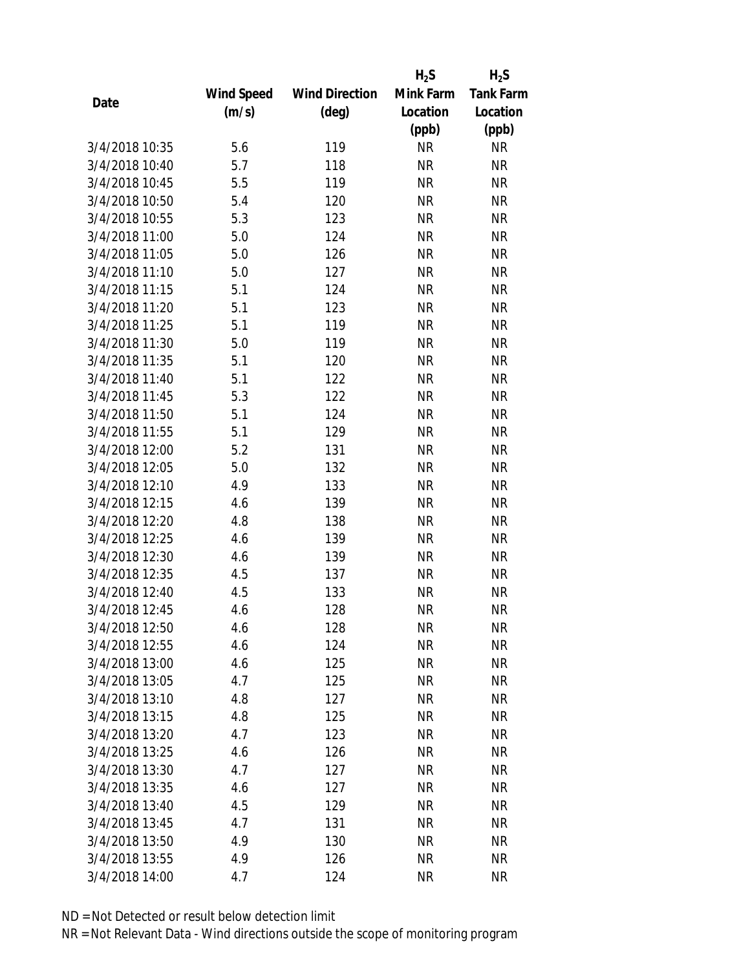|                |            |                       | $H_2S$    | $H_2S$           |
|----------------|------------|-----------------------|-----------|------------------|
|                | Wind Speed | <b>Wind Direction</b> | Mink Farm | <b>Tank Farm</b> |
| Date           | (m/s)      | $(\text{deg})$        | Location  | Location         |
|                |            |                       | (ppb)     | (ppb)            |
| 3/4/2018 10:35 | 5.6        | 119                   | <b>NR</b> | <b>NR</b>        |
| 3/4/2018 10:40 | 5.7        | 118                   | <b>NR</b> | <b>NR</b>        |
| 3/4/2018 10:45 | 5.5        | 119                   | <b>NR</b> | <b>NR</b>        |
| 3/4/2018 10:50 | 5.4        | 120                   | <b>NR</b> | <b>NR</b>        |
| 3/4/2018 10:55 | 5.3        | 123                   | <b>NR</b> | <b>NR</b>        |
| 3/4/2018 11:00 | 5.0        | 124                   | <b>NR</b> | <b>NR</b>        |
| 3/4/2018 11:05 | 5.0        | 126                   | <b>NR</b> | <b>NR</b>        |
| 3/4/2018 11:10 | 5.0        | 127                   | <b>NR</b> | <b>NR</b>        |
| 3/4/2018 11:15 | 5.1        | 124                   | <b>NR</b> | <b>NR</b>        |
| 3/4/2018 11:20 | 5.1        | 123                   | <b>NR</b> | <b>NR</b>        |
| 3/4/2018 11:25 | 5.1        | 119                   | <b>NR</b> | <b>NR</b>        |
| 3/4/2018 11:30 | 5.0        | 119                   | <b>NR</b> | <b>NR</b>        |
| 3/4/2018 11:35 | 5.1        | 120                   | <b>NR</b> | <b>NR</b>        |
| 3/4/2018 11:40 | 5.1        | 122                   | <b>NR</b> | <b>NR</b>        |
| 3/4/2018 11:45 | 5.3        | 122                   | <b>NR</b> | <b>NR</b>        |
| 3/4/2018 11:50 | 5.1        | 124                   | <b>NR</b> | <b>NR</b>        |
| 3/4/2018 11:55 | 5.1        | 129                   | <b>NR</b> | <b>NR</b>        |
| 3/4/2018 12:00 | 5.2        | 131                   | <b>NR</b> | <b>NR</b>        |
| 3/4/2018 12:05 | 5.0        | 132                   | <b>NR</b> | <b>NR</b>        |
| 3/4/2018 12:10 | 4.9        | 133                   | <b>NR</b> | <b>NR</b>        |
| 3/4/2018 12:15 | 4.6        | 139                   | <b>NR</b> | <b>NR</b>        |
| 3/4/2018 12:20 | 4.8        | 138                   | <b>NR</b> | <b>NR</b>        |
| 3/4/2018 12:25 | 4.6        | 139                   | <b>NR</b> | <b>NR</b>        |
| 3/4/2018 12:30 | 4.6        | 139                   | <b>NR</b> | <b>NR</b>        |
| 3/4/2018 12:35 | 4.5        | 137                   | <b>NR</b> | <b>NR</b>        |
| 3/4/2018 12:40 | 4.5        | 133                   | <b>NR</b> | <b>NR</b>        |
| 3/4/2018 12:45 | 4.6        | 128                   | <b>NR</b> | <b>NR</b>        |
| 3/4/2018 12:50 | 4.6        | 128                   | ΝR        | <b>NR</b>        |
| 3/4/2018 12:55 | 4.6        | 124                   | <b>NR</b> | <b>NR</b>        |
| 3/4/2018 13:00 | 4.6        | 125                   | ΝR        | <b>NR</b>        |
| 3/4/2018 13:05 | 4.7        | 125                   | <b>NR</b> | <b>NR</b>        |
| 3/4/2018 13:10 | 4.8        | 127                   | <b>NR</b> | <b>NR</b>        |
| 3/4/2018 13:15 | 4.8        | 125                   | <b>NR</b> | <b>NR</b>        |
| 3/4/2018 13:20 | 4.7        | 123                   | <b>NR</b> | <b>NR</b>        |
| 3/4/2018 13:25 | 4.6        | 126                   | <b>NR</b> | <b>NR</b>        |
| 3/4/2018 13:30 | 4.7        | 127                   | <b>NR</b> | <b>NR</b>        |
| 3/4/2018 13:35 | 4.6        | 127                   | ΝR        | <b>NR</b>        |
| 3/4/2018 13:40 | 4.5        | 129                   | ΝR        | <b>NR</b>        |
| 3/4/2018 13:45 | 4.7        | 131                   | <b>NR</b> | <b>NR</b>        |
| 3/4/2018 13:50 | 4.9        | 130                   | ΝR        | <b>NR</b>        |
| 3/4/2018 13:55 | 4.9        | 126                   | <b>NR</b> | <b>NR</b>        |
| 3/4/2018 14:00 | 4.7        | 124                   | <b>NR</b> | <b>NR</b>        |
|                |            |                       |           |                  |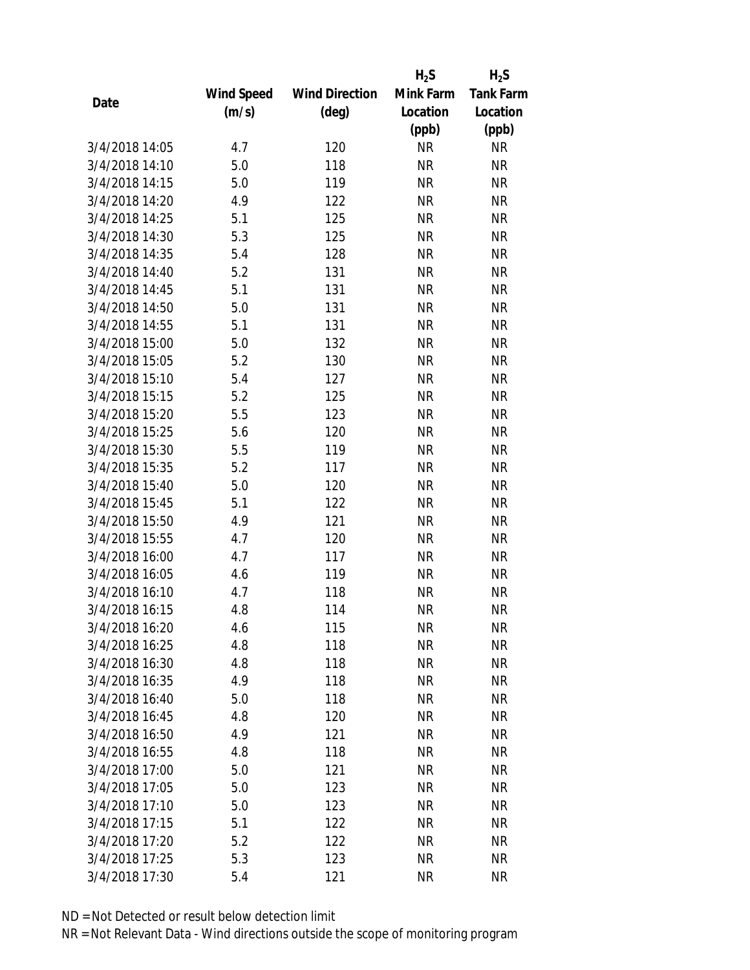|                |            |                       | $H_2S$    | $H_2S$           |
|----------------|------------|-----------------------|-----------|------------------|
|                | Wind Speed | <b>Wind Direction</b> | Mink Farm | <b>Tank Farm</b> |
| Date           | (m/s)      | $(\text{deg})$        | Location  | Location         |
|                |            |                       | (ppb)     | (ppb)            |
| 3/4/2018 14:05 | 4.7        | 120                   | <b>NR</b> | NR               |
| 3/4/2018 14:10 | 5.0        | 118                   | <b>NR</b> | <b>NR</b>        |
| 3/4/2018 14:15 | 5.0        | 119                   | <b>NR</b> | <b>NR</b>        |
| 3/4/2018 14:20 | 4.9        | 122                   | <b>NR</b> | <b>NR</b>        |
| 3/4/2018 14:25 | 5.1        | 125                   | <b>NR</b> | <b>NR</b>        |
| 3/4/2018 14:30 | 5.3        | 125                   | <b>NR</b> | <b>NR</b>        |
| 3/4/2018 14:35 | 5.4        | 128                   | <b>NR</b> | <b>NR</b>        |
| 3/4/2018 14:40 | 5.2        | 131                   | <b>NR</b> | <b>NR</b>        |
| 3/4/2018 14:45 | 5.1        | 131                   | <b>NR</b> | <b>NR</b>        |
| 3/4/2018 14:50 | 5.0        | 131                   | <b>NR</b> | <b>NR</b>        |
| 3/4/2018 14:55 | 5.1        | 131                   | <b>NR</b> | <b>NR</b>        |
| 3/4/2018 15:00 | 5.0        | 132                   | <b>NR</b> | <b>NR</b>        |
| 3/4/2018 15:05 | 5.2        | 130                   | <b>NR</b> | <b>NR</b>        |
| 3/4/2018 15:10 | 5.4        | 127                   | <b>NR</b> | <b>NR</b>        |
| 3/4/2018 15:15 | 5.2        | 125                   | <b>NR</b> | <b>NR</b>        |
| 3/4/2018 15:20 | 5.5        | 123                   | <b>NR</b> | <b>NR</b>        |
| 3/4/2018 15:25 | 5.6        | 120                   | <b>NR</b> | <b>NR</b>        |
| 3/4/2018 15:30 | 5.5        | 119                   | <b>NR</b> | <b>NR</b>        |
| 3/4/2018 15:35 | 5.2        | 117                   | <b>NR</b> | <b>NR</b>        |
| 3/4/2018 15:40 | 5.0        | 120                   | <b>NR</b> | <b>NR</b>        |
| 3/4/2018 15:45 | 5.1        | 122                   | <b>NR</b> | <b>NR</b>        |
| 3/4/2018 15:50 | 4.9        | 121                   | <b>NR</b> | <b>NR</b>        |
| 3/4/2018 15:55 | 4.7        | 120                   | <b>NR</b> | <b>NR</b>        |
| 3/4/2018 16:00 | 4.7        | 117                   | <b>NR</b> | <b>NR</b>        |
| 3/4/2018 16:05 | 4.6        | 119                   | <b>NR</b> | <b>NR</b>        |
| 3/4/2018 16:10 | 4.7        | 118                   | <b>NR</b> | <b>NR</b>        |
| 3/4/2018 16:15 | 4.8        | 114                   | <b>NR</b> | <b>NR</b>        |
| 3/4/2018 16:20 | 4.6        | 115                   | NR        | <b>NR</b>        |
| 3/4/2018 16:25 | 4.8        | 118                   | <b>NR</b> | <b>NR</b>        |
| 3/4/2018 16:30 | 4.8        | 118                   | <b>NR</b> | <b>NR</b>        |
| 3/4/2018 16:35 | 4.9        | 118                   | <b>NR</b> | <b>NR</b>        |
| 3/4/2018 16:40 | 5.0        | 118                   | <b>NR</b> | <b>NR</b>        |
| 3/4/2018 16:45 | 4.8        | 120                   | NR        | <b>NR</b>        |
| 3/4/2018 16:50 | 4.9        | 121                   | <b>NR</b> | <b>NR</b>        |
| 3/4/2018 16:55 | 4.8        | 118                   | <b>NR</b> | <b>NR</b>        |
| 3/4/2018 17:00 | 5.0        | 121                   | <b>NR</b> | <b>NR</b>        |
| 3/4/2018 17:05 | 5.0        | 123                   | NR        | <b>NR</b>        |
| 3/4/2018 17:10 | 5.0        | 123                   | NR        | <b>NR</b>        |
| 3/4/2018 17:15 | 5.1        | 122                   | <b>NR</b> | <b>NR</b>        |
| 3/4/2018 17:20 | 5.2        | 122                   | NR        | <b>NR</b>        |
| 3/4/2018 17:25 | 5.3        | 123                   | <b>NR</b> | <b>NR</b>        |
| 3/4/2018 17:30 | 5.4        | 121                   | ΝR        | <b>NR</b>        |
|                |            |                       |           |                  |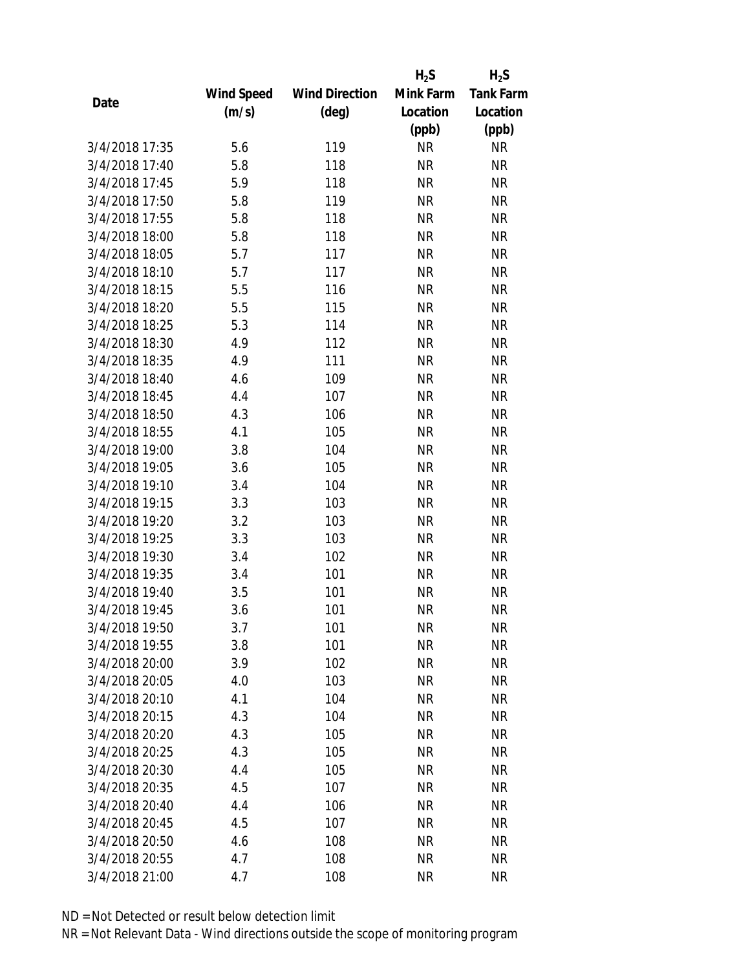|                |            |                       | $H_2S$    | $H_2S$           |
|----------------|------------|-----------------------|-----------|------------------|
|                | Wind Speed | <b>Wind Direction</b> | Mink Farm | <b>Tank Farm</b> |
| Date           | (m/s)      | $(\text{deg})$        | Location  | Location         |
|                |            |                       | (ppb)     | (ppb)            |
| 3/4/2018 17:35 | 5.6        | 119                   | <b>NR</b> | <b>NR</b>        |
| 3/4/2018 17:40 | 5.8        | 118                   | <b>NR</b> | <b>NR</b>        |
| 3/4/2018 17:45 | 5.9        | 118                   | <b>NR</b> | <b>NR</b>        |
| 3/4/2018 17:50 | 5.8        | 119                   | <b>NR</b> | <b>NR</b>        |
| 3/4/2018 17:55 | 5.8        | 118                   | <b>NR</b> | <b>NR</b>        |
| 3/4/2018 18:00 | 5.8        | 118                   | <b>NR</b> | <b>NR</b>        |
| 3/4/2018 18:05 | 5.7        | 117                   | <b>NR</b> | <b>NR</b>        |
| 3/4/2018 18:10 | 5.7        | 117                   | <b>NR</b> | <b>NR</b>        |
| 3/4/2018 18:15 | 5.5        | 116                   | <b>NR</b> | <b>NR</b>        |
| 3/4/2018 18:20 | 5.5        | 115                   | <b>NR</b> | <b>NR</b>        |
| 3/4/2018 18:25 | 5.3        | 114                   | <b>NR</b> | <b>NR</b>        |
| 3/4/2018 18:30 | 4.9        | 112                   | <b>NR</b> | <b>NR</b>        |
| 3/4/2018 18:35 | 4.9        | 111                   | <b>NR</b> | <b>NR</b>        |
| 3/4/2018 18:40 | 4.6        | 109                   | <b>NR</b> | <b>NR</b>        |
| 3/4/2018 18:45 | 4.4        | 107                   | <b>NR</b> | <b>NR</b>        |
| 3/4/2018 18:50 | 4.3        | 106                   | <b>NR</b> | <b>NR</b>        |
| 3/4/2018 18:55 | 4.1        | 105                   | <b>NR</b> | <b>NR</b>        |
| 3/4/2018 19:00 | 3.8        | 104                   | <b>NR</b> | <b>NR</b>        |
| 3/4/2018 19:05 | 3.6        | 105                   | <b>NR</b> | <b>NR</b>        |
| 3/4/2018 19:10 | 3.4        | 104                   | <b>NR</b> | <b>NR</b>        |
| 3/4/2018 19:15 | 3.3        | 103                   | <b>NR</b> | <b>NR</b>        |
| 3/4/2018 19:20 | 3.2        | 103                   | <b>NR</b> | <b>NR</b>        |
| 3/4/2018 19:25 | 3.3        | 103                   | <b>NR</b> | <b>NR</b>        |
| 3/4/2018 19:30 | 3.4        | 102                   | <b>NR</b> | <b>NR</b>        |
| 3/4/2018 19:35 | 3.4        | 101                   | <b>NR</b> | <b>NR</b>        |
| 3/4/2018 19:40 | 3.5        | 101                   | <b>NR</b> | <b>NR</b>        |
| 3/4/2018 19:45 | 3.6        | 101                   | <b>NR</b> | <b>NR</b>        |
| 3/4/2018 19:50 | 3.7        | 101                   | ΝR        | <b>NR</b>        |
| 3/4/2018 19:55 | 3.8        | 101                   | <b>NR</b> | <b>NR</b>        |
| 3/4/2018 20:00 | 3.9        | 102                   | ΝR        | <b>NR</b>        |
| 3/4/2018 20:05 | 4.0        | 103                   | <b>NR</b> | <b>NR</b>        |
| 3/4/2018 20:10 | 4.1        | 104                   | <b>NR</b> | <b>NR</b>        |
| 3/4/2018 20:15 | 4.3        | 104                   | <b>NR</b> | <b>NR</b>        |
| 3/4/2018 20:20 | 4.3        | 105                   | <b>NR</b> | <b>NR</b>        |
| 3/4/2018 20:25 | 4.3        | 105                   | <b>NR</b> | <b>NR</b>        |
| 3/4/2018 20:30 | 4.4        | 105                   | <b>NR</b> | <b>NR</b>        |
| 3/4/2018 20:35 | 4.5        | 107                   | ΝR        | <b>NR</b>        |
| 3/4/2018 20:40 | 4.4        | 106                   | ΝR        | <b>NR</b>        |
| 3/4/2018 20:45 | 4.5        | 107                   | <b>NR</b> | <b>NR</b>        |
| 3/4/2018 20:50 | 4.6        | 108                   | ΝR        | <b>NR</b>        |
| 3/4/2018 20:55 | 4.7        | 108                   | <b>NR</b> | <b>NR</b>        |
| 3/4/2018 21:00 | 4.7        | 108                   | <b>NR</b> | <b>NR</b>        |
|                |            |                       |           |                  |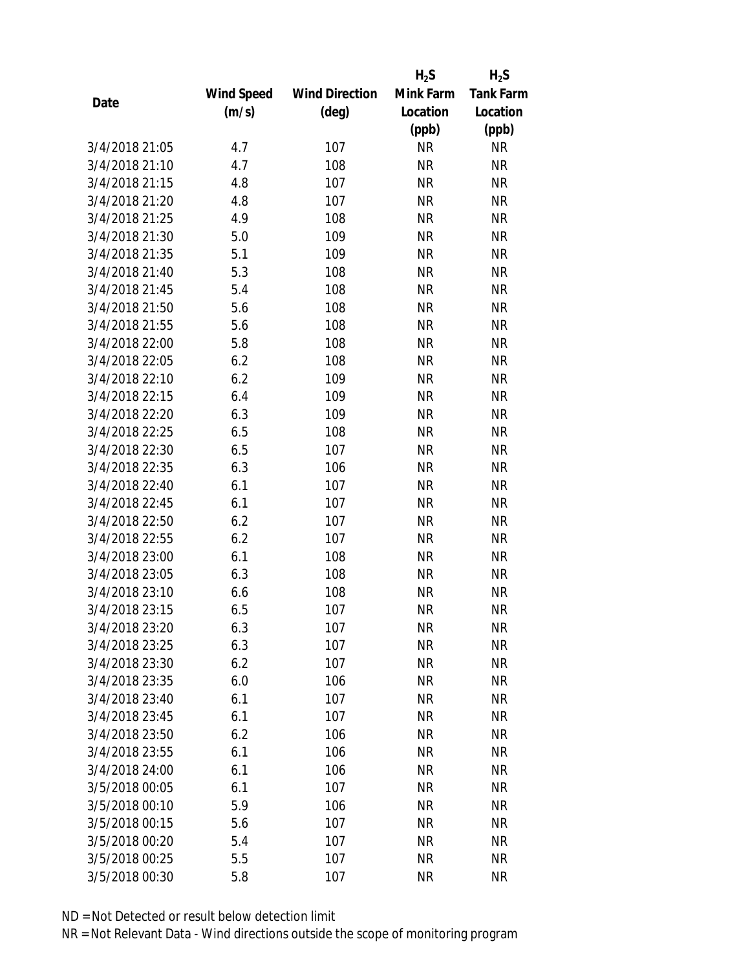|                |            |                       | $H_2S$    | $H_2S$           |
|----------------|------------|-----------------------|-----------|------------------|
|                | Wind Speed | <b>Wind Direction</b> | Mink Farm | <b>Tank Farm</b> |
| Date           | (m/s)      | $(\text{deg})$        | Location  | Location         |
|                |            |                       | (ppb)     | (ppb)            |
| 3/4/2018 21:05 | 4.7        | 107                   | <b>NR</b> | <b>NR</b>        |
| 3/4/2018 21:10 | 4.7        | 108                   | <b>NR</b> | <b>NR</b>        |
| 3/4/2018 21:15 | 4.8        | 107                   | <b>NR</b> | <b>NR</b>        |
| 3/4/2018 21:20 | 4.8        | 107                   | <b>NR</b> | <b>NR</b>        |
| 3/4/2018 21:25 | 4.9        | 108                   | <b>NR</b> | <b>NR</b>        |
| 3/4/2018 21:30 | 5.0        | 109                   | <b>NR</b> | <b>NR</b>        |
| 3/4/2018 21:35 | 5.1        | 109                   | <b>NR</b> | <b>NR</b>        |
| 3/4/2018 21:40 | 5.3        | 108                   | <b>NR</b> | <b>NR</b>        |
| 3/4/2018 21:45 | 5.4        | 108                   | <b>NR</b> | <b>NR</b>        |
| 3/4/2018 21:50 | 5.6        | 108                   | <b>NR</b> | <b>NR</b>        |
| 3/4/2018 21:55 | 5.6        | 108                   | <b>NR</b> | <b>NR</b>        |
| 3/4/2018 22:00 | 5.8        | 108                   | <b>NR</b> | <b>NR</b>        |
| 3/4/2018 22:05 | 6.2        | 108                   | <b>NR</b> | <b>NR</b>        |
| 3/4/2018 22:10 | 6.2        | 109                   | <b>NR</b> | <b>NR</b>        |
| 3/4/2018 22:15 | 6.4        | 109                   | <b>NR</b> | <b>NR</b>        |
| 3/4/2018 22:20 | 6.3        | 109                   | <b>NR</b> | <b>NR</b>        |
| 3/4/2018 22:25 | 6.5        | 108                   | <b>NR</b> | <b>NR</b>        |
| 3/4/2018 22:30 | 6.5        | 107                   | <b>NR</b> | <b>NR</b>        |
| 3/4/2018 22:35 | 6.3        | 106                   | <b>NR</b> | <b>NR</b>        |
| 3/4/2018 22:40 | 6.1        | 107                   | <b>NR</b> | <b>NR</b>        |
| 3/4/2018 22:45 | 6.1        | 107                   | <b>NR</b> | <b>NR</b>        |
| 3/4/2018 22:50 | 6.2        | 107                   | <b>NR</b> | <b>NR</b>        |
| 3/4/2018 22:55 | 6.2        | 107                   | <b>NR</b> | <b>NR</b>        |
| 3/4/2018 23:00 | 6.1        | 108                   | <b>NR</b> | <b>NR</b>        |
| 3/4/2018 23:05 | 6.3        | 108                   | <b>NR</b> | <b>NR</b>        |
| 3/4/2018 23:10 | 6.6        | 108                   | <b>NR</b> | <b>NR</b>        |
| 3/4/2018 23:15 | 6.5        | 107                   | <b>NR</b> | <b>NR</b>        |
| 3/4/2018 23:20 | 6.3        | 107                   | ΝR        | <b>NR</b>        |
| 3/4/2018 23:25 | 6.3        | 107                   | <b>NR</b> | <b>NR</b>        |
| 3/4/2018 23:30 | 6.2        | 107                   | ΝR        | <b>NR</b>        |
| 3/4/2018 23:35 | 6.0        | 106                   | <b>NR</b> | <b>NR</b>        |
| 3/4/2018 23:40 | 6.1        | 107                   | <b>NR</b> | <b>NR</b>        |
| 3/4/2018 23:45 | 6.1        | 107                   | <b>NR</b> | <b>NR</b>        |
| 3/4/2018 23:50 | 6.2        | 106                   | <b>NR</b> | <b>NR</b>        |
| 3/4/2018 23:55 | 6.1        | 106                   | <b>NR</b> | <b>NR</b>        |
| 3/4/2018 24:00 | 6.1        | 106                   | <b>NR</b> | <b>NR</b>        |
| 3/5/2018 00:05 | 6.1        | 107                   | ΝR        | <b>NR</b>        |
| 3/5/2018 00:10 | 5.9        | 106                   | ΝR        | <b>NR</b>        |
| 3/5/2018 00:15 | 5.6        | 107                   | <b>NR</b> | <b>NR</b>        |
| 3/5/2018 00:20 | 5.4        | 107                   | ΝR        | <b>NR</b>        |
| 3/5/2018 00:25 | 5.5        | 107                   | <b>NR</b> | <b>NR</b>        |
| 3/5/2018 00:30 | 5.8        | 107                   | <b>NR</b> | <b>NR</b>        |
|                |            |                       |           |                  |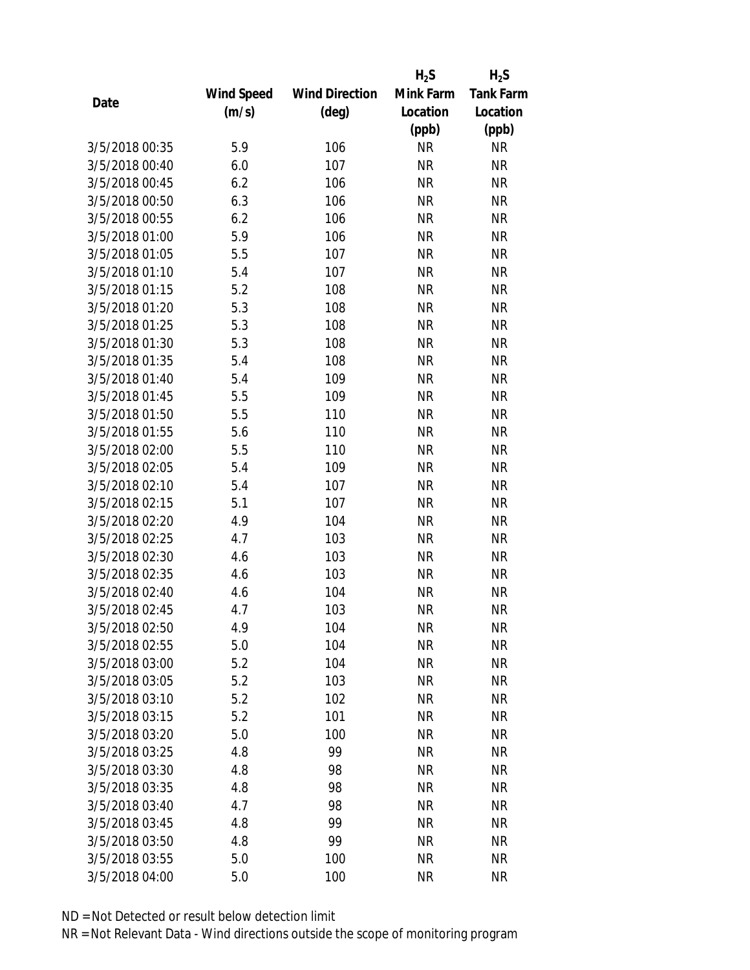|                |                   |                       | $H_2S$    | $H_2S$           |
|----------------|-------------------|-----------------------|-----------|------------------|
|                | <b>Wind Speed</b> | <b>Wind Direction</b> | Mink Farm | <b>Tank Farm</b> |
| Date           | (m/s)             | $(\text{deg})$        | Location  | Location         |
|                |                   |                       | (ppb)     | (ppb)            |
| 3/5/2018 00:35 | 5.9               | 106                   | <b>NR</b> | <b>NR</b>        |
| 3/5/2018 00:40 | 6.0               | 107                   | <b>NR</b> | <b>NR</b>        |
| 3/5/2018 00:45 | 6.2               | 106                   | <b>NR</b> | <b>NR</b>        |
| 3/5/2018 00:50 | 6.3               | 106                   | <b>NR</b> | <b>NR</b>        |
| 3/5/2018 00:55 | 6.2               | 106                   | <b>NR</b> | <b>NR</b>        |
| 3/5/2018 01:00 | 5.9               | 106                   | <b>NR</b> | <b>NR</b>        |
| 3/5/2018 01:05 | 5.5               | 107                   | <b>NR</b> | <b>NR</b>        |
| 3/5/2018 01:10 | 5.4               | 107                   | <b>NR</b> | <b>NR</b>        |
| 3/5/2018 01:15 | 5.2               | 108                   | <b>NR</b> | <b>NR</b>        |
| 3/5/2018 01:20 | 5.3               | 108                   | <b>NR</b> | <b>NR</b>        |
| 3/5/2018 01:25 | 5.3               | 108                   | <b>NR</b> | <b>NR</b>        |
| 3/5/2018 01:30 | 5.3               | 108                   | <b>NR</b> | <b>NR</b>        |
| 3/5/2018 01:35 | 5.4               | 108                   | <b>NR</b> | <b>NR</b>        |
| 3/5/2018 01:40 | 5.4               | 109                   | <b>NR</b> | <b>NR</b>        |
| 3/5/2018 01:45 | 5.5               | 109                   | <b>NR</b> | <b>NR</b>        |
| 3/5/2018 01:50 | 5.5               | 110                   | <b>NR</b> | <b>NR</b>        |
| 3/5/2018 01:55 | 5.6               | 110                   | <b>NR</b> | <b>NR</b>        |
| 3/5/2018 02:00 | 5.5               | 110                   | <b>NR</b> | <b>NR</b>        |
| 3/5/2018 02:05 | 5.4               | 109                   | <b>NR</b> | <b>NR</b>        |
| 3/5/2018 02:10 | 5.4               | 107                   | <b>NR</b> | <b>NR</b>        |
| 3/5/2018 02:15 | 5.1               | 107                   | <b>NR</b> | <b>NR</b>        |
| 3/5/2018 02:20 | 4.9               | 104                   | <b>NR</b> | <b>NR</b>        |
| 3/5/2018 02:25 | 4.7               | 103                   | <b>NR</b> | <b>NR</b>        |
| 3/5/2018 02:30 | 4.6               | 103                   | <b>NR</b> | <b>NR</b>        |
| 3/5/2018 02:35 | 4.6               | 103                   | <b>NR</b> | <b>NR</b>        |
| 3/5/2018 02:40 | 4.6               | 104                   | <b>NR</b> | <b>NR</b>        |
| 3/5/2018 02:45 | 4.7               | 103                   | <b>NR</b> | <b>NR</b>        |
| 3/5/2018 02:50 | 4.9               | 104                   | ΝR        | <b>NR</b>        |
| 3/5/2018 02:55 | 5.0               | 104                   | <b>NR</b> | <b>NR</b>        |
| 3/5/2018 03:00 | 5.2               | 104                   | <b>NR</b> | <b>NR</b>        |
| 3/5/2018 03:05 | 5.2               | 103                   | <b>NR</b> | <b>NR</b>        |
| 3/5/2018 03:10 | 5.2               | 102                   | <b>NR</b> | <b>NR</b>        |
| 3/5/2018 03:15 | 5.2               | 101                   | <b>NR</b> | <b>NR</b>        |
| 3/5/2018 03:20 | 5.0               | 100                   | <b>NR</b> | <b>NR</b>        |
| 3/5/2018 03:25 | 4.8               | 99                    | <b>NR</b> | <b>NR</b>        |
| 3/5/2018 03:30 | 4.8               | 98                    | <b>NR</b> | <b>NR</b>        |
| 3/5/2018 03:35 | 4.8               | 98                    | <b>NR</b> | <b>NR</b>        |
| 3/5/2018 03:40 | 4.7               | 98                    | ΝR        | <b>NR</b>        |
| 3/5/2018 03:45 | 4.8               | 99                    | <b>NR</b> | <b>NR</b>        |
| 3/5/2018 03:50 | 4.8               | 99                    | ΝR        | <b>NR</b>        |
| 3/5/2018 03:55 | 5.0               | 100                   | <b>NR</b> | <b>NR</b>        |
| 3/5/2018 04:00 | 5.0               | 100                   | <b>NR</b> | <b>NR</b>        |
|                |                   |                       |           |                  |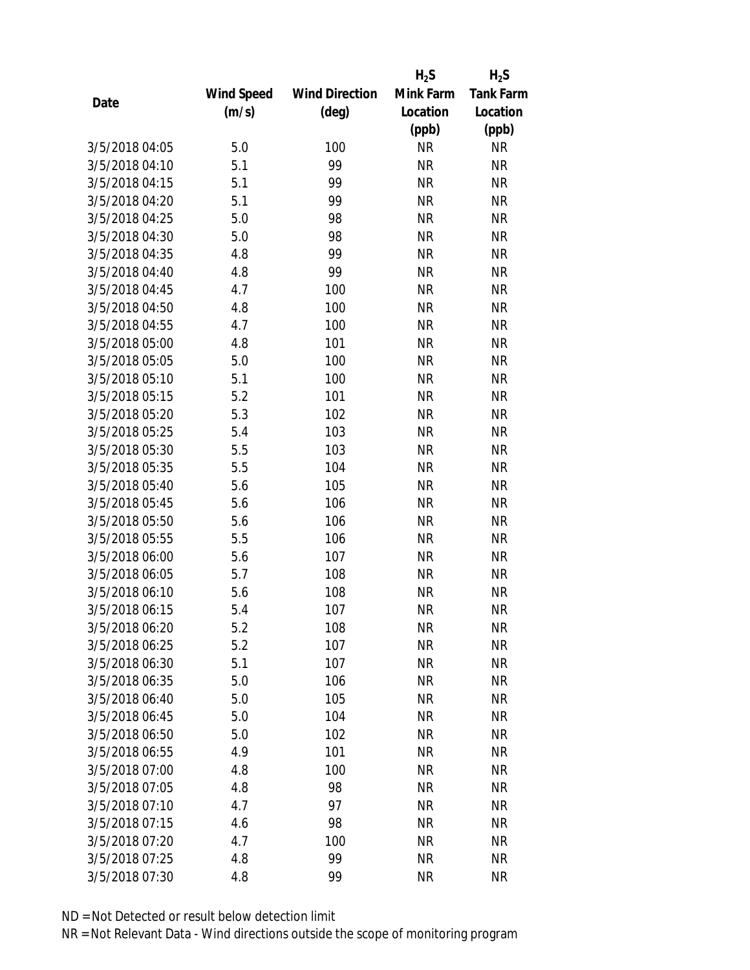|                |            |                       | $H_2S$    | $H_2S$           |
|----------------|------------|-----------------------|-----------|------------------|
|                | Wind Speed | <b>Wind Direction</b> | Mink Farm | <b>Tank Farm</b> |
| Date           | (m/s)      | (deg)                 | Location  | Location         |
|                |            |                       | (ppb)     | (ppb)            |
| 3/5/2018 04:05 | 5.0        | 100                   | <b>NR</b> | <b>NR</b>        |
| 3/5/2018 04:10 | 5.1        | 99                    | <b>NR</b> | <b>NR</b>        |
| 3/5/2018 04:15 | 5.1        | 99                    | <b>NR</b> | <b>NR</b>        |
| 3/5/2018 04:20 | 5.1        | 99                    | <b>NR</b> | <b>NR</b>        |
| 3/5/2018 04:25 | 5.0        | 98                    | <b>NR</b> | <b>NR</b>        |
| 3/5/2018 04:30 | 5.0        | 98                    | <b>NR</b> | <b>NR</b>        |
| 3/5/2018 04:35 | 4.8        | 99                    | <b>NR</b> | <b>NR</b>        |
| 3/5/2018 04:40 | 4.8        | 99                    | <b>NR</b> | <b>NR</b>        |
| 3/5/2018 04:45 | 4.7        | 100                   | <b>NR</b> | <b>NR</b>        |
| 3/5/2018 04:50 | 4.8        | 100                   | <b>NR</b> | <b>NR</b>        |
| 3/5/2018 04:55 | 4.7        | 100                   | <b>NR</b> | <b>NR</b>        |
| 3/5/2018 05:00 | 4.8        | 101                   | <b>NR</b> | <b>NR</b>        |
| 3/5/2018 05:05 | 5.0        | 100                   | <b>NR</b> | <b>NR</b>        |
| 3/5/2018 05:10 | 5.1        | 100                   | <b>NR</b> | <b>NR</b>        |
| 3/5/2018 05:15 | 5.2        | 101                   | <b>NR</b> | <b>NR</b>        |
| 3/5/2018 05:20 | 5.3        | 102                   | <b>NR</b> | <b>NR</b>        |
| 3/5/2018 05:25 | 5.4        | 103                   | <b>NR</b> | <b>NR</b>        |
| 3/5/2018 05:30 | 5.5        | 103                   | <b>NR</b> | <b>NR</b>        |
| 3/5/2018 05:35 | 5.5        | 104                   | <b>NR</b> | <b>NR</b>        |
| 3/5/2018 05:40 | 5.6        | 105                   | <b>NR</b> | <b>NR</b>        |
| 3/5/2018 05:45 | 5.6        | 106                   | <b>NR</b> | <b>NR</b>        |
| 3/5/2018 05:50 | 5.6        | 106                   | <b>NR</b> | <b>NR</b>        |
| 3/5/2018 05:55 | 5.5        | 106                   | <b>NR</b> | <b>NR</b>        |
| 3/5/2018 06:00 | 5.6        | 107                   | <b>NR</b> | <b>NR</b>        |
| 3/5/2018 06:05 | 5.7        | 108                   | <b>NR</b> | <b>NR</b>        |
| 3/5/2018 06:10 | 5.6        | 108                   | <b>NR</b> | <b>NR</b>        |
| 3/5/2018 06:15 | 5.4        | 107                   | <b>NR</b> | <b>NR</b>        |
| 3/5/2018 06:20 | 5.2        | 108                   | NR        | <b>NR</b>        |
| 3/5/2018 06:25 | 5.2        | 107                   | <b>NR</b> | <b>NR</b>        |
| 3/5/2018 06:30 | 5.1        | 107                   | <b>NR</b> | <b>NR</b>        |
| 3/5/2018 06:35 | 5.0        | 106                   | <b>NR</b> | <b>NR</b>        |
| 3/5/2018 06:40 | 5.0        | 105                   | <b>NR</b> | <b>NR</b>        |
| 3/5/2018 06:45 | 5.0        | 104                   | <b>NR</b> | <b>NR</b>        |
| 3/5/2018 06:50 | 5.0        | 102                   | <b>NR</b> | <b>NR</b>        |
| 3/5/2018 06:55 | 4.9        | 101                   | <b>NR</b> | <b>NR</b>        |
| 3/5/2018 07:00 | 4.8        | 100                   | <b>NR</b> | <b>NR</b>        |
| 3/5/2018 07:05 | 4.8        | 98                    | <b>NR</b> | <b>NR</b>        |
| 3/5/2018 07:10 | 4.7        | 97                    | NR        | <b>NR</b>        |
| 3/5/2018 07:15 | 4.6        | 98                    | <b>NR</b> | <b>NR</b>        |
| 3/5/2018 07:20 | 4.7        | 100                   | NR        | <b>NR</b>        |
| 3/5/2018 07:25 | 4.8        | 99                    | <b>NR</b> | <b>NR</b>        |
| 3/5/2018 07:30 | 4.8        | 99                    | <b>NR</b> | <b>NR</b>        |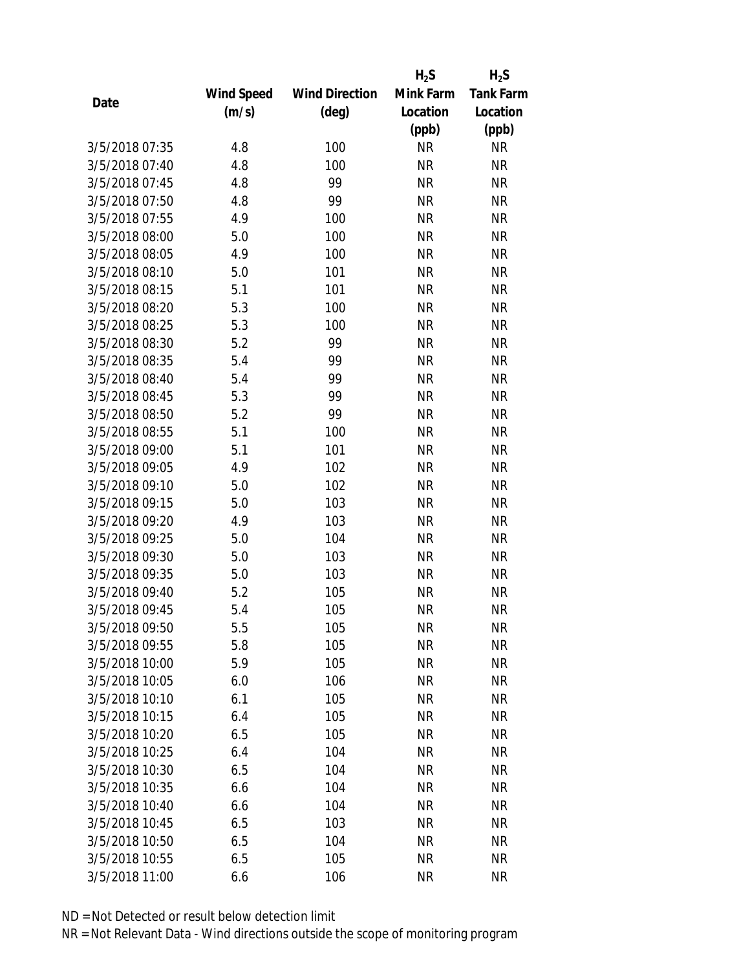|                |                   |                       | $H_2S$    | $H_2S$           |
|----------------|-------------------|-----------------------|-----------|------------------|
|                | <b>Wind Speed</b> | <b>Wind Direction</b> | Mink Farm | <b>Tank Farm</b> |
| Date           | (m/s)             | $(\text{deg})$        | Location  | Location         |
|                |                   |                       | (ppb)     | (ppb)            |
| 3/5/2018 07:35 | 4.8               | 100                   | <b>NR</b> | <b>NR</b>        |
| 3/5/2018 07:40 | 4.8               | 100                   | <b>NR</b> | <b>NR</b>        |
| 3/5/2018 07:45 | 4.8               | 99                    | <b>NR</b> | <b>NR</b>        |
| 3/5/2018 07:50 | 4.8               | 99                    | <b>NR</b> | <b>NR</b>        |
| 3/5/2018 07:55 | 4.9               | 100                   | <b>NR</b> | <b>NR</b>        |
| 3/5/2018 08:00 | 5.0               | 100                   | <b>NR</b> | <b>NR</b>        |
| 3/5/2018 08:05 | 4.9               | 100                   | <b>NR</b> | <b>NR</b>        |
| 3/5/2018 08:10 | 5.0               | 101                   | <b>NR</b> | <b>NR</b>        |
| 3/5/2018 08:15 | 5.1               | 101                   | <b>NR</b> | <b>NR</b>        |
| 3/5/2018 08:20 | 5.3               | 100                   | <b>NR</b> | <b>NR</b>        |
| 3/5/2018 08:25 | 5.3               | 100                   | <b>NR</b> | <b>NR</b>        |
| 3/5/2018 08:30 | 5.2               | 99                    | <b>NR</b> | <b>NR</b>        |
| 3/5/2018 08:35 | 5.4               | 99                    | <b>NR</b> | <b>NR</b>        |
| 3/5/2018 08:40 | 5.4               | 99                    | <b>NR</b> | <b>NR</b>        |
| 3/5/2018 08:45 | 5.3               | 99                    | <b>NR</b> | <b>NR</b>        |
| 3/5/2018 08:50 | 5.2               | 99                    | <b>NR</b> | <b>NR</b>        |
| 3/5/2018 08:55 | 5.1               | 100                   | <b>NR</b> | <b>NR</b>        |
| 3/5/2018 09:00 | 5.1               | 101                   | <b>NR</b> | <b>NR</b>        |
| 3/5/2018 09:05 | 4.9               | 102                   | <b>NR</b> | <b>NR</b>        |
| 3/5/2018 09:10 | 5.0               | 102                   | <b>NR</b> | <b>NR</b>        |
| 3/5/2018 09:15 | 5.0               | 103                   | <b>NR</b> | <b>NR</b>        |
| 3/5/2018 09:20 | 4.9               | 103                   | <b>NR</b> | <b>NR</b>        |
| 3/5/2018 09:25 | 5.0               | 104                   | <b>NR</b> | <b>NR</b>        |
| 3/5/2018 09:30 | 5.0               | 103                   | <b>NR</b> | <b>NR</b>        |
| 3/5/2018 09:35 | 5.0               | 103                   | <b>NR</b> | <b>NR</b>        |
| 3/5/2018 09:40 | 5.2               | 105                   | <b>NR</b> | <b>NR</b>        |
| 3/5/2018 09:45 | 5.4               | 105                   | <b>NR</b> | <b>NR</b>        |
| 3/5/2018 09:50 | 5.5               | 105                   | NR        | <b>NR</b>        |
| 3/5/2018 09:55 | 5.8               | 105                   | <b>NR</b> | <b>NR</b>        |
| 3/5/2018 10:00 | 5.9               | 105                   | ΝR        | <b>NR</b>        |
| 3/5/2018 10:05 | 6.0               | 106                   | <b>NR</b> | <b>NR</b>        |
| 3/5/2018 10:10 | 6.1               | 105                   | <b>NR</b> | <b>NR</b>        |
| 3/5/2018 10:15 | 6.4               | 105                   | NR        | <b>NR</b>        |
| 3/5/2018 10:20 | 6.5               | 105                   | <b>NR</b> | <b>NR</b>        |
| 3/5/2018 10:25 | 6.4               | 104                   | ΝR        | <b>NR</b>        |
| 3/5/2018 10:30 | 6.5               | 104                   | <b>NR</b> | <b>NR</b>        |
| 3/5/2018 10:35 | 6.6               | 104                   | ΝR        | <b>NR</b>        |
| 3/5/2018 10:40 | 6.6               | 104                   | ΝR        | <b>NR</b>        |
| 3/5/2018 10:45 | 6.5               | 103                   | <b>NR</b> | <b>NR</b>        |
| 3/5/2018 10:50 | 6.5               | 104                   | ΝR        | <b>NR</b>        |
| 3/5/2018 10:55 | 6.5               | 105                   | <b>NR</b> | <b>NR</b>        |
| 3/5/2018 11:00 | 6.6               | 106                   | <b>NR</b> | <b>NR</b>        |
|                |                   |                       |           |                  |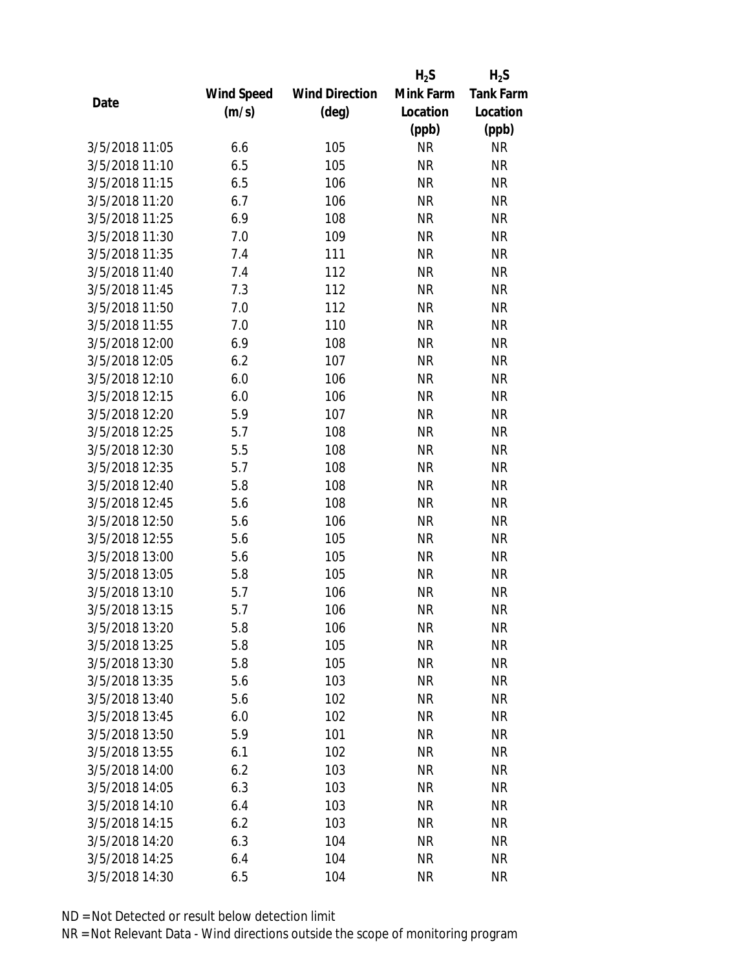|                |            |                       | $H_2S$    | $H_2S$           |
|----------------|------------|-----------------------|-----------|------------------|
|                | Wind Speed | <b>Wind Direction</b> | Mink Farm | <b>Tank Farm</b> |
| Date           | (m/s)      | $(\text{deg})$        | Location  | Location         |
|                |            |                       | (ppb)     | (ppb)            |
| 3/5/2018 11:05 | 6.6        | 105                   | <b>NR</b> | <b>NR</b>        |
| 3/5/2018 11:10 | 6.5        | 105                   | <b>NR</b> | <b>NR</b>        |
| 3/5/2018 11:15 | 6.5        | 106                   | <b>NR</b> | <b>NR</b>        |
| 3/5/2018 11:20 | 6.7        | 106                   | <b>NR</b> | <b>NR</b>        |
| 3/5/2018 11:25 | 6.9        | 108                   | <b>NR</b> | <b>NR</b>        |
| 3/5/2018 11:30 | 7.0        | 109                   | <b>NR</b> | <b>NR</b>        |
| 3/5/2018 11:35 | 7.4        | 111                   | <b>NR</b> | <b>NR</b>        |
| 3/5/2018 11:40 | 7.4        | 112                   | <b>NR</b> | <b>NR</b>        |
| 3/5/2018 11:45 | 7.3        | 112                   | <b>NR</b> | <b>NR</b>        |
| 3/5/2018 11:50 | 7.0        | 112                   | <b>NR</b> | <b>NR</b>        |
| 3/5/2018 11:55 | 7.0        | 110                   | <b>NR</b> | <b>NR</b>        |
| 3/5/2018 12:00 | 6.9        | 108                   | <b>NR</b> | <b>NR</b>        |
| 3/5/2018 12:05 | 6.2        | 107                   | <b>NR</b> | <b>NR</b>        |
| 3/5/2018 12:10 | 6.0        | 106                   | <b>NR</b> | <b>NR</b>        |
| 3/5/2018 12:15 | 6.0        | 106                   | <b>NR</b> | <b>NR</b>        |
| 3/5/2018 12:20 | 5.9        | 107                   | <b>NR</b> | <b>NR</b>        |
| 3/5/2018 12:25 | 5.7        | 108                   | <b>NR</b> | <b>NR</b>        |
| 3/5/2018 12:30 | 5.5        | 108                   | <b>NR</b> | <b>NR</b>        |
| 3/5/2018 12:35 | 5.7        | 108                   | <b>NR</b> | <b>NR</b>        |
| 3/5/2018 12:40 | 5.8        | 108                   | <b>NR</b> | <b>NR</b>        |
| 3/5/2018 12:45 | 5.6        | 108                   | <b>NR</b> | <b>NR</b>        |
| 3/5/2018 12:50 | 5.6        | 106                   | <b>NR</b> | <b>NR</b>        |
| 3/5/2018 12:55 | 5.6        | 105                   | <b>NR</b> | <b>NR</b>        |
| 3/5/2018 13:00 | 5.6        | 105                   | <b>NR</b> | <b>NR</b>        |
| 3/5/2018 13:05 | 5.8        | 105                   | <b>NR</b> | <b>NR</b>        |
| 3/5/2018 13:10 | 5.7        | 106                   | <b>NR</b> | <b>NR</b>        |
| 3/5/2018 13:15 | 5.7        | 106                   | <b>NR</b> | <b>NR</b>        |
| 3/5/2018 13:20 | 5.8        | 106                   | ΝR        | <b>NR</b>        |
| 3/5/2018 13:25 | 5.8        | 105                   | <b>NR</b> | <b>NR</b>        |
| 3/5/2018 13:30 | 5.8        | 105                   | NR        | <b>NR</b>        |
| 3/5/2018 13:35 | 5.6        | 103                   | <b>NR</b> | <b>NR</b>        |
| 3/5/2018 13:40 | 5.6        | 102                   | <b>NR</b> | <b>NR</b>        |
| 3/5/2018 13:45 | 6.0        | 102                   | NR        | <b>NR</b>        |
| 3/5/2018 13:50 | 5.9        | 101                   | <b>NR</b> | <b>NR</b>        |
| 3/5/2018 13:55 | 6.1        | 102                   | NR        | <b>NR</b>        |
| 3/5/2018 14:00 | 6.2        | 103                   | <b>NR</b> | <b>NR</b>        |
| 3/5/2018 14:05 | 6.3        | 103                   | NR        | <b>NR</b>        |
| 3/5/2018 14:10 | 6.4        | 103                   | NR        | <b>NR</b>        |
| 3/5/2018 14:15 | 6.2        | 103                   | <b>NR</b> | <b>NR</b>        |
| 3/5/2018 14:20 | 6.3        | 104                   | NR        | <b>NR</b>        |
| 3/5/2018 14:25 | 6.4        | 104                   | <b>NR</b> | <b>NR</b>        |
| 3/5/2018 14:30 | 6.5        | 104                   | <b>NR</b> | <b>NR</b>        |
|                |            |                       |           |                  |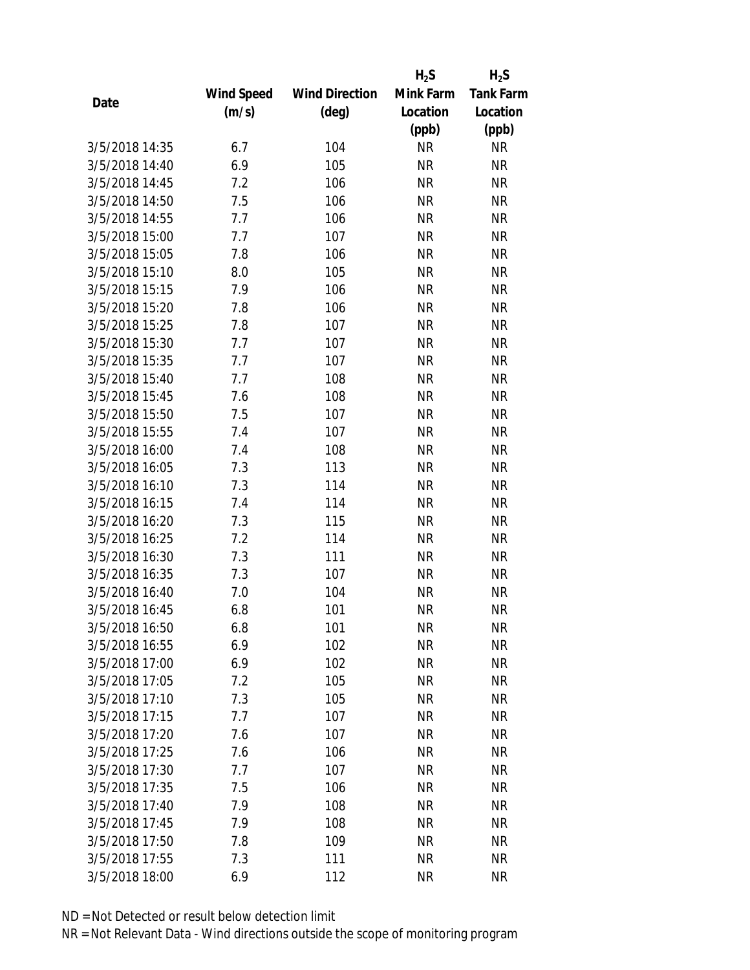|                |            |                       | $H_2S$    | $H_2S$           |
|----------------|------------|-----------------------|-----------|------------------|
|                | Wind Speed | <b>Wind Direction</b> | Mink Farm | <b>Tank Farm</b> |
| Date           | (m/s)      | $(\text{deg})$        | Location  | Location         |
|                |            |                       | (ppb)     | (ppb)            |
| 3/5/2018 14:35 | 6.7        | 104                   | <b>NR</b> | <b>NR</b>        |
| 3/5/2018 14:40 | 6.9        | 105                   | <b>NR</b> | <b>NR</b>        |
| 3/5/2018 14:45 | 7.2        | 106                   | <b>NR</b> | <b>NR</b>        |
| 3/5/2018 14:50 | 7.5        | 106                   | <b>NR</b> | <b>NR</b>        |
| 3/5/2018 14:55 | 7.7        | 106                   | <b>NR</b> | <b>NR</b>        |
| 3/5/2018 15:00 | 7.7        | 107                   | <b>NR</b> | <b>NR</b>        |
| 3/5/2018 15:05 | 7.8        | 106                   | <b>NR</b> | <b>NR</b>        |
| 3/5/2018 15:10 | 8.0        | 105                   | <b>NR</b> | <b>NR</b>        |
| 3/5/2018 15:15 | 7.9        | 106                   | <b>NR</b> | <b>NR</b>        |
| 3/5/2018 15:20 | 7.8        | 106                   | <b>NR</b> | <b>NR</b>        |
| 3/5/2018 15:25 | 7.8        | 107                   | <b>NR</b> | <b>NR</b>        |
| 3/5/2018 15:30 | 7.7        | 107                   | <b>NR</b> | <b>NR</b>        |
| 3/5/2018 15:35 | 7.7        | 107                   | <b>NR</b> | <b>NR</b>        |
| 3/5/2018 15:40 | 7.7        | 108                   | <b>NR</b> | <b>NR</b>        |
| 3/5/2018 15:45 | 7.6        | 108                   | <b>NR</b> | <b>NR</b>        |
| 3/5/2018 15:50 | 7.5        | 107                   | <b>NR</b> | <b>NR</b>        |
| 3/5/2018 15:55 | 7.4        | 107                   | <b>NR</b> | <b>NR</b>        |
| 3/5/2018 16:00 | 7.4        | 108                   | <b>NR</b> | <b>NR</b>        |
| 3/5/2018 16:05 | 7.3        | 113                   | <b>NR</b> | <b>NR</b>        |
| 3/5/2018 16:10 | 7.3        | 114                   | <b>NR</b> | <b>NR</b>        |
| 3/5/2018 16:15 | 7.4        | 114                   | <b>NR</b> | <b>NR</b>        |
| 3/5/2018 16:20 | 7.3        | 115                   | <b>NR</b> | <b>NR</b>        |
| 3/5/2018 16:25 | 7.2        | 114                   | <b>NR</b> | <b>NR</b>        |
| 3/5/2018 16:30 | 7.3        | 111                   | <b>NR</b> | <b>NR</b>        |
| 3/5/2018 16:35 | 7.3        | 107                   | <b>NR</b> | <b>NR</b>        |
| 3/5/2018 16:40 | 7.0        | 104                   | <b>NR</b> | <b>NR</b>        |
| 3/5/2018 16:45 | 6.8        | 101                   | <b>NR</b> | <b>NR</b>        |
| 3/5/2018 16:50 | 6.8        | 101                   | ΝR        | <b>NR</b>        |
| 3/5/2018 16:55 | 6.9        | 102                   | <b>NR</b> | <b>NR</b>        |
| 3/5/2018 17:00 | 6.9        | 102                   | <b>NR</b> | <b>NR</b>        |
| 3/5/2018 17:05 | 7.2        | 105                   | <b>NR</b> | <b>NR</b>        |
| 3/5/2018 17:10 | 7.3        | 105                   | <b>NR</b> | <b>NR</b>        |
| 3/5/2018 17:15 | 7.7        | 107                   | <b>NR</b> | <b>NR</b>        |
| 3/5/2018 17:20 | 7.6        | 107                   | <b>NR</b> | <b>NR</b>        |
| 3/5/2018 17:25 | 7.6        | 106                   | <b>NR</b> | <b>NR</b>        |
| 3/5/2018 17:30 | 7.7        | 107                   | <b>NR</b> | <b>NR</b>        |
| 3/5/2018 17:35 | 7.5        | 106                   | <b>NR</b> | <b>NR</b>        |
| 3/5/2018 17:40 | 7.9        | 108                   | ΝR        | <b>NR</b>        |
| 3/5/2018 17:45 | 7.9        | 108                   | <b>NR</b> | <b>NR</b>        |
| 3/5/2018 17:50 | 7.8        | 109                   | ΝR        | <b>NR</b>        |
| 3/5/2018 17:55 | 7.3        | 111                   | <b>NR</b> | <b>NR</b>        |
| 3/5/2018 18:00 | 6.9        | 112                   | <b>NR</b> | <b>NR</b>        |
|                |            |                       |           |                  |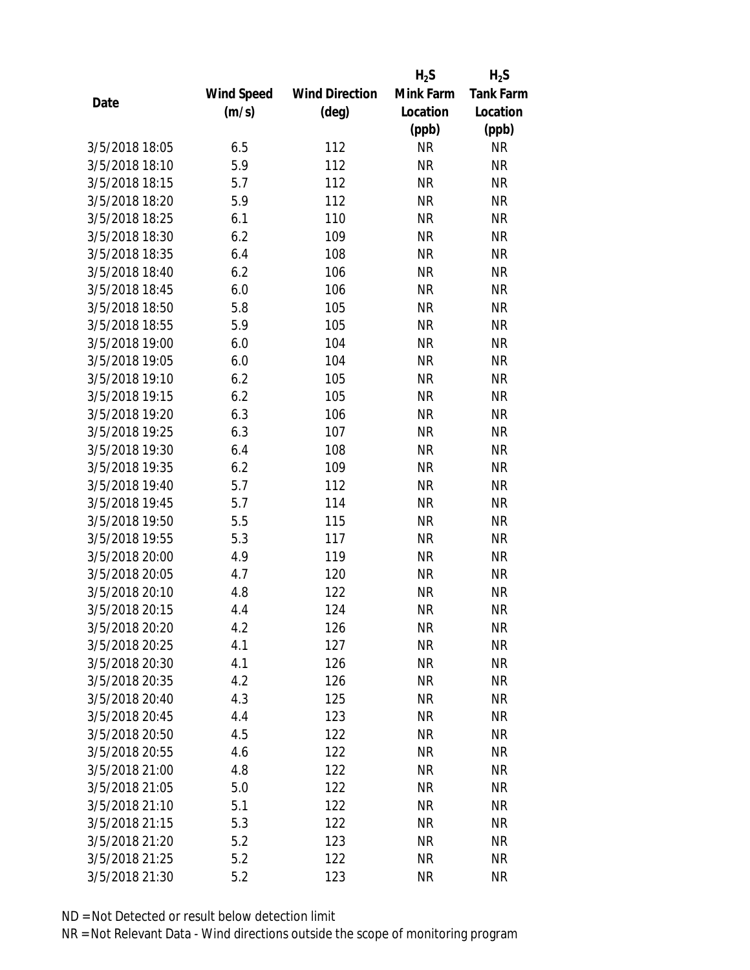|                |            |                       | $H_2S$    | $H_2S$           |
|----------------|------------|-----------------------|-----------|------------------|
|                | Wind Speed | <b>Wind Direction</b> | Mink Farm | <b>Tank Farm</b> |
| Date           | (m/s)      | $(\text{deg})$        | Location  | Location         |
|                |            |                       | (ppb)     | (ppb)            |
| 3/5/2018 18:05 | 6.5        | 112                   | <b>NR</b> | <b>NR</b>        |
| 3/5/2018 18:10 | 5.9        | 112                   | <b>NR</b> | <b>NR</b>        |
| 3/5/2018 18:15 | 5.7        | 112                   | <b>NR</b> | <b>NR</b>        |
| 3/5/2018 18:20 | 5.9        | 112                   | <b>NR</b> | <b>NR</b>        |
| 3/5/2018 18:25 | 6.1        | 110                   | <b>NR</b> | <b>NR</b>        |
| 3/5/2018 18:30 | 6.2        | 109                   | <b>NR</b> | <b>NR</b>        |
| 3/5/2018 18:35 | 6.4        | 108                   | <b>NR</b> | <b>NR</b>        |
| 3/5/2018 18:40 | 6.2        | 106                   | <b>NR</b> | <b>NR</b>        |
| 3/5/2018 18:45 | 6.0        | 106                   | <b>NR</b> | <b>NR</b>        |
| 3/5/2018 18:50 | 5.8        | 105                   | <b>NR</b> | <b>NR</b>        |
| 3/5/2018 18:55 | 5.9        | 105                   | <b>NR</b> | <b>NR</b>        |
| 3/5/2018 19:00 | 6.0        | 104                   | <b>NR</b> | <b>NR</b>        |
| 3/5/2018 19:05 | 6.0        | 104                   | <b>NR</b> | <b>NR</b>        |
| 3/5/2018 19:10 | 6.2        | 105                   | <b>NR</b> | <b>NR</b>        |
| 3/5/2018 19:15 | 6.2        | 105                   | <b>NR</b> | <b>NR</b>        |
| 3/5/2018 19:20 | 6.3        | 106                   | <b>NR</b> | <b>NR</b>        |
| 3/5/2018 19:25 | 6.3        | 107                   | <b>NR</b> | <b>NR</b>        |
| 3/5/2018 19:30 | 6.4        | 108                   | <b>NR</b> | <b>NR</b>        |
| 3/5/2018 19:35 | 6.2        | 109                   | <b>NR</b> | <b>NR</b>        |
| 3/5/2018 19:40 | 5.7        | 112                   | <b>NR</b> | <b>NR</b>        |
| 3/5/2018 19:45 | 5.7        | 114                   | <b>NR</b> | <b>NR</b>        |
| 3/5/2018 19:50 | 5.5        | 115                   | <b>NR</b> | <b>NR</b>        |
| 3/5/2018 19:55 | 5.3        | 117                   | <b>NR</b> | <b>NR</b>        |
| 3/5/2018 20:00 | 4.9        | 119                   | <b>NR</b> | <b>NR</b>        |
| 3/5/2018 20:05 | 4.7        | 120                   | <b>NR</b> | <b>NR</b>        |
| 3/5/2018 20:10 | 4.8        | 122                   | <b>NR</b> | <b>NR</b>        |
| 3/5/2018 20:15 | 4.4        | 124                   | <b>NR</b> | <b>NR</b>        |
| 3/5/2018 20:20 | 4.2        | 126                   | <b>NR</b> | <b>NR</b>        |
| 3/5/2018 20:25 | 4.1        | 127                   | <b>NR</b> | <b>NR</b>        |
| 3/5/2018 20:30 | 4.1        | 126                   | NR        | <b>NR</b>        |
| 3/5/2018 20:35 | 4.2        | 126                   | <b>NR</b> | <b>NR</b>        |
| 3/5/2018 20:40 | 4.3        | 125                   | <b>NR</b> | <b>NR</b>        |
| 3/5/2018 20:45 | 4.4        | 123                   | NR        | <b>NR</b>        |
| 3/5/2018 20:50 | 4.5        | 122                   | <b>NR</b> | <b>NR</b>        |
| 3/5/2018 20:55 | 4.6        | 122                   | <b>NR</b> | <b>NR</b>        |
| 3/5/2018 21:00 | 4.8        | 122                   | <b>NR</b> | <b>NR</b>        |
| 3/5/2018 21:05 | 5.0        | 122                   | <b>NR</b> | <b>NR</b>        |
| 3/5/2018 21:10 | 5.1        | 122                   | <b>NR</b> | <b>NR</b>        |
| 3/5/2018 21:15 | 5.3        | 122                   | <b>NR</b> | <b>NR</b>        |
| 3/5/2018 21:20 | 5.2        | 123                   | NR        | <b>NR</b>        |
| 3/5/2018 21:25 | 5.2        | 122                   | <b>NR</b> | <b>NR</b>        |
| 3/5/2018 21:30 | 5.2        | 123                   | <b>NR</b> | <b>NR</b>        |
|                |            |                       |           |                  |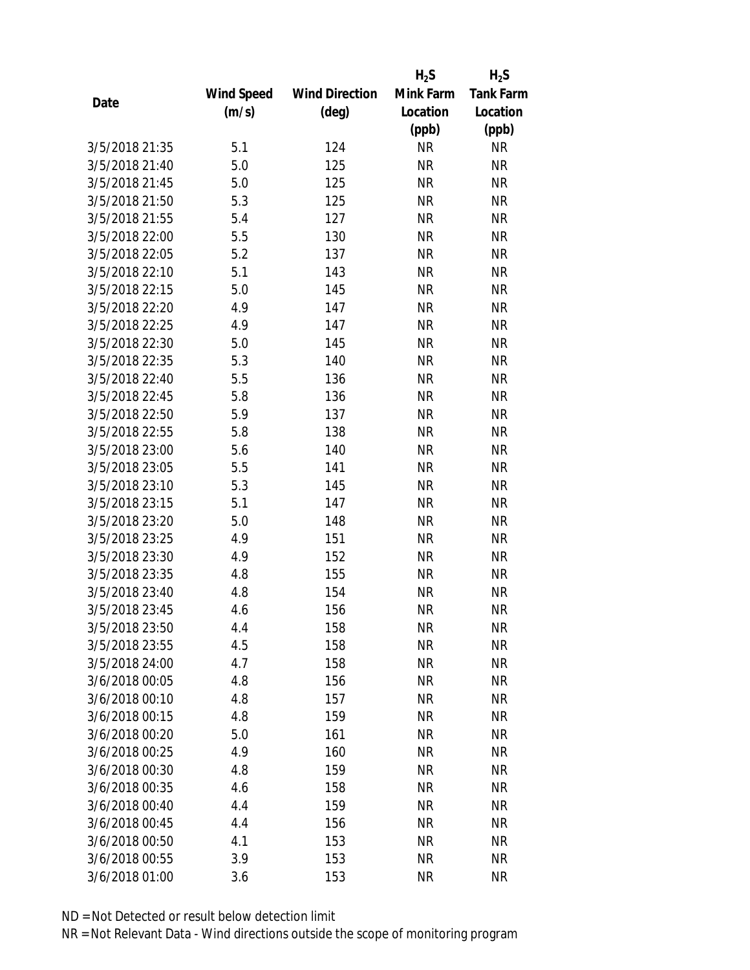|                |            |                       | $H_2S$    | $H_2S$           |
|----------------|------------|-----------------------|-----------|------------------|
|                | Wind Speed | <b>Wind Direction</b> | Mink Farm | <b>Tank Farm</b> |
| Date           | (m/s)      | $(\text{deg})$        | Location  | Location         |
|                |            |                       | (ppb)     | (ppb)            |
| 3/5/2018 21:35 | 5.1        | 124                   | <b>NR</b> | <b>NR</b>        |
| 3/5/2018 21:40 | 5.0        | 125                   | <b>NR</b> | <b>NR</b>        |
| 3/5/2018 21:45 | 5.0        | 125                   | <b>NR</b> | <b>NR</b>        |
| 3/5/2018 21:50 | 5.3        | 125                   | <b>NR</b> | <b>NR</b>        |
| 3/5/2018 21:55 | 5.4        | 127                   | <b>NR</b> | <b>NR</b>        |
| 3/5/2018 22:00 | 5.5        | 130                   | <b>NR</b> | <b>NR</b>        |
| 3/5/2018 22:05 | 5.2        | 137                   | <b>NR</b> | <b>NR</b>        |
| 3/5/2018 22:10 | 5.1        | 143                   | <b>NR</b> | <b>NR</b>        |
| 3/5/2018 22:15 | 5.0        | 145                   | <b>NR</b> | <b>NR</b>        |
| 3/5/2018 22:20 | 4.9        | 147                   | <b>NR</b> | <b>NR</b>        |
| 3/5/2018 22:25 | 4.9        | 147                   | <b>NR</b> | <b>NR</b>        |
| 3/5/2018 22:30 | 5.0        | 145                   | <b>NR</b> | <b>NR</b>        |
| 3/5/2018 22:35 | 5.3        | 140                   | <b>NR</b> | <b>NR</b>        |
| 3/5/2018 22:40 | 5.5        | 136                   | <b>NR</b> | <b>NR</b>        |
| 3/5/2018 22:45 | 5.8        | 136                   | <b>NR</b> | <b>NR</b>        |
| 3/5/2018 22:50 | 5.9        | 137                   | <b>NR</b> | <b>NR</b>        |
| 3/5/2018 22:55 | 5.8        | 138                   | <b>NR</b> | <b>NR</b>        |
| 3/5/2018 23:00 | 5.6        | 140                   | <b>NR</b> | <b>NR</b>        |
| 3/5/2018 23:05 | 5.5        | 141                   | <b>NR</b> | <b>NR</b>        |
| 3/5/2018 23:10 | 5.3        | 145                   | <b>NR</b> | <b>NR</b>        |
| 3/5/2018 23:15 | 5.1        | 147                   | <b>NR</b> | <b>NR</b>        |
| 3/5/2018 23:20 | 5.0        | 148                   | <b>NR</b> | <b>NR</b>        |
| 3/5/2018 23:25 | 4.9        | 151                   | <b>NR</b> | <b>NR</b>        |
| 3/5/2018 23:30 | 4.9        | 152                   | <b>NR</b> | <b>NR</b>        |
| 3/5/2018 23:35 | 4.8        | 155                   | <b>NR</b> | <b>NR</b>        |
| 3/5/2018 23:40 | 4.8        | 154                   | <b>NR</b> | <b>NR</b>        |
| 3/5/2018 23:45 | 4.6        | 156                   | <b>NR</b> | <b>NR</b>        |
| 3/5/2018 23:50 | 4.4        | 158                   | ΝR        | <b>NR</b>        |
| 3/5/2018 23:55 | 4.5        | 158                   | <b>NR</b> | <b>NR</b>        |
| 3/5/2018 24:00 | 4.7        | 158                   | ΝR        | <b>NR</b>        |
| 3/6/2018 00:05 | 4.8        | 156                   | <b>NR</b> | <b>NR</b>        |
| 3/6/2018 00:10 | 4.8        | 157                   | <b>NR</b> | <b>NR</b>        |
| 3/6/2018 00:15 | 4.8        | 159                   | <b>NR</b> | <b>NR</b>        |
| 3/6/2018 00:20 | 5.0        | 161                   | <b>NR</b> | <b>NR</b>        |
| 3/6/2018 00:25 | 4.9        | 160                   | <b>NR</b> | <b>NR</b>        |
| 3/6/2018 00:30 | 4.8        | 159                   | <b>NR</b> | <b>NR</b>        |
| 3/6/2018 00:35 | 4.6        | 158                   | ΝR        | <b>NR</b>        |
| 3/6/2018 00:40 | 4.4        | 159                   | ΝR        | <b>NR</b>        |
| 3/6/2018 00:45 | 4.4        | 156                   | <b>NR</b> | <b>NR</b>        |
| 3/6/2018 00:50 | 4.1        | 153                   | ΝR        | <b>NR</b>        |
| 3/6/2018 00:55 | 3.9        | 153                   | <b>NR</b> | <b>NR</b>        |
| 3/6/2018 01:00 | 3.6        | 153                   | <b>NR</b> | <b>NR</b>        |
|                |            |                       |           |                  |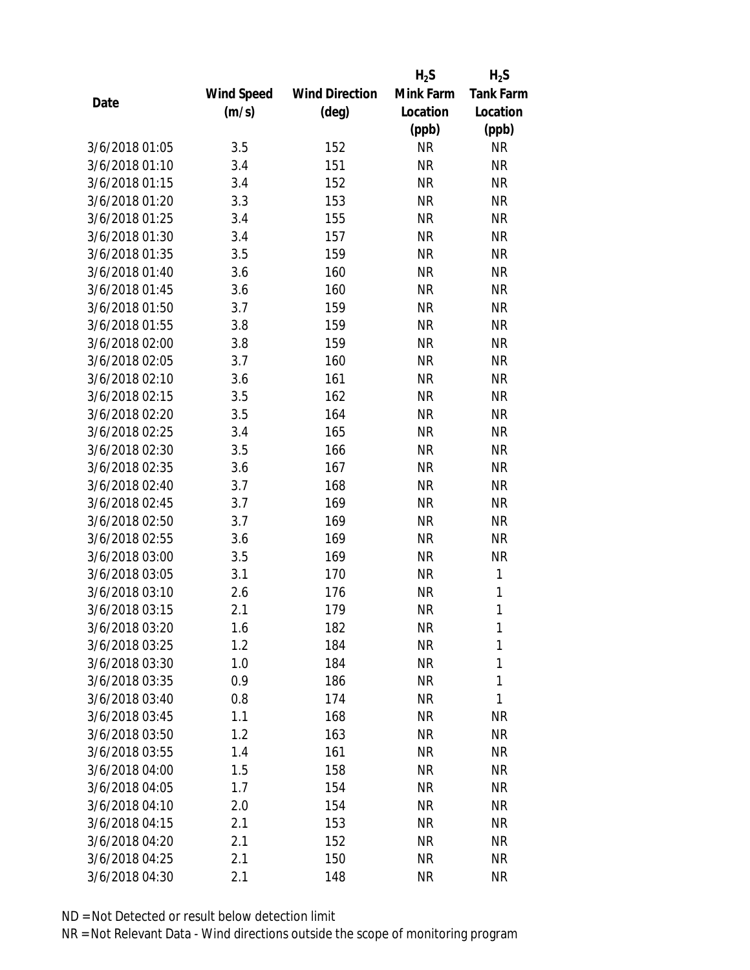|                |            |                       | $H_2S$    | $H_2S$           |
|----------------|------------|-----------------------|-----------|------------------|
|                | Wind Speed | <b>Wind Direction</b> | Mink Farm | <b>Tank Farm</b> |
| Date           | (m/s)      | $(\text{deg})$        | Location  | Location         |
|                |            |                       | (ppb)     | (ppb)            |
| 3/6/2018 01:05 | 3.5        | 152                   | <b>NR</b> | <b>NR</b>        |
| 3/6/2018 01:10 | 3.4        | 151                   | <b>NR</b> | <b>NR</b>        |
| 3/6/2018 01:15 | 3.4        | 152                   | <b>NR</b> | <b>NR</b>        |
| 3/6/2018 01:20 | 3.3        | 153                   | <b>NR</b> | <b>NR</b>        |
| 3/6/2018 01:25 | 3.4        | 155                   | <b>NR</b> | <b>NR</b>        |
| 3/6/2018 01:30 | 3.4        | 157                   | <b>NR</b> | <b>NR</b>        |
| 3/6/2018 01:35 | 3.5        | 159                   | <b>NR</b> | <b>NR</b>        |
| 3/6/2018 01:40 | 3.6        | 160                   | <b>NR</b> | <b>NR</b>        |
| 3/6/2018 01:45 | 3.6        | 160                   | <b>NR</b> | <b>NR</b>        |
| 3/6/2018 01:50 | 3.7        | 159                   | <b>NR</b> | <b>NR</b>        |
| 3/6/2018 01:55 | 3.8        | 159                   | <b>NR</b> | <b>NR</b>        |
| 3/6/2018 02:00 | 3.8        | 159                   | <b>NR</b> | <b>NR</b>        |
| 3/6/2018 02:05 | 3.7        | 160                   | <b>NR</b> | <b>NR</b>        |
| 3/6/2018 02:10 | 3.6        | 161                   | <b>NR</b> | <b>NR</b>        |
| 3/6/2018 02:15 | 3.5        | 162                   | <b>NR</b> | <b>NR</b>        |
| 3/6/2018 02:20 | 3.5        | 164                   | <b>NR</b> | <b>NR</b>        |
| 3/6/2018 02:25 | 3.4        | 165                   | <b>NR</b> | <b>NR</b>        |
| 3/6/2018 02:30 | 3.5        | 166                   | <b>NR</b> | <b>NR</b>        |
| 3/6/2018 02:35 | 3.6        | 167                   | <b>NR</b> | <b>NR</b>        |
| 3/6/2018 02:40 | 3.7        | 168                   | <b>NR</b> | <b>NR</b>        |
| 3/6/2018 02:45 | 3.7        | 169                   | <b>NR</b> | <b>NR</b>        |
| 3/6/2018 02:50 | 3.7        | 169                   | <b>NR</b> | <b>NR</b>        |
| 3/6/2018 02:55 | 3.6        | 169                   | <b>NR</b> | <b>NR</b>        |
| 3/6/2018 03:00 | 3.5        | 169                   | <b>NR</b> | <b>NR</b>        |
| 3/6/2018 03:05 | 3.1        | 170                   | <b>NR</b> | $\mathbf{1}$     |
| 3/6/2018 03:10 | 2.6        | 176                   | <b>NR</b> | 1                |
| 3/6/2018 03:15 | 2.1        | 179                   | <b>NR</b> | 1                |
| 3/6/2018 03:20 | 1.6        | 182                   | ΝR        | 1                |
| 3/6/2018 03:25 | 1.2        | 184                   | <b>NR</b> | 1                |
| 3/6/2018 03:30 | 1.0        | 184                   | ΝR        | 1                |
| 3/6/2018 03:35 | 0.9        | 186                   | <b>NR</b> | $\mathbf{1}$     |
| 3/6/2018 03:40 | 0.8        | 174                   | <b>NR</b> | 1                |
| 3/6/2018 03:45 | 1.1        | 168                   | NR        | <b>NR</b>        |
| 3/6/2018 03:50 | 1.2        | 163                   | <b>NR</b> | <b>NR</b>        |
| 3/6/2018 03:55 | 1.4        | 161                   | ΝR        | <b>NR</b>        |
| 3/6/2018 04:00 | 1.5        | 158                   | <b>NR</b> | <b>NR</b>        |
| 3/6/2018 04:05 | 1.7        | 154                   | ΝR        | <b>NR</b>        |
| 3/6/2018 04:10 | 2.0        | 154                   | ΝR        | <b>NR</b>        |
| 3/6/2018 04:15 | 2.1        | 153                   | <b>NR</b> | <b>NR</b>        |
| 3/6/2018 04:20 | 2.1        | 152                   | NR        | <b>NR</b>        |
| 3/6/2018 04:25 | 2.1        | 150                   | <b>NR</b> | <b>NR</b>        |
| 3/6/2018 04:30 | 2.1        | 148                   | <b>NR</b> | <b>NR</b>        |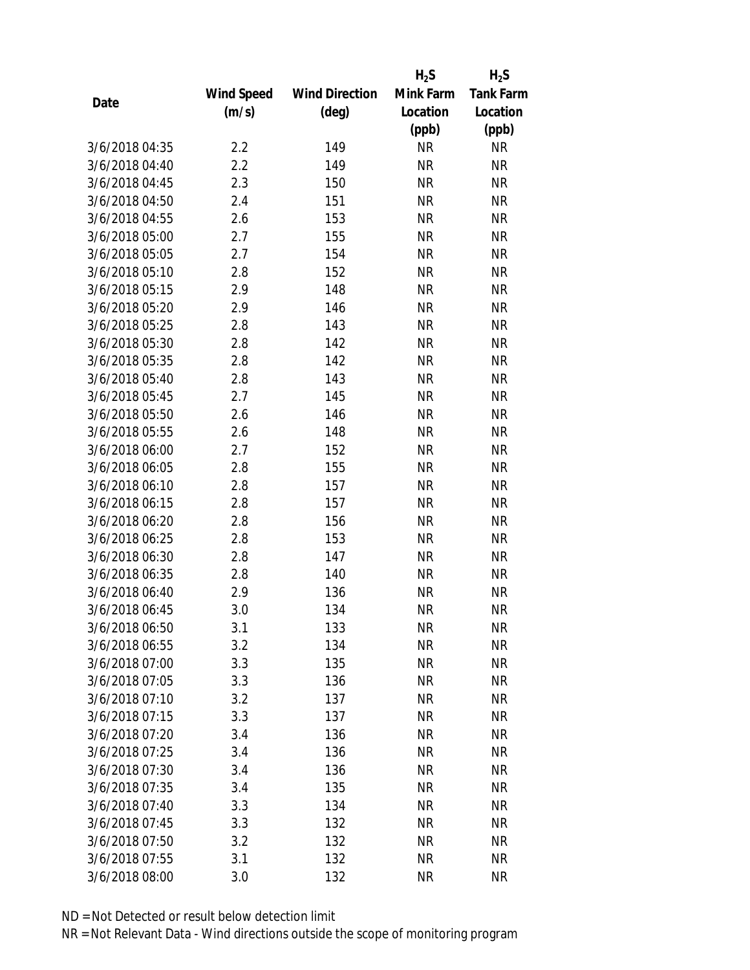|                |            |                       | $H_2S$    | $H_2S$           |
|----------------|------------|-----------------------|-----------|------------------|
|                | Wind Speed | <b>Wind Direction</b> | Mink Farm | <b>Tank Farm</b> |
| Date           | (m/s)      | $(\text{deg})$        | Location  | Location         |
|                |            |                       | (ppb)     | (ppb)            |
| 3/6/2018 04:35 | 2.2        | 149                   | <b>NR</b> | <b>NR</b>        |
| 3/6/2018 04:40 | 2.2        | 149                   | <b>NR</b> | <b>NR</b>        |
| 3/6/2018 04:45 | 2.3        | 150                   | <b>NR</b> | <b>NR</b>        |
| 3/6/2018 04:50 | 2.4        | 151                   | <b>NR</b> | <b>NR</b>        |
| 3/6/2018 04:55 | 2.6        | 153                   | <b>NR</b> | <b>NR</b>        |
| 3/6/2018 05:00 | 2.7        | 155                   | <b>NR</b> | <b>NR</b>        |
| 3/6/2018 05:05 | 2.7        | 154                   | <b>NR</b> | <b>NR</b>        |
| 3/6/2018 05:10 | 2.8        | 152                   | <b>NR</b> | <b>NR</b>        |
| 3/6/2018 05:15 | 2.9        | 148                   | <b>NR</b> | <b>NR</b>        |
| 3/6/2018 05:20 | 2.9        | 146                   | <b>NR</b> | <b>NR</b>        |
| 3/6/2018 05:25 | 2.8        | 143                   | <b>NR</b> | <b>NR</b>        |
| 3/6/2018 05:30 | 2.8        | 142                   | <b>NR</b> | <b>NR</b>        |
| 3/6/2018 05:35 | 2.8        | 142                   | <b>NR</b> | <b>NR</b>        |
| 3/6/2018 05:40 | 2.8        | 143                   | <b>NR</b> | <b>NR</b>        |
| 3/6/2018 05:45 | 2.7        | 145                   | <b>NR</b> | <b>NR</b>        |
| 3/6/2018 05:50 | 2.6        | 146                   | <b>NR</b> | <b>NR</b>        |
| 3/6/2018 05:55 | 2.6        | 148                   | <b>NR</b> | <b>NR</b>        |
| 3/6/2018 06:00 | 2.7        | 152                   | <b>NR</b> | <b>NR</b>        |
| 3/6/2018 06:05 | 2.8        | 155                   | <b>NR</b> | <b>NR</b>        |
| 3/6/2018 06:10 | 2.8        | 157                   | <b>NR</b> | <b>NR</b>        |
| 3/6/2018 06:15 | 2.8        | 157                   | <b>NR</b> | <b>NR</b>        |
| 3/6/2018 06:20 | 2.8        | 156                   | <b>NR</b> | <b>NR</b>        |
| 3/6/2018 06:25 | 2.8        | 153                   | <b>NR</b> | <b>NR</b>        |
| 3/6/2018 06:30 | 2.8        | 147                   | <b>NR</b> | <b>NR</b>        |
| 3/6/2018 06:35 | 2.8        | 140                   | <b>NR</b> | <b>NR</b>        |
| 3/6/2018 06:40 | 2.9        | 136                   | <b>NR</b> | <b>NR</b>        |
| 3/6/2018 06:45 | 3.0        | 134                   | <b>NR</b> | <b>NR</b>        |
| 3/6/2018 06:50 | 3.1        | 133                   | NR        | <b>NR</b>        |
| 3/6/2018 06:55 | 3.2        | 134                   | <b>NR</b> | <b>NR</b>        |
| 3/6/2018 07:00 | 3.3        | 135                   | NR        | <b>NR</b>        |
| 3/6/2018 07:05 | 3.3        | 136                   | <b>NR</b> | <b>NR</b>        |
| 3/6/2018 07:10 | 3.2        | 137                   | <b>NR</b> | <b>NR</b>        |
| 3/6/2018 07:15 | 3.3        | 137                   | <b>NR</b> | <b>NR</b>        |
| 3/6/2018 07:20 | 3.4        | 136                   | <b>NR</b> | <b>NR</b>        |
| 3/6/2018 07:25 | 3.4        | 136                   | <b>NR</b> | <b>NR</b>        |
| 3/6/2018 07:30 | 3.4        | 136                   | <b>NR</b> | <b>NR</b>        |
| 3/6/2018 07:35 | 3.4        | 135                   | <b>NR</b> | <b>NR</b>        |
| 3/6/2018 07:40 | 3.3        | 134                   | NR        | <b>NR</b>        |
| 3/6/2018 07:45 | 3.3        | 132                   | <b>NR</b> | <b>NR</b>        |
| 3/6/2018 07:50 | 3.2        | 132                   | NR        | <b>NR</b>        |
| 3/6/2018 07:55 | 3.1        | 132                   | <b>NR</b> | <b>NR</b>        |
| 3/6/2018 08:00 | 3.0        | 132                   | <b>NR</b> | <b>NR</b>        |
|                |            |                       |           |                  |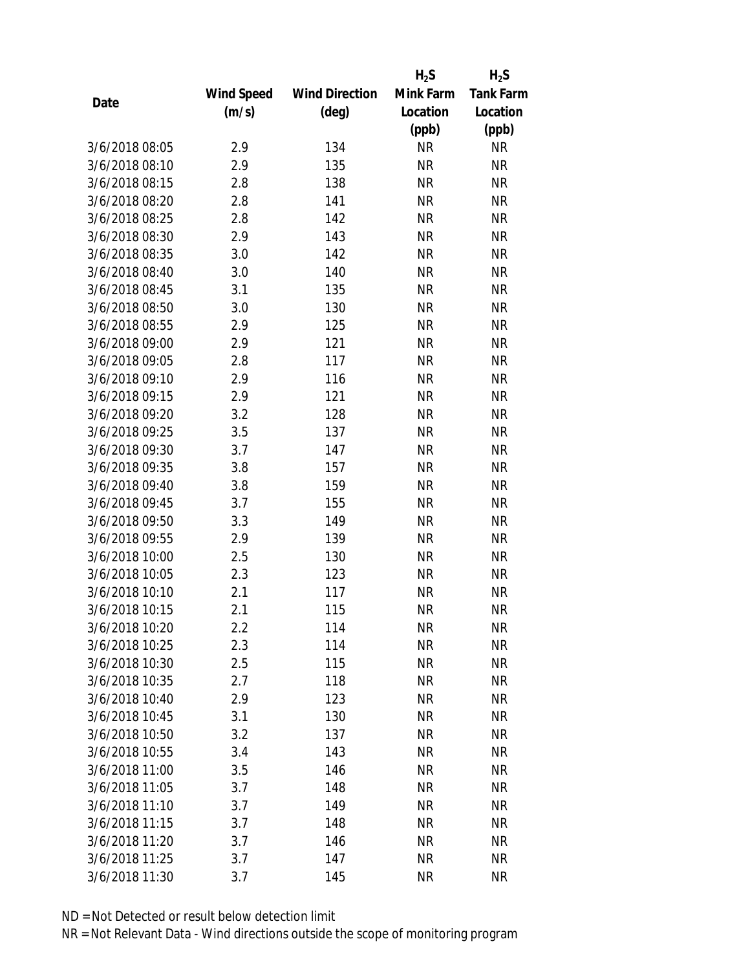|                |            |                       | $H_2S$    | $H_2S$           |
|----------------|------------|-----------------------|-----------|------------------|
|                | Wind Speed | <b>Wind Direction</b> | Mink Farm | <b>Tank Farm</b> |
| Date           | (m/s)      | $(\text{deg})$        | Location  | Location         |
|                |            |                       | (ppb)     | (ppb)            |
| 3/6/2018 08:05 | 2.9        | 134                   | <b>NR</b> | NR               |
| 3/6/2018 08:10 | 2.9        | 135                   | <b>NR</b> | <b>NR</b>        |
| 3/6/2018 08:15 | 2.8        | 138                   | <b>NR</b> | <b>NR</b>        |
| 3/6/2018 08:20 | 2.8        | 141                   | <b>NR</b> | <b>NR</b>        |
| 3/6/2018 08:25 | 2.8        | 142                   | <b>NR</b> | <b>NR</b>        |
| 3/6/2018 08:30 | 2.9        | 143                   | <b>NR</b> | <b>NR</b>        |
| 3/6/2018 08:35 | 3.0        | 142                   | <b>NR</b> | <b>NR</b>        |
| 3/6/2018 08:40 | 3.0        | 140                   | <b>NR</b> | <b>NR</b>        |
| 3/6/2018 08:45 | 3.1        | 135                   | <b>NR</b> | <b>NR</b>        |
| 3/6/2018 08:50 | 3.0        | 130                   | <b>NR</b> | <b>NR</b>        |
| 3/6/2018 08:55 | 2.9        | 125                   | <b>NR</b> | <b>NR</b>        |
| 3/6/2018 09:00 | 2.9        | 121                   | <b>NR</b> | <b>NR</b>        |
| 3/6/2018 09:05 | 2.8        | 117                   | <b>NR</b> | <b>NR</b>        |
| 3/6/2018 09:10 | 2.9        | 116                   | <b>NR</b> | <b>NR</b>        |
| 3/6/2018 09:15 | 2.9        | 121                   | <b>NR</b> | <b>NR</b>        |
| 3/6/2018 09:20 | 3.2        | 128                   | <b>NR</b> | <b>NR</b>        |
| 3/6/2018 09:25 | 3.5        | 137                   | <b>NR</b> | <b>NR</b>        |
| 3/6/2018 09:30 | 3.7        | 147                   | <b>NR</b> | <b>NR</b>        |
| 3/6/2018 09:35 | 3.8        | 157                   | <b>NR</b> | <b>NR</b>        |
| 3/6/2018 09:40 | 3.8        | 159                   | <b>NR</b> | <b>NR</b>        |
| 3/6/2018 09:45 | 3.7        | 155                   | <b>NR</b> | <b>NR</b>        |
| 3/6/2018 09:50 | 3.3        | 149                   | <b>NR</b> | <b>NR</b>        |
| 3/6/2018 09:55 | 2.9        | 139                   | <b>NR</b> | <b>NR</b>        |
| 3/6/2018 10:00 | 2.5        | 130                   | <b>NR</b> | <b>NR</b>        |
| 3/6/2018 10:05 | 2.3        | 123                   | <b>NR</b> | <b>NR</b>        |
| 3/6/2018 10:10 | 2.1        | 117                   | <b>NR</b> | <b>NR</b>        |
| 3/6/2018 10:15 | 2.1        | 115                   | <b>NR</b> | <b>NR</b>        |
| 3/6/2018 10:20 | 2.2        | 114                   | <b>NR</b> | <b>NR</b>        |
| 3/6/2018 10:25 | 2.3        | 114                   | <b>NR</b> | <b>NR</b>        |
| 3/6/2018 10:30 | 2.5        | 115                   | <b>NR</b> | <b>NR</b>        |
| 3/6/2018 10:35 | 2.7        | 118                   | <b>NR</b> | <b>NR</b>        |
| 3/6/2018 10:40 | 2.9        | 123                   | <b>NR</b> | <b>NR</b>        |
| 3/6/2018 10:45 | 3.1        | 130                   | <b>NR</b> | <b>NR</b>        |
| 3/6/2018 10:50 | 3.2        | 137                   | <b>NR</b> | <b>NR</b>        |
| 3/6/2018 10:55 | 3.4        | 143                   | <b>NR</b> | <b>NR</b>        |
| 3/6/2018 11:00 | 3.5        | 146                   | <b>NR</b> | <b>NR</b>        |
| 3/6/2018 11:05 | 3.7        | 148                   | <b>NR</b> | <b>NR</b>        |
| 3/6/2018 11:10 | 3.7        | 149                   | <b>NR</b> | <b>NR</b>        |
| 3/6/2018 11:15 | 3.7        | 148                   | <b>NR</b> | <b>NR</b>        |
| 3/6/2018 11:20 | 3.7        | 146                   | <b>NR</b> | <b>NR</b>        |
| 3/6/2018 11:25 | 3.7        | 147                   | <b>NR</b> | <b>NR</b>        |
| 3/6/2018 11:30 | 3.7        | 145                   | <b>NR</b> | <b>NR</b>        |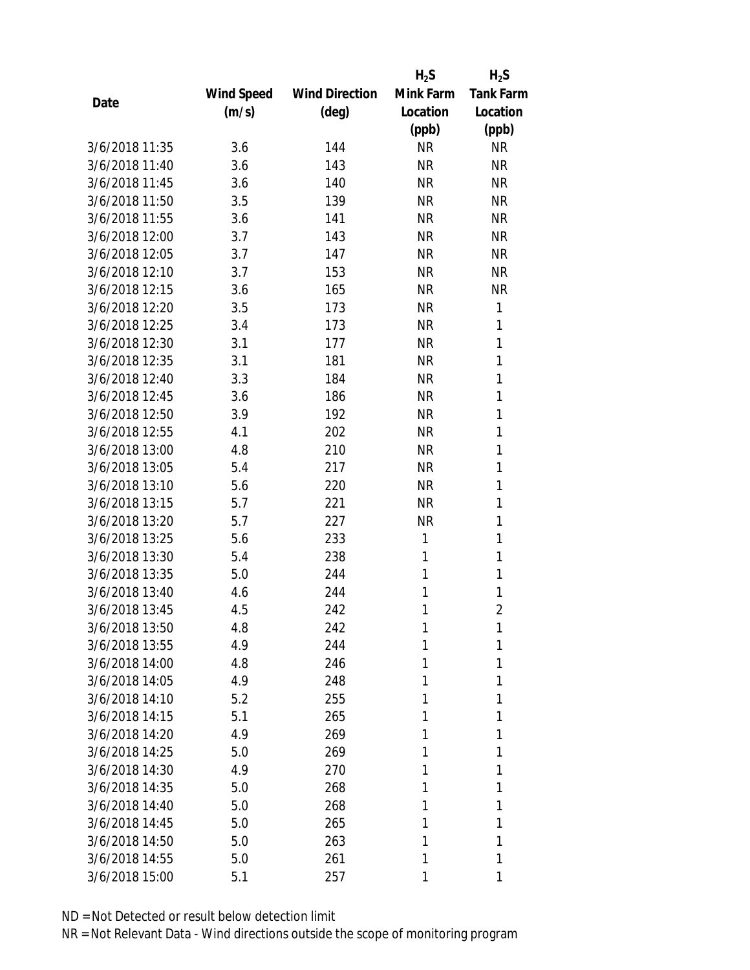|                |            |                       | $H_2S$    | $H_2S$           |
|----------------|------------|-----------------------|-----------|------------------|
|                | Wind Speed | <b>Wind Direction</b> | Mink Farm | <b>Tank Farm</b> |
| Date           | (m/s)      | $(\text{deg})$        | Location  | Location         |
|                |            |                       | (ppb)     | (ppb)            |
| 3/6/2018 11:35 | 3.6        | 144                   | <b>NR</b> | <b>NR</b>        |
| 3/6/2018 11:40 | 3.6        | 143                   | <b>NR</b> | <b>NR</b>        |
| 3/6/2018 11:45 | 3.6        | 140                   | <b>NR</b> | <b>NR</b>        |
| 3/6/2018 11:50 | 3.5        | 139                   | <b>NR</b> | <b>NR</b>        |
| 3/6/2018 11:55 | 3.6        | 141                   | <b>NR</b> | <b>NR</b>        |
| 3/6/2018 12:00 | 3.7        | 143                   | <b>NR</b> | <b>NR</b>        |
| 3/6/2018 12:05 | 3.7        | 147                   | <b>NR</b> | <b>NR</b>        |
| 3/6/2018 12:10 | 3.7        | 153                   | <b>NR</b> | <b>NR</b>        |
| 3/6/2018 12:15 | 3.6        | 165                   | <b>NR</b> | <b>NR</b>        |
| 3/6/2018 12:20 | 3.5        | 173                   | <b>NR</b> | 1                |
| 3/6/2018 12:25 | 3.4        | 173                   | <b>NR</b> | 1                |
| 3/6/2018 12:30 | 3.1        | 177                   | <b>NR</b> | 1                |
| 3/6/2018 12:35 | 3.1        | 181                   | <b>NR</b> | 1                |
| 3/6/2018 12:40 | 3.3        | 184                   | <b>NR</b> | 1                |
| 3/6/2018 12:45 | 3.6        | 186                   | <b>NR</b> | 1                |
| 3/6/2018 12:50 | 3.9        | 192                   | <b>NR</b> | 1                |
| 3/6/2018 12:55 | 4.1        | 202                   | <b>NR</b> | 1                |
| 3/6/2018 13:00 | 4.8        | 210                   | <b>NR</b> | 1                |
| 3/6/2018 13:05 | 5.4        | 217                   | <b>NR</b> | 1                |
| 3/6/2018 13:10 | 5.6        | 220                   | <b>NR</b> | 1                |
| 3/6/2018 13:15 | 5.7        | 221                   | <b>NR</b> | 1                |
| 3/6/2018 13:20 | 5.7        | 227                   | <b>NR</b> | 1                |
| 3/6/2018 13:25 | 5.6        | 233                   | 1         | 1                |
| 3/6/2018 13:30 | 5.4        | 238                   | 1         | 1                |
| 3/6/2018 13:35 | 5.0        | 244                   | 1         | 1                |
| 3/6/2018 13:40 | 4.6        | 244                   | 1         | 1                |
| 3/6/2018 13:45 | 4.5        | 242                   | 1         | $\overline{2}$   |
| 3/6/2018 13:50 | 4.8        | 242                   | 1         | 1                |
| 3/6/2018 13:55 | 4.9        | 244                   | 1         | 1                |
| 3/6/2018 14:00 | 4.8        | 246                   | 1         | 1                |
| 3/6/2018 14:05 | 4.9        | 248                   | 1         | 1                |
| 3/6/2018 14:10 | 5.2        | 255                   | 1         | 1                |
| 3/6/2018 14:15 | 5.1        | 265                   | 1         | 1                |
| 3/6/2018 14:20 | 4.9        | 269                   | 1         | 1                |
| 3/6/2018 14:25 | 5.0        | 269                   | 1         | 1                |
| 3/6/2018 14:30 | 4.9        | 270                   | 1         | 1                |
| 3/6/2018 14:35 | 5.0        | 268                   | 1         | 1                |
| 3/6/2018 14:40 | 5.0        | 268                   | 1         | 1                |
| 3/6/2018 14:45 | 5.0        | 265                   | 1         | 1                |
| 3/6/2018 14:50 | 5.0        | 263                   | 1         | 1                |
| 3/6/2018 14:55 | 5.0        | 261                   | 1         | 1                |
| 3/6/2018 15:00 | 5.1        | 257                   | 1         | 1                |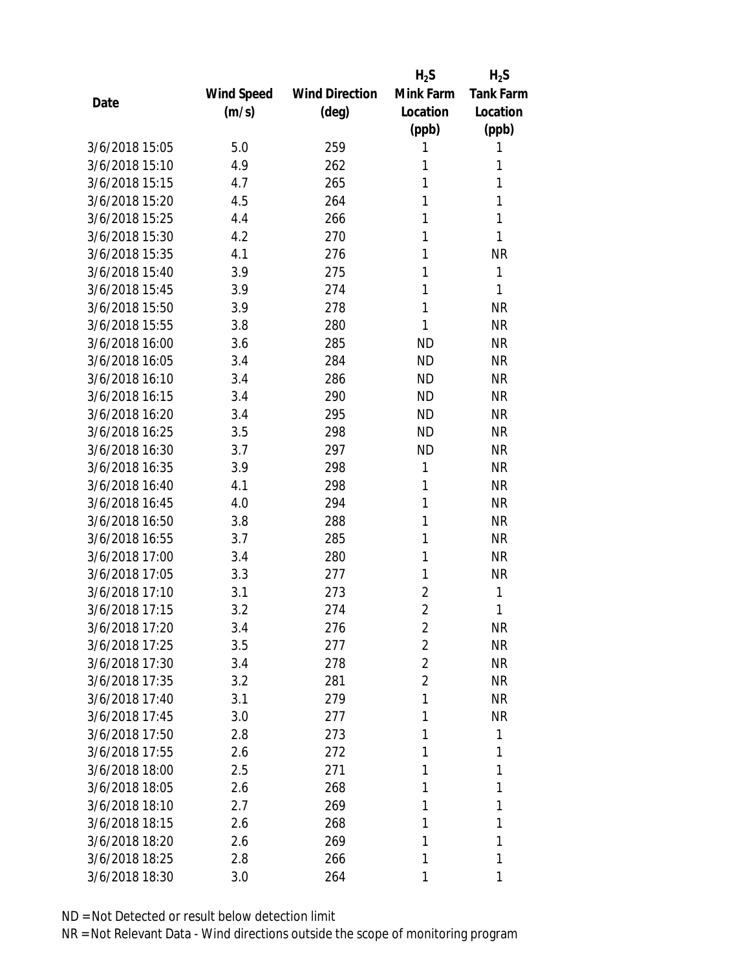|                |            |                       | $H_2S$         | $H_2S$           |
|----------------|------------|-----------------------|----------------|------------------|
|                | Wind Speed | <b>Wind Direction</b> | Mink Farm      | <b>Tank Farm</b> |
| Date           | (m/s)      | $(\text{deg})$        | Location       | Location         |
|                |            |                       | (ppb)          | (ppb)            |
| 3/6/2018 15:05 | 5.0        | 259                   | 1              | 1                |
| 3/6/2018 15:10 | 4.9        | 262                   | 1              | 1                |
| 3/6/2018 15:15 | 4.7        | 265                   | 1              | 1                |
| 3/6/2018 15:20 | 4.5        | 264                   | 1              | 1                |
| 3/6/2018 15:25 | 4.4        | 266                   | 1              | 1                |
| 3/6/2018 15:30 | 4.2        | 270                   | 1              | 1                |
| 3/6/2018 15:35 | 4.1        | 276                   | 1              | <b>NR</b>        |
| 3/6/2018 15:40 | 3.9        | 275                   | 1              | 1                |
| 3/6/2018 15:45 | 3.9        | 274                   | 1              | 1                |
| 3/6/2018 15:50 | 3.9        | 278                   | 1              | <b>NR</b>        |
| 3/6/2018 15:55 | 3.8        | 280                   | 1              | <b>NR</b>        |
| 3/6/2018 16:00 | 3.6        | 285                   | <b>ND</b>      | <b>NR</b>        |
| 3/6/2018 16:05 | 3.4        | 284                   | <b>ND</b>      | <b>NR</b>        |
| 3/6/2018 16:10 | 3.4        | 286                   | <b>ND</b>      | <b>NR</b>        |
| 3/6/2018 16:15 | 3.4        | 290                   | <b>ND</b>      | <b>NR</b>        |
| 3/6/2018 16:20 | 3.4        | 295                   | <b>ND</b>      | <b>NR</b>        |
| 3/6/2018 16:25 | 3.5        | 298                   | <b>ND</b>      | <b>NR</b>        |
| 3/6/2018 16:30 | 3.7        | 297                   | <b>ND</b>      | <b>NR</b>        |
| 3/6/2018 16:35 | 3.9        | 298                   | 1              | <b>NR</b>        |
| 3/6/2018 16:40 | 4.1        | 298                   | 1              | <b>NR</b>        |
| 3/6/2018 16:45 | 4.0        | 294                   | 1              | <b>NR</b>        |
| 3/6/2018 16:50 | 3.8        | 288                   | 1              | <b>NR</b>        |
| 3/6/2018 16:55 | 3.7        | 285                   | 1              | <b>NR</b>        |
| 3/6/2018 17:00 | 3.4        | 280                   | 1              | <b>NR</b>        |
| 3/6/2018 17:05 | 3.3        | 277                   | 1              | <b>NR</b>        |
| 3/6/2018 17:10 | 3.1        | 273                   | 2              | 1                |
| 3/6/2018 17:15 | 3.2        | 274                   | $\overline{2}$ | 1                |
| 3/6/2018 17:20 | 3.4        | 276                   | $\overline{2}$ | <b>NR</b>        |
| 3/6/2018 17:25 | 3.5        | 277                   | $\overline{2}$ | <b>NR</b>        |
| 3/6/2018 17:30 | 3.4        | 278                   | 2              | <b>NR</b>        |
| 3/6/2018 17:35 | 3.2        | 281                   | $\overline{2}$ | <b>NR</b>        |
| 3/6/2018 17:40 | 3.1        | 279                   | 1              | <b>NR</b>        |
| 3/6/2018 17:45 | 3.0        | 277                   | 1              | <b>NR</b>        |
| 3/6/2018 17:50 | 2.8        | 273                   | 1              | 1                |
| 3/6/2018 17:55 | 2.6        | 272                   | 1              | 1                |
| 3/6/2018 18:00 | 2.5        | 271                   | 1              | 1                |
| 3/6/2018 18:05 | 2.6        | 268                   | 1              | 1                |
| 3/6/2018 18:10 | 2.7        | 269                   | 1              | 1                |
| 3/6/2018 18:15 | 2.6        | 268                   | 1              | 1                |
| 3/6/2018 18:20 | 2.6        | 269                   | 1              | 1                |
| 3/6/2018 18:25 | 2.8        | 266                   | 1              | 1                |
| 3/6/2018 18:30 | 3.0        | 264                   | 1              | 1                |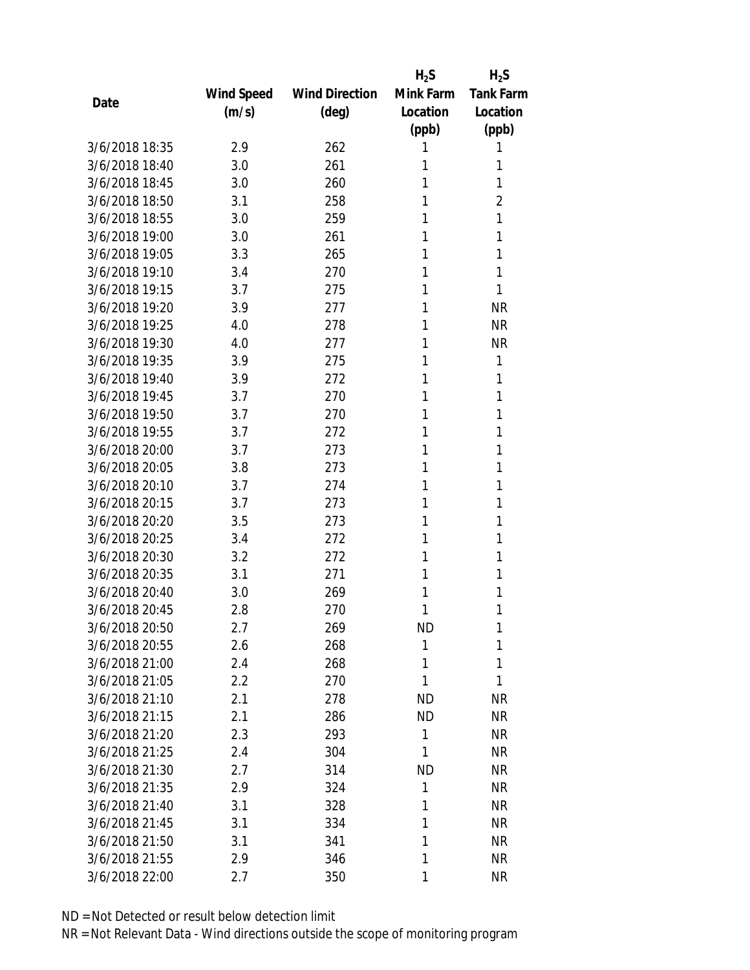|                |            |                       | $H_2S$    | $H_2S$           |
|----------------|------------|-----------------------|-----------|------------------|
|                | Wind Speed | <b>Wind Direction</b> | Mink Farm | <b>Tank Farm</b> |
| Date           | (m/s)      | $(\text{deg})$        | Location  | Location         |
|                |            |                       | (ppb)     | (ppb)            |
| 3/6/2018 18:35 | 2.9        | 262                   | 1         | 1                |
| 3/6/2018 18:40 | 3.0        | 261                   | 1         | 1                |
| 3/6/2018 18:45 | 3.0        | 260                   | 1         | 1                |
| 3/6/2018 18:50 | 3.1        | 258                   | 1         | $\overline{2}$   |
| 3/6/2018 18:55 | 3.0        | 259                   | 1         | 1                |
| 3/6/2018 19:00 | 3.0        | 261                   | 1         | 1                |
| 3/6/2018 19:05 | 3.3        | 265                   | 1         | 1                |
| 3/6/2018 19:10 | 3.4        | 270                   | 1         | 1                |
| 3/6/2018 19:15 | 3.7        | 275                   | 1         | 1                |
| 3/6/2018 19:20 | 3.9        | 277                   | 1         | <b>NR</b>        |
| 3/6/2018 19:25 | 4.0        | 278                   | 1         | <b>NR</b>        |
| 3/6/2018 19:30 | 4.0        | 277                   | 1         | <b>NR</b>        |
| 3/6/2018 19:35 | 3.9        | 275                   | 1         | 1                |
| 3/6/2018 19:40 | 3.9        | 272                   | 1         | 1                |
| 3/6/2018 19:45 | 3.7        | 270                   | 1         | 1                |
| 3/6/2018 19:50 | 3.7        | 270                   | 1         | 1                |
| 3/6/2018 19:55 | 3.7        | 272                   | 1         | 1                |
| 3/6/2018 20:00 | 3.7        | 273                   | 1         | 1                |
| 3/6/2018 20:05 | 3.8        | 273                   | 1         | 1                |
| 3/6/2018 20:10 | 3.7        | 274                   | 1         | 1                |
| 3/6/2018 20:15 | 3.7        | 273                   | 1         | 1                |
| 3/6/2018 20:20 | 3.5        | 273                   | 1         | 1                |
| 3/6/2018 20:25 | 3.4        | 272                   | 1         | 1                |
| 3/6/2018 20:30 | 3.2        | 272                   | 1         | 1                |
| 3/6/2018 20:35 | 3.1        | 271                   | 1         | 1                |
| 3/6/2018 20:40 | 3.0        | 269                   | 1         | 1                |
| 3/6/2018 20:45 | 2.8        | 270                   | 1         | 1                |
| 3/6/2018 20:50 | 2.7        | 269                   | <b>ND</b> | 1                |
| 3/6/2018 20:55 | 2.6        | 268                   | 1         | 1                |
| 3/6/2018 21:00 | 2.4        | 268                   | 1         | 1                |
| 3/6/2018 21:05 | 2.2        | 270                   | 1         | 1                |
| 3/6/2018 21:10 | 2.1        | 278                   | <b>ND</b> | <b>NR</b>        |
| 3/6/2018 21:15 | 2.1        | 286                   | <b>ND</b> | <b>NR</b>        |
| 3/6/2018 21:20 | 2.3        | 293                   | 1         | <b>NR</b>        |
| 3/6/2018 21:25 | 2.4        | 304                   | 1         | <b>NR</b>        |
| 3/6/2018 21:30 | 2.7        | 314                   | <b>ND</b> | <b>NR</b>        |
| 3/6/2018 21:35 | 2.9        | 324                   | 1         | <b>NR</b>        |
| 3/6/2018 21:40 | 3.1        | 328                   | 1         | <b>NR</b>        |
| 3/6/2018 21:45 | 3.1        | 334                   | 1         | <b>NR</b>        |
| 3/6/2018 21:50 | 3.1        | 341                   | 1         | <b>NR</b>        |
| 3/6/2018 21:55 | 2.9        | 346                   | 1         | <b>NR</b>        |
| 3/6/2018 22:00 | 2.7        | 350                   | 1         | <b>NR</b>        |
|                |            |                       |           |                  |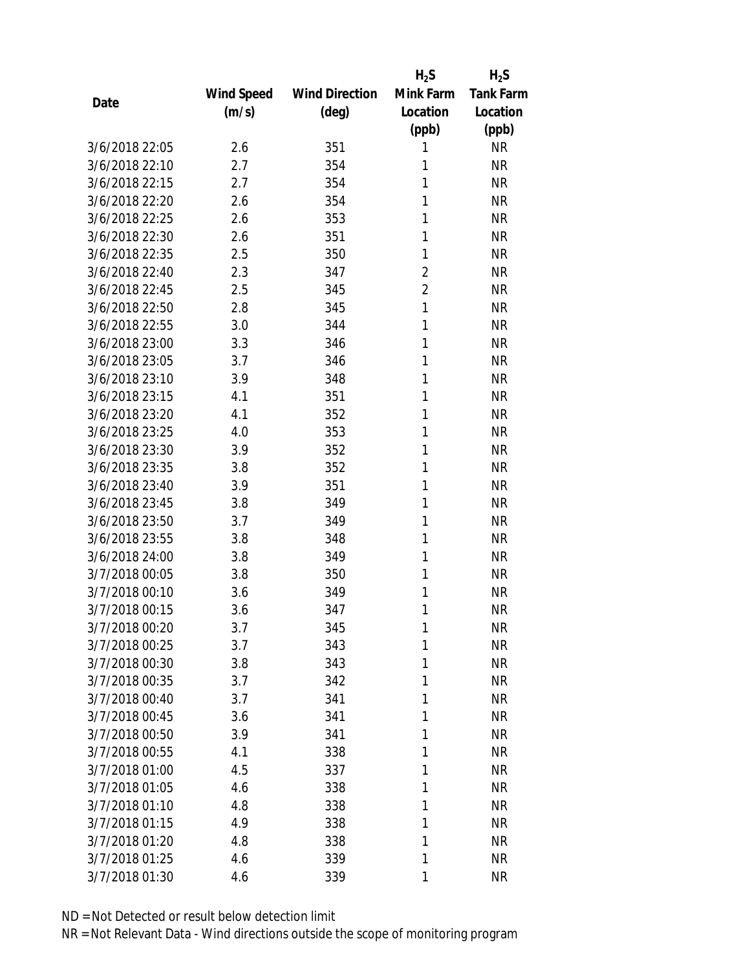|                |            |                       | $H_2S$         | $H_2S$           |
|----------------|------------|-----------------------|----------------|------------------|
|                | Wind Speed | <b>Wind Direction</b> | Mink Farm      | <b>Tank Farm</b> |
| Date           | (m/s)      | $(\text{deg})$        | Location       | Location         |
|                |            |                       | (ppb)          | (ppb)            |
| 3/6/2018 22:05 | 2.6        | 351                   | 1              | <b>NR</b>        |
| 3/6/2018 22:10 | 2.7        | 354                   | 1              | <b>NR</b>        |
| 3/6/2018 22:15 | 2.7        | 354                   | 1              | <b>NR</b>        |
| 3/6/2018 22:20 | 2.6        | 354                   | 1              | <b>NR</b>        |
| 3/6/2018 22:25 | 2.6        | 353                   | 1              | <b>NR</b>        |
| 3/6/2018 22:30 | 2.6        | 351                   | 1              | <b>NR</b>        |
| 3/6/2018 22:35 | 2.5        | 350                   | 1              | <b>NR</b>        |
| 3/6/2018 22:40 | 2.3        | 347                   | $\overline{2}$ | <b>NR</b>        |
| 3/6/2018 22:45 | 2.5        | 345                   | $\overline{2}$ | <b>NR</b>        |
| 3/6/2018 22:50 | 2.8        | 345                   | 1              | <b>NR</b>        |
| 3/6/2018 22:55 | 3.0        | 344                   | 1              | <b>NR</b>        |
| 3/6/2018 23:00 | 3.3        | 346                   | 1              | <b>NR</b>        |
| 3/6/2018 23:05 | 3.7        | 346                   | 1              | <b>NR</b>        |
| 3/6/2018 23:10 | 3.9        | 348                   | 1              | <b>NR</b>        |
| 3/6/2018 23:15 | 4.1        | 351                   | 1              | <b>NR</b>        |
| 3/6/2018 23:20 | 4.1        | 352                   | 1              | <b>NR</b>        |
| 3/6/2018 23:25 | 4.0        | 353                   | 1              | <b>NR</b>        |
| 3/6/2018 23:30 | 3.9        | 352                   | 1              | <b>NR</b>        |
| 3/6/2018 23:35 | 3.8        | 352                   | 1              | <b>NR</b>        |
| 3/6/2018 23:40 | 3.9        | 351                   | 1              | <b>NR</b>        |
| 3/6/2018 23:45 | 3.8        | 349                   | 1              | <b>NR</b>        |
| 3/6/2018 23:50 | 3.7        | 349                   | 1              | <b>NR</b>        |
| 3/6/2018 23:55 | 3.8        | 348                   | 1              | <b>NR</b>        |
| 3/6/2018 24:00 | 3.8        | 349                   | 1              | <b>NR</b>        |
| 3/7/2018 00:05 | 3.8        | 350                   | 1              | <b>NR</b>        |
| 3/7/2018 00:10 | 3.6        | 349                   | 1              | <b>NR</b>        |
| 3/7/2018 00:15 | 3.6        | 347                   | 1              | <b>NR</b>        |
| 3/7/2018 00:20 | 3.7        | 345                   | 1              | <b>NR</b>        |
| 3/7/2018 00:25 | 3.7        | 343                   | 1              | <b>NR</b>        |
| 3/7/2018 00:30 | 3.8        | 343                   | 1              | <b>NR</b>        |
| 3/7/2018 00:35 | 3.7        | 342                   | 1              | <b>NR</b>        |
| 3/7/2018 00:40 | 3.7        | 341                   | 1              | <b>NR</b>        |
| 3/7/2018 00:45 | 3.6        | 341                   | 1              | <b>NR</b>        |
| 3/7/2018 00:50 | 3.9        | 341                   | 1              | <b>NR</b>        |
| 3/7/2018 00:55 | 4.1        | 338                   | 1              | <b>NR</b>        |
| 3/7/2018 01:00 | 4.5        | 337                   | 1              | <b>NR</b>        |
| 3/7/2018 01:05 | 4.6        | 338                   | 1              | <b>NR</b>        |
| 3/7/2018 01:10 | 4.8        | 338                   | 1              | <b>NR</b>        |
| 3/7/2018 01:15 | 4.9        | 338                   | 1              | <b>NR</b>        |
| 3/7/2018 01:20 | 4.8        | 338                   | 1              | <b>NR</b>        |
| 3/7/2018 01:25 | 4.6        | 339                   | 1              | <b>NR</b>        |
| 3/7/2018 01:30 | 4.6        | 339                   | 1              | <b>NR</b>        |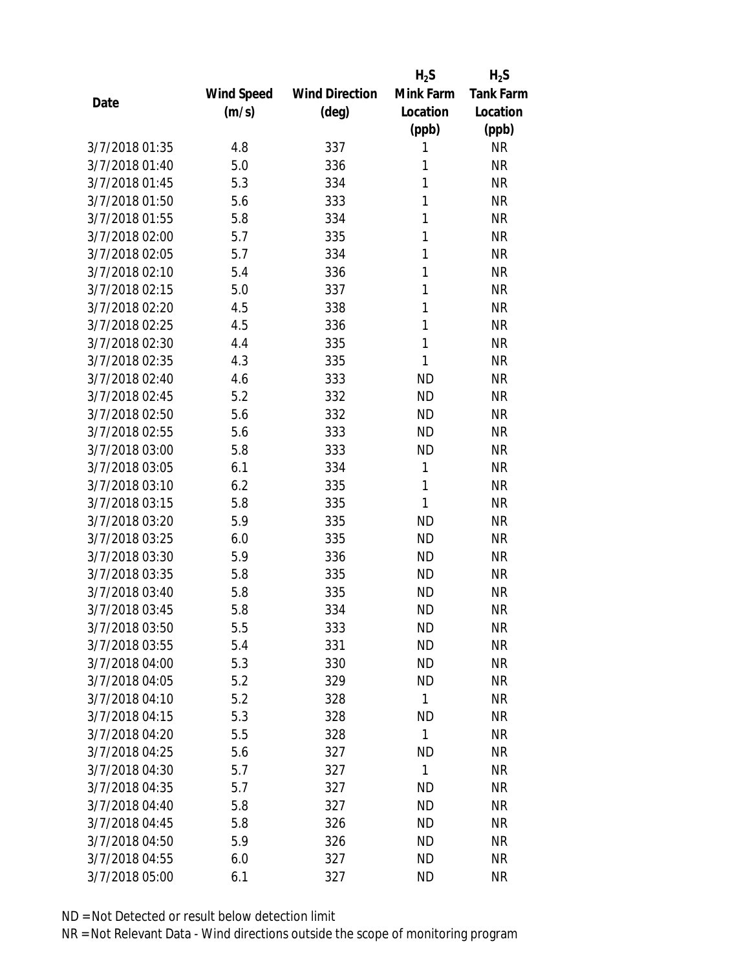|                |            |                       | $H_2S$       | $H_2S$           |
|----------------|------------|-----------------------|--------------|------------------|
|                | Wind Speed | <b>Wind Direction</b> | Mink Farm    | <b>Tank Farm</b> |
| Date           | (m/s)      | $(\text{deg})$        | Location     | Location         |
|                |            |                       | (ppb)        | (ppb)            |
| 3/7/2018 01:35 | 4.8        | 337                   | 1            | <b>NR</b>        |
| 3/7/2018 01:40 | 5.0        | 336                   | 1            | <b>NR</b>        |
| 3/7/2018 01:45 | 5.3        | 334                   | 1            | <b>NR</b>        |
| 3/7/2018 01:50 | 5.6        | 333                   | 1            | <b>NR</b>        |
| 3/7/2018 01:55 | 5.8        | 334                   | 1            | <b>NR</b>        |
| 3/7/2018 02:00 | 5.7        | 335                   | 1            | <b>NR</b>        |
| 3/7/2018 02:05 | 5.7        | 334                   | 1            | <b>NR</b>        |
| 3/7/2018 02:10 | 5.4        | 336                   | 1            | <b>NR</b>        |
| 3/7/2018 02:15 | 5.0        | 337                   | 1            | <b>NR</b>        |
| 3/7/2018 02:20 | 4.5        | 338                   | 1            | <b>NR</b>        |
| 3/7/2018 02:25 | 4.5        | 336                   | 1            | <b>NR</b>        |
| 3/7/2018 02:30 | 4.4        | 335                   | 1            | <b>NR</b>        |
| 3/7/2018 02:35 | 4.3        | 335                   | 1            | <b>NR</b>        |
| 3/7/2018 02:40 | 4.6        | 333                   | <b>ND</b>    | <b>NR</b>        |
| 3/7/2018 02:45 | 5.2        | 332                   | <b>ND</b>    | <b>NR</b>        |
| 3/7/2018 02:50 | 5.6        | 332                   | <b>ND</b>    | <b>NR</b>        |
| 3/7/2018 02:55 | 5.6        | 333                   | <b>ND</b>    | <b>NR</b>        |
| 3/7/2018 03:00 | 5.8        | 333                   | <b>ND</b>    | <b>NR</b>        |
| 3/7/2018 03:05 | 6.1        | 334                   | 1            | <b>NR</b>        |
| 3/7/2018 03:10 | 6.2        | 335                   | 1            | <b>NR</b>        |
| 3/7/2018 03:15 | 5.8        | 335                   | 1            | <b>NR</b>        |
| 3/7/2018 03:20 | 5.9        | 335                   | <b>ND</b>    | <b>NR</b>        |
| 3/7/2018 03:25 | 6.0        | 335                   | <b>ND</b>    | <b>NR</b>        |
| 3/7/2018 03:30 | 5.9        | 336                   | <b>ND</b>    | <b>NR</b>        |
| 3/7/2018 03:35 | 5.8        | 335                   | <b>ND</b>    | <b>NR</b>        |
| 3/7/2018 03:40 | 5.8        | 335                   | <b>ND</b>    | <b>NR</b>        |
| 3/7/2018 03:45 | 5.8        | 334                   | <b>ND</b>    | <b>NR</b>        |
| 3/7/2018 03:50 | 5.5        | 333                   | <b>ND</b>    | <b>NR</b>        |
| 3/7/2018 03:55 | 5.4        | 331                   | <b>ND</b>    | <b>NR</b>        |
| 3/7/2018 04:00 | 5.3        | 330                   | <b>ND</b>    | <b>NR</b>        |
| 3/7/2018 04:05 | 5.2        | 329                   | <b>ND</b>    | <b>NR</b>        |
| 3/7/2018 04:10 | 5.2        | 328                   | 1            | <b>NR</b>        |
| 3/7/2018 04:15 | 5.3        | 328                   | <b>ND</b>    | <b>NR</b>        |
| 3/7/2018 04:20 | 5.5        | 328                   | $\mathbf{1}$ | <b>NR</b>        |
| 3/7/2018 04:25 | 5.6        | 327                   | <b>ND</b>    | <b>NR</b>        |
| 3/7/2018 04:30 | 5.7        | 327                   | 1            | <b>NR</b>        |
| 3/7/2018 04:35 | 5.7        | 327                   | <b>ND</b>    | <b>NR</b>        |
| 3/7/2018 04:40 | 5.8        | 327                   | <b>ND</b>    | <b>NR</b>        |
| 3/7/2018 04:45 | 5.8        | 326                   | <b>ND</b>    | <b>NR</b>        |
| 3/7/2018 04:50 | 5.9        | 326                   | <b>ND</b>    | <b>NR</b>        |
| 3/7/2018 04:55 | 6.0        | 327                   | <b>ND</b>    | <b>NR</b>        |
| 3/7/2018 05:00 | 6.1        | 327                   | <b>ND</b>    | <b>NR</b>        |
|                |            |                       |              |                  |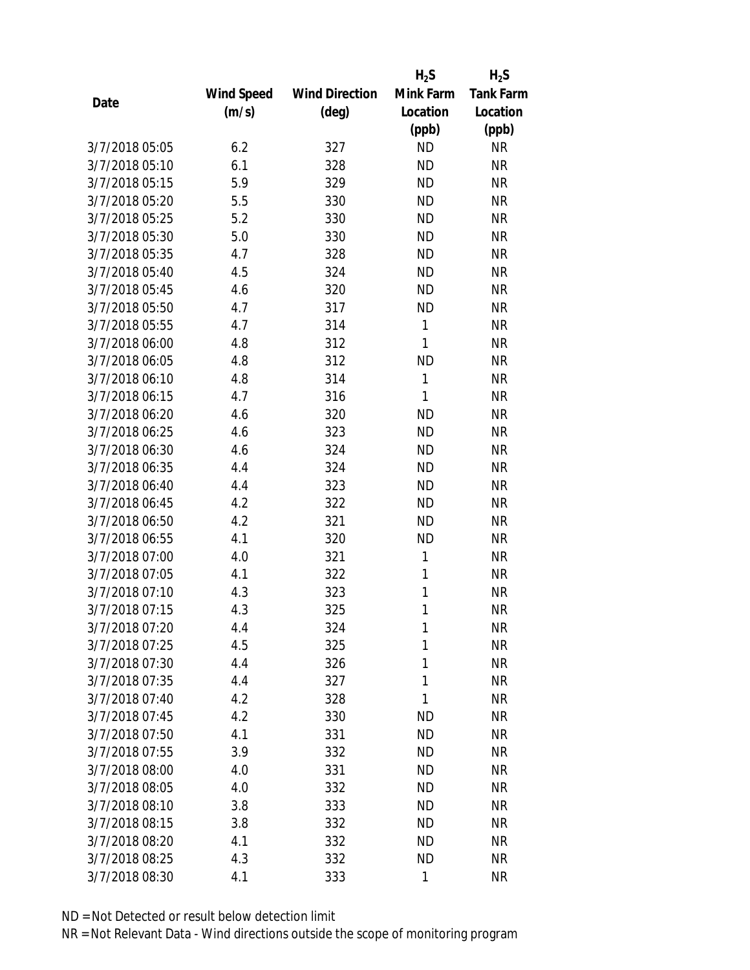|                |            |                       | $H_2S$    | $H_2S$           |
|----------------|------------|-----------------------|-----------|------------------|
|                | Wind Speed | <b>Wind Direction</b> | Mink Farm | <b>Tank Farm</b> |
| Date           | (m/s)      | $(\text{deg})$        | Location  | Location         |
|                |            |                       | (ppb)     | (ppb)            |
| 3/7/2018 05:05 | 6.2        | 327                   | <b>ND</b> | <b>NR</b>        |
| 3/7/2018 05:10 | 6.1        | 328                   | <b>ND</b> | <b>NR</b>        |
| 3/7/2018 05:15 | 5.9        | 329                   | <b>ND</b> | <b>NR</b>        |
| 3/7/2018 05:20 | 5.5        | 330                   | <b>ND</b> | <b>NR</b>        |
| 3/7/2018 05:25 | 5.2        | 330                   | <b>ND</b> | <b>NR</b>        |
| 3/7/2018 05:30 | 5.0        | 330                   | <b>ND</b> | <b>NR</b>        |
| 3/7/2018 05:35 | 4.7        | 328                   | <b>ND</b> | <b>NR</b>        |
| 3/7/2018 05:40 | 4.5        | 324                   | <b>ND</b> | <b>NR</b>        |
| 3/7/2018 05:45 | 4.6        | 320                   | <b>ND</b> | <b>NR</b>        |
| 3/7/2018 05:50 | 4.7        | 317                   | <b>ND</b> | <b>NR</b>        |
| 3/7/2018 05:55 | 4.7        | 314                   | 1         | <b>NR</b>        |
| 3/7/2018 06:00 | 4.8        | 312                   | 1         | <b>NR</b>        |
| 3/7/2018 06:05 | 4.8        | 312                   | <b>ND</b> | <b>NR</b>        |
| 3/7/2018 06:10 | 4.8        | 314                   | 1         | <b>NR</b>        |
| 3/7/2018 06:15 | 4.7        | 316                   | 1         | <b>NR</b>        |
| 3/7/2018 06:20 | 4.6        | 320                   | <b>ND</b> | <b>NR</b>        |
| 3/7/2018 06:25 | 4.6        | 323                   | <b>ND</b> | <b>NR</b>        |
| 3/7/2018 06:30 | 4.6        | 324                   | <b>ND</b> | <b>NR</b>        |
| 3/7/2018 06:35 | 4.4        | 324                   | <b>ND</b> | <b>NR</b>        |
| 3/7/2018 06:40 | 4.4        | 323                   | <b>ND</b> | <b>NR</b>        |
| 3/7/2018 06:45 | 4.2        | 322                   | <b>ND</b> | <b>NR</b>        |
| 3/7/2018 06:50 | 4.2        | 321                   | <b>ND</b> | <b>NR</b>        |
| 3/7/2018 06:55 | 4.1        | 320                   | <b>ND</b> | <b>NR</b>        |
| 3/7/2018 07:00 | 4.0        | 321                   | 1         | <b>NR</b>        |
| 3/7/2018 07:05 | 4.1        | 322                   | 1         | <b>NR</b>        |
| 3/7/2018 07:10 | 4.3        | 323                   | 1         | <b>NR</b>        |
| 3/7/2018 07:15 | 4.3        | 325                   | 1         | <b>NR</b>        |
| 3/7/2018 07:20 | 4.4        | 324                   | 1         | <b>NR</b>        |
| 3/7/2018 07:25 | 4.5        | 325                   | 1         | <b>NR</b>        |
| 3/7/2018 07:30 | 4.4        | 326                   | 1         | <b>NR</b>        |
| 3/7/2018 07:35 | 4.4        | 327                   | 1         | <b>NR</b>        |
| 3/7/2018 07:40 | 4.2        | 328                   | 1         | <b>NR</b>        |
| 3/7/2018 07:45 | 4.2        | 330                   | <b>ND</b> | <b>NR</b>        |
| 3/7/2018 07:50 | 4.1        | 331                   | <b>ND</b> | <b>NR</b>        |
| 3/7/2018 07:55 | 3.9        | 332                   | <b>ND</b> | <b>NR</b>        |
| 3/7/2018 08:00 | 4.0        | 331                   | <b>ND</b> | <b>NR</b>        |
| 3/7/2018 08:05 | 4.0        | 332                   | <b>ND</b> | <b>NR</b>        |
| 3/7/2018 08:10 | 3.8        | 333                   | <b>ND</b> | <b>NR</b>        |
| 3/7/2018 08:15 | 3.8        | 332                   | <b>ND</b> | <b>NR</b>        |
| 3/7/2018 08:20 | 4.1        | 332                   | <b>ND</b> | <b>NR</b>        |
| 3/7/2018 08:25 | 4.3        | 332                   | <b>ND</b> | <b>NR</b>        |
| 3/7/2018 08:30 | 4.1        | 333                   | 1         | <b>NR</b>        |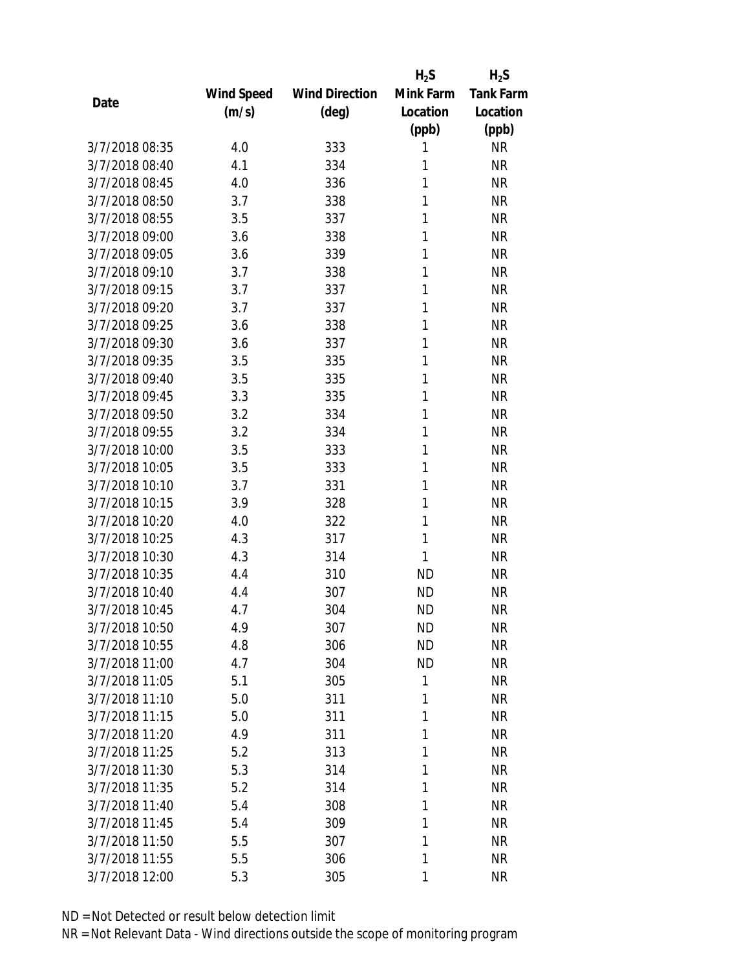|                |            |                       | $H_2S$    | $H_2S$           |
|----------------|------------|-----------------------|-----------|------------------|
|                | Wind Speed | <b>Wind Direction</b> | Mink Farm | <b>Tank Farm</b> |
| Date           | (m/s)      | (deg)                 | Location  | Location         |
|                |            |                       | (ppb)     | (ppb)            |
| 3/7/2018 08:35 | 4.0        | 333                   | 1         | <b>NR</b>        |
| 3/7/2018 08:40 | 4.1        | 334                   | 1         | <b>NR</b>        |
| 3/7/2018 08:45 | 4.0        | 336                   | 1         | <b>NR</b>        |
| 3/7/2018 08:50 | 3.7        | 338                   | 1         | <b>NR</b>        |
| 3/7/2018 08:55 | 3.5        | 337                   | 1         | <b>NR</b>        |
| 3/7/2018 09:00 | 3.6        | 338                   | 1         | <b>NR</b>        |
| 3/7/2018 09:05 | 3.6        | 339                   | 1         | <b>NR</b>        |
| 3/7/2018 09:10 | 3.7        | 338                   | 1         | <b>NR</b>        |
| 3/7/2018 09:15 | 3.7        | 337                   | 1         | <b>NR</b>        |
| 3/7/2018 09:20 | 3.7        | 337                   | 1         | <b>NR</b>        |
| 3/7/2018 09:25 | 3.6        | 338                   | 1         | <b>NR</b>        |
| 3/7/2018 09:30 | 3.6        | 337                   | 1         | <b>NR</b>        |
| 3/7/2018 09:35 | 3.5        | 335                   | 1         | <b>NR</b>        |
| 3/7/2018 09:40 | 3.5        | 335                   | 1         | <b>NR</b>        |
| 3/7/2018 09:45 | 3.3        | 335                   | 1         | <b>NR</b>        |
| 3/7/2018 09:50 | 3.2        | 334                   | 1         | <b>NR</b>        |
| 3/7/2018 09:55 | 3.2        | 334                   | 1         | <b>NR</b>        |
| 3/7/2018 10:00 | 3.5        | 333                   | 1         | <b>NR</b>        |
| 3/7/2018 10:05 | 3.5        | 333                   | 1         | <b>NR</b>        |
| 3/7/2018 10:10 | 3.7        | 331                   | 1         | <b>NR</b>        |
| 3/7/2018 10:15 | 3.9        | 328                   | 1         | <b>NR</b>        |
| 3/7/2018 10:20 | 4.0        | 322                   | 1         | <b>NR</b>        |
| 3/7/2018 10:25 | 4.3        | 317                   | 1         | <b>NR</b>        |
| 3/7/2018 10:30 | 4.3        | 314                   | 1         | <b>NR</b>        |
| 3/7/2018 10:35 | 4.4        | 310                   | <b>ND</b> | <b>NR</b>        |
| 3/7/2018 10:40 | 4.4        | 307                   | <b>ND</b> | <b>NR</b>        |
| 3/7/2018 10:45 | 4.7        | 304                   | <b>ND</b> | <b>NR</b>        |
| 3/7/2018 10:50 | 4.9        | 307                   | <b>ND</b> | <b>NR</b>        |
| 3/7/2018 10:55 | 4.8        | 306                   | <b>ND</b> | <b>NR</b>        |
| 3/7/2018 11:00 | 4.7        | 304                   | <b>ND</b> | <b>NR</b>        |
| 3/7/2018 11:05 | 5.1        | 305                   | 1         | <b>NR</b>        |
| 3/7/2018 11:10 | 5.0        | 311                   | 1         | <b>NR</b>        |
| 3/7/2018 11:15 | 5.0        | 311                   | 1         | <b>NR</b>        |
| 3/7/2018 11:20 | 4.9        | 311                   | 1         | <b>NR</b>        |
| 3/7/2018 11:25 | 5.2        | 313                   | 1         | <b>NR</b>        |
| 3/7/2018 11:30 | 5.3        | 314                   | 1         | <b>NR</b>        |
| 3/7/2018 11:35 | 5.2        | 314                   | 1         | <b>NR</b>        |
| 3/7/2018 11:40 | 5.4        | 308                   | 1         | <b>NR</b>        |
| 3/7/2018 11:45 | 5.4        | 309                   | 1         | <b>NR</b>        |
| 3/7/2018 11:50 | 5.5        | 307                   | 1         | <b>NR</b>        |
| 3/7/2018 11:55 | 5.5        | 306                   | 1         | <b>NR</b>        |
| 3/7/2018 12:00 | 5.3        | 305                   | 1         | <b>NR</b>        |
|                |            |                       |           |                  |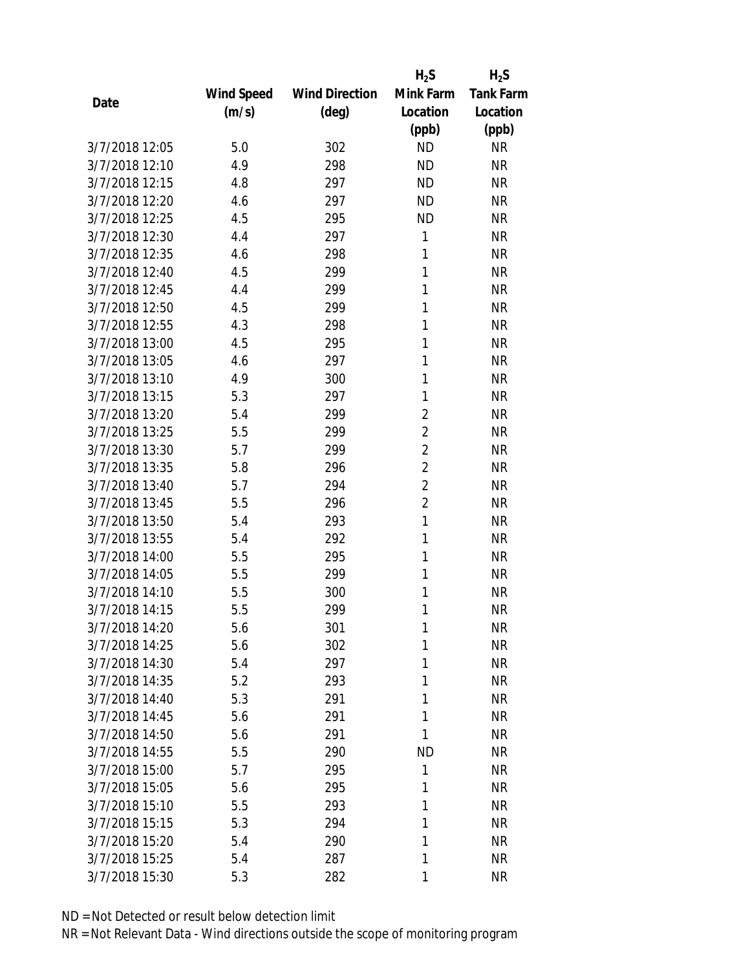|                |                   |                       | $H_2S$         | $H_2S$           |
|----------------|-------------------|-----------------------|----------------|------------------|
|                | <b>Wind Speed</b> | <b>Wind Direction</b> | Mink Farm      | <b>Tank Farm</b> |
| Date           | (m/s)             | (deg)                 | Location       | Location         |
|                |                   |                       | (ppb)          | (ppb)            |
| 3/7/2018 12:05 | 5.0               | 302                   | <b>ND</b>      | <b>NR</b>        |
| 3/7/2018 12:10 | 4.9               | 298                   | <b>ND</b>      | <b>NR</b>        |
| 3/7/2018 12:15 | 4.8               | 297                   | <b>ND</b>      | <b>NR</b>        |
| 3/7/2018 12:20 | 4.6               | 297                   | <b>ND</b>      | <b>NR</b>        |
| 3/7/2018 12:25 | 4.5               | 295                   | <b>ND</b>      | <b>NR</b>        |
| 3/7/2018 12:30 | 4.4               | 297                   | 1              | <b>NR</b>        |
| 3/7/2018 12:35 | 4.6               | 298                   | 1              | <b>NR</b>        |
| 3/7/2018 12:40 | 4.5               | 299                   | 1              | <b>NR</b>        |
| 3/7/2018 12:45 | 4.4               | 299                   | 1              | <b>NR</b>        |
| 3/7/2018 12:50 | 4.5               | 299                   | 1              | <b>NR</b>        |
| 3/7/2018 12:55 | 4.3               | 298                   | 1              | <b>NR</b>        |
| 3/7/2018 13:00 | 4.5               | 295                   | 1              | <b>NR</b>        |
| 3/7/2018 13:05 | 4.6               | 297                   | 1              | <b>NR</b>        |
| 3/7/2018 13:10 | 4.9               | 300                   | 1              | <b>NR</b>        |
| 3/7/2018 13:15 | 5.3               | 297                   | 1              | <b>NR</b>        |
| 3/7/2018 13:20 | 5.4               | 299                   | $\overline{2}$ | <b>NR</b>        |
| 3/7/2018 13:25 | 5.5               | 299                   | $\overline{2}$ | <b>NR</b>        |
| 3/7/2018 13:30 | 5.7               | 299                   | $\overline{2}$ | <b>NR</b>        |
| 3/7/2018 13:35 | 5.8               | 296                   | $\overline{2}$ | <b>NR</b>        |
| 3/7/2018 13:40 | 5.7               | 294                   | $\overline{2}$ | <b>NR</b>        |
| 3/7/2018 13:45 | 5.5               | 296                   | $\overline{2}$ | <b>NR</b>        |
| 3/7/2018 13:50 | 5.4               | 293                   | 1              | <b>NR</b>        |
| 3/7/2018 13:55 | 5.4               | 292                   | 1              | <b>NR</b>        |
| 3/7/2018 14:00 | 5.5               | 295                   | 1              | <b>NR</b>        |
| 3/7/2018 14:05 | 5.5               | 299                   | 1              | <b>NR</b>        |
| 3/7/2018 14:10 | 5.5               | 300                   | 1              | <b>NR</b>        |
| 3/7/2018 14:15 | 5.5               | 299                   | 1              | <b>NR</b>        |
| 3/7/2018 14:20 | 5.6               | 301                   | 1              | <b>NR</b>        |
| 3/7/2018 14:25 | 5.6               | 302                   | 1              | <b>NR</b>        |
| 3/7/2018 14:30 | 5.4               | 297                   | 1              | <b>NR</b>        |
| 3/7/2018 14:35 | 5.2               | 293                   | 1              | <b>NR</b>        |
| 3/7/2018 14:40 | 5.3               | 291                   | 1              | <b>NR</b>        |
| 3/7/2018 14:45 | 5.6               | 291                   | 1              | <b>NR</b>        |
| 3/7/2018 14:50 | 5.6               | 291                   | 1              | <b>NR</b>        |
| 3/7/2018 14:55 | 5.5               | 290                   | <b>ND</b>      | <b>NR</b>        |
| 3/7/2018 15:00 | 5.7               | 295                   | 1              | <b>NR</b>        |
| 3/7/2018 15:05 | 5.6               | 295                   | 1              | <b>NR</b>        |
| 3/7/2018 15:10 | 5.5               | 293                   | 1              | <b>NR</b>        |
| 3/7/2018 15:15 | 5.3               | 294                   | 1              | <b>NR</b>        |
| 3/7/2018 15:20 | 5.4               | 290                   | 1              | <b>NR</b>        |
| 3/7/2018 15:25 | 5.4               | 287                   | 1              | <b>NR</b>        |
| 3/7/2018 15:30 | 5.3               | 282                   | 1              | <b>NR</b>        |
|                |                   |                       |                |                  |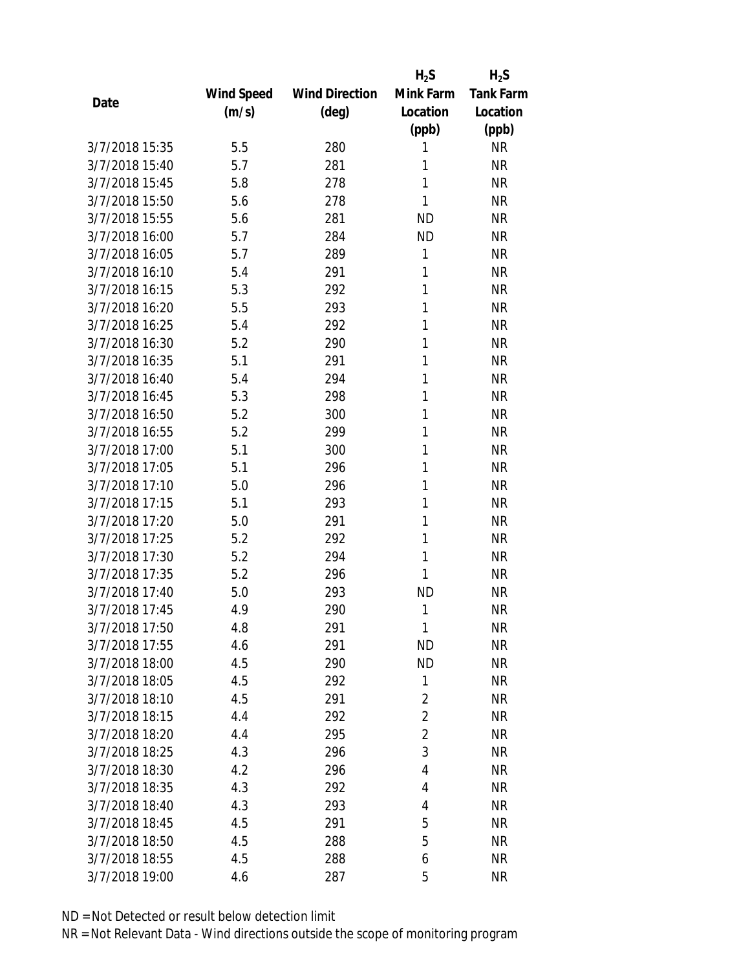|                |            |                       | $H_2S$         | $H_2S$           |
|----------------|------------|-----------------------|----------------|------------------|
|                | Wind Speed | <b>Wind Direction</b> | Mink Farm      | <b>Tank Farm</b> |
| Date           | (m/s)      | (deg)                 | Location       | Location         |
|                |            |                       | (ppb)          | (ppb)            |
| 3/7/2018 15:35 | 5.5        | 280                   | 1              | <b>NR</b>        |
| 3/7/2018 15:40 | 5.7        | 281                   | 1              | <b>NR</b>        |
| 3/7/2018 15:45 | 5.8        | 278                   | 1              | <b>NR</b>        |
| 3/7/2018 15:50 | 5.6        | 278                   | 1              | <b>NR</b>        |
| 3/7/2018 15:55 | 5.6        | 281                   | <b>ND</b>      | <b>NR</b>        |
| 3/7/2018 16:00 | 5.7        | 284                   | <b>ND</b>      | <b>NR</b>        |
| 3/7/2018 16:05 | 5.7        | 289                   | 1              | <b>NR</b>        |
| 3/7/2018 16:10 | 5.4        | 291                   | 1              | <b>NR</b>        |
| 3/7/2018 16:15 | 5.3        | 292                   | 1              | <b>NR</b>        |
| 3/7/2018 16:20 | 5.5        | 293                   | 1              | <b>NR</b>        |
| 3/7/2018 16:25 | 5.4        | 292                   | 1              | <b>NR</b>        |
| 3/7/2018 16:30 | 5.2        | 290                   | 1              | <b>NR</b>        |
| 3/7/2018 16:35 | 5.1        | 291                   | 1              | <b>NR</b>        |
| 3/7/2018 16:40 | 5.4        | 294                   | 1              | <b>NR</b>        |
| 3/7/2018 16:45 | 5.3        | 298                   | 1              | <b>NR</b>        |
| 3/7/2018 16:50 | 5.2        | 300                   | 1              | <b>NR</b>        |
| 3/7/2018 16:55 | 5.2        | 299                   | 1              | <b>NR</b>        |
| 3/7/2018 17:00 | 5.1        | 300                   | 1              | <b>NR</b>        |
| 3/7/2018 17:05 | 5.1        | 296                   | 1              | <b>NR</b>        |
| 3/7/2018 17:10 | 5.0        | 296                   | 1              | <b>NR</b>        |
| 3/7/2018 17:15 | 5.1        | 293                   | 1              | <b>NR</b>        |
| 3/7/2018 17:20 | 5.0        | 291                   | 1              | <b>NR</b>        |
| 3/7/2018 17:25 | 5.2        | 292                   | 1              | <b>NR</b>        |
| 3/7/2018 17:30 | 5.2        | 294                   | 1              | <b>NR</b>        |
| 3/7/2018 17:35 | 5.2        | 296                   | 1              | <b>NR</b>        |
| 3/7/2018 17:40 | 5.0        | 293                   | <b>ND</b>      | <b>NR</b>        |
| 3/7/2018 17:45 | 4.9        | 290                   | 1              | <b>NR</b>        |
| 3/7/2018 17:50 | 4.8        | 291                   | 1              | <b>NR</b>        |
| 3/7/2018 17:55 | 4.6        | 291                   | <b>ND</b>      | <b>NR</b>        |
| 3/7/2018 18:00 | 4.5        | 290                   | <b>ND</b>      | <b>NR</b>        |
| 3/7/2018 18:05 | 4.5        | 292                   | 1              | <b>NR</b>        |
| 3/7/2018 18:10 | 4.5        | 291                   | $\overline{2}$ | <b>NR</b>        |
| 3/7/2018 18:15 | 4.4        | 292                   | 2              | <b>NR</b>        |
| 3/7/2018 18:20 | 4.4        | 295                   | $\overline{2}$ | <b>NR</b>        |
| 3/7/2018 18:25 | 4.3        | 296                   | 3              | <b>NR</b>        |
| 3/7/2018 18:30 | 4.2        | 296                   | 4              | <b>NR</b>        |
| 3/7/2018 18:35 | 4.3        | 292                   | 4              | <b>NR</b>        |
| 3/7/2018 18:40 | 4.3        | 293                   | 4              | <b>NR</b>        |
| 3/7/2018 18:45 | 4.5        | 291                   | 5              | <b>NR</b>        |
| 3/7/2018 18:50 | 4.5        | 288                   | 5              | <b>NR</b>        |
| 3/7/2018 18:55 | 4.5        | 288                   | 6              | <b>NR</b>        |
| 3/7/2018 19:00 | 4.6        | 287                   | 5              | <b>NR</b>        |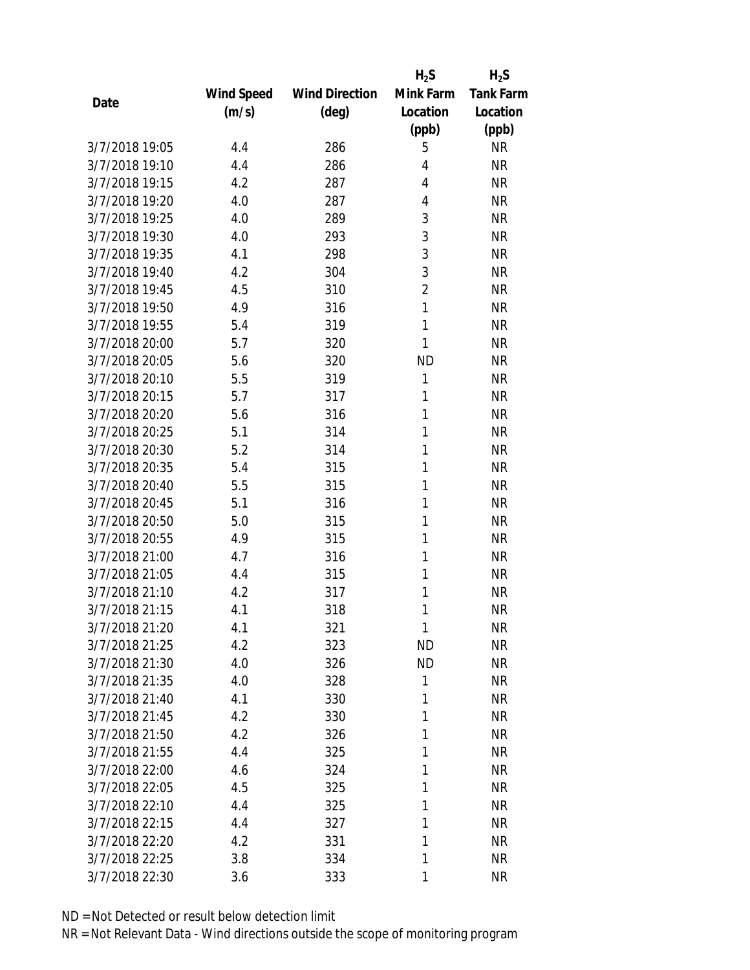|                |                   |                       | $H_2S$         | $H_2S$           |
|----------------|-------------------|-----------------------|----------------|------------------|
|                | <b>Wind Speed</b> | <b>Wind Direction</b> | Mink Farm      | <b>Tank Farm</b> |
| Date           | (m/s)             | $(\text{deg})$        | Location       | Location         |
|                |                   |                       | (ppb)          | (ppb)            |
| 3/7/2018 19:05 | 4.4               | 286                   | 5              | <b>NR</b>        |
| 3/7/2018 19:10 | 4.4               | 286                   | 4              | <b>NR</b>        |
| 3/7/2018 19:15 | 4.2               | 287                   | 4              | <b>NR</b>        |
| 3/7/2018 19:20 | 4.0               | 287                   | 4              | <b>NR</b>        |
| 3/7/2018 19:25 | 4.0               | 289                   | 3              | <b>NR</b>        |
| 3/7/2018 19:30 | 4.0               | 293                   | 3              | <b>NR</b>        |
| 3/7/2018 19:35 | 4.1               | 298                   | 3              | <b>NR</b>        |
| 3/7/2018 19:40 | 4.2               | 304                   | 3              | <b>NR</b>        |
| 3/7/2018 19:45 | 4.5               | 310                   | $\overline{2}$ | <b>NR</b>        |
| 3/7/2018 19:50 | 4.9               | 316                   | 1              | <b>NR</b>        |
| 3/7/2018 19:55 | 5.4               | 319                   | 1              | <b>NR</b>        |
| 3/7/2018 20:00 | 5.7               | 320                   | 1              | <b>NR</b>        |
| 3/7/2018 20:05 | 5.6               | 320                   | <b>ND</b>      | <b>NR</b>        |
| 3/7/2018 20:10 | 5.5               | 319                   | 1              | <b>NR</b>        |
| 3/7/2018 20:15 | 5.7               | 317                   | 1              | <b>NR</b>        |
| 3/7/2018 20:20 | 5.6               | 316                   | 1              | <b>NR</b>        |
| 3/7/2018 20:25 | 5.1               | 314                   | 1              | <b>NR</b>        |
| 3/7/2018 20:30 | 5.2               | 314                   | 1              | <b>NR</b>        |
| 3/7/2018 20:35 | 5.4               | 315                   | 1              | <b>NR</b>        |
| 3/7/2018 20:40 | 5.5               | 315                   | 1              | <b>NR</b>        |
| 3/7/2018 20:45 | 5.1               | 316                   | 1              | <b>NR</b>        |
| 3/7/2018 20:50 | 5.0               | 315                   | 1              | <b>NR</b>        |
| 3/7/2018 20:55 | 4.9               | 315                   | 1              | <b>NR</b>        |
| 3/7/2018 21:00 | 4.7               | 316                   | 1              | <b>NR</b>        |
| 3/7/2018 21:05 | 4.4               | 315                   | 1              | <b>NR</b>        |
| 3/7/2018 21:10 | 4.2               | 317                   | 1              | <b>NR</b>        |
| 3/7/2018 21:15 | 4.1               | 318                   | 1              | <b>NR</b>        |
| 3/7/2018 21:20 | 4.1               | 321                   | 1              | <b>NR</b>        |
| 3/7/2018 21:25 | 4.2               | 323                   | <b>ND</b>      | <b>NR</b>        |
| 3/7/2018 21:30 | 4.0               | 326                   | <b>ND</b>      | <b>NR</b>        |
| 3/7/2018 21:35 | 4.0               | 328                   | 1              | <b>NR</b>        |
| 3/7/2018 21:40 | 4.1               | 330                   | 1              | <b>NR</b>        |
| 3/7/2018 21:45 | 4.2               | 330                   | 1              | <b>NR</b>        |
| 3/7/2018 21:50 | 4.2               | 326                   | 1              | <b>NR</b>        |
| 3/7/2018 21:55 | 4.4               | 325                   | 1              | <b>NR</b>        |
| 3/7/2018 22:00 | 4.6               | 324                   | 1              | <b>NR</b>        |
| 3/7/2018 22:05 | 4.5               | 325                   | 1              | <b>NR</b>        |
| 3/7/2018 22:10 | 4.4               | 325                   | 1              | <b>NR</b>        |
| 3/7/2018 22:15 | 4.4               | 327                   | 1              | <b>NR</b>        |
| 3/7/2018 22:20 | 4.2               | 331                   | 1              | <b>NR</b>        |
| 3/7/2018 22:25 | 3.8               | 334                   | 1              | <b>NR</b>        |
| 3/7/2018 22:30 | 3.6               | 333                   | 1              | <b>NR</b>        |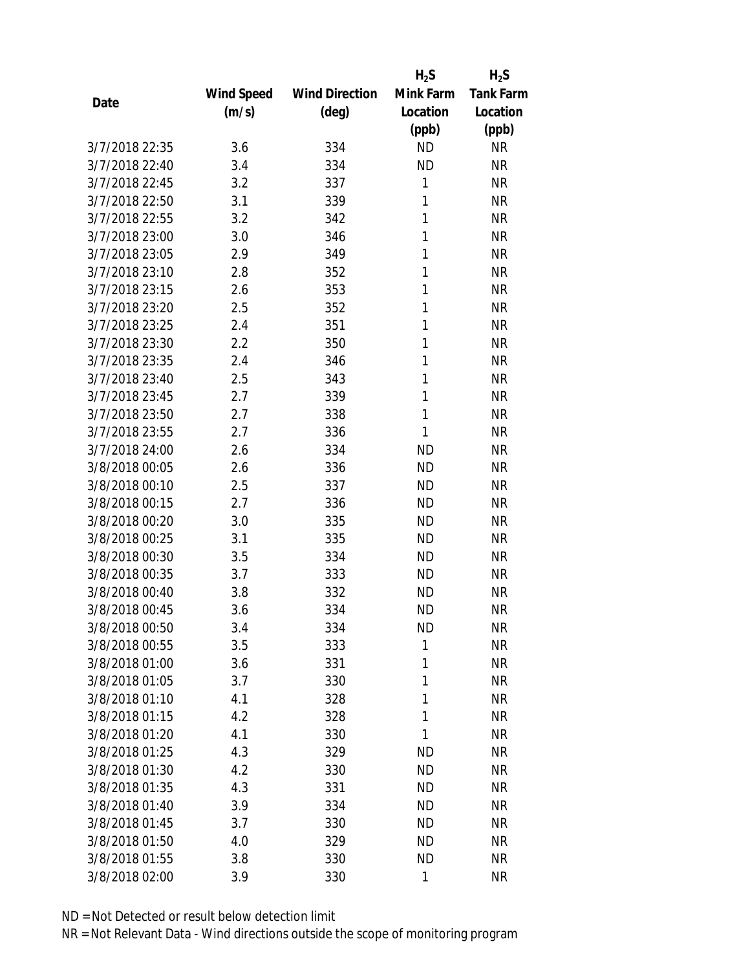|                |            |                       | $H_2S$    | $H_2S$           |
|----------------|------------|-----------------------|-----------|------------------|
|                | Wind Speed | <b>Wind Direction</b> | Mink Farm | <b>Tank Farm</b> |
| Date           | (m/s)      | $(\text{deg})$        | Location  | Location         |
|                |            |                       | (ppb)     | (ppb)            |
| 3/7/2018 22:35 | 3.6        | 334                   | <b>ND</b> | <b>NR</b>        |
| 3/7/2018 22:40 | 3.4        | 334                   | <b>ND</b> | <b>NR</b>        |
| 3/7/2018 22:45 | 3.2        | 337                   | 1         | <b>NR</b>        |
| 3/7/2018 22:50 | 3.1        | 339                   | 1         | <b>NR</b>        |
| 3/7/2018 22:55 | 3.2        | 342                   | 1         | <b>NR</b>        |
| 3/7/2018 23:00 | 3.0        | 346                   | 1         | <b>NR</b>        |
| 3/7/2018 23:05 | 2.9        | 349                   | 1         | <b>NR</b>        |
| 3/7/2018 23:10 | 2.8        | 352                   | 1         | <b>NR</b>        |
| 3/7/2018 23:15 | 2.6        | 353                   | 1         | <b>NR</b>        |
| 3/7/2018 23:20 | 2.5        | 352                   | 1         | <b>NR</b>        |
| 3/7/2018 23:25 | 2.4        | 351                   | 1         | <b>NR</b>        |
| 3/7/2018 23:30 | 2.2        | 350                   | 1         | <b>NR</b>        |
| 3/7/2018 23:35 | 2.4        | 346                   | 1         | <b>NR</b>        |
| 3/7/2018 23:40 | 2.5        | 343                   | 1         | <b>NR</b>        |
| 3/7/2018 23:45 | 2.7        | 339                   | 1         | <b>NR</b>        |
| 3/7/2018 23:50 | 2.7        | 338                   | 1         | <b>NR</b>        |
| 3/7/2018 23:55 | 2.7        | 336                   | 1         | <b>NR</b>        |
| 3/7/2018 24:00 | 2.6        | 334                   | <b>ND</b> | <b>NR</b>        |
| 3/8/2018 00:05 | 2.6        | 336                   | <b>ND</b> | <b>NR</b>        |
| 3/8/2018 00:10 | 2.5        | 337                   | <b>ND</b> | <b>NR</b>        |
| 3/8/2018 00:15 | 2.7        | 336                   | <b>ND</b> | <b>NR</b>        |
| 3/8/2018 00:20 | 3.0        | 335                   | <b>ND</b> | <b>NR</b>        |
| 3/8/2018 00:25 | 3.1        | 335                   | <b>ND</b> | <b>NR</b>        |
| 3/8/2018 00:30 | 3.5        | 334                   | <b>ND</b> | <b>NR</b>        |
| 3/8/2018 00:35 | 3.7        | 333                   | <b>ND</b> | <b>NR</b>        |
| 3/8/2018 00:40 | 3.8        | 332                   | <b>ND</b> | <b>NR</b>        |
| 3/8/2018 00:45 | 3.6        | 334                   | <b>ND</b> | <b>NR</b>        |
| 3/8/2018 00:50 | 3.4        | 334                   | <b>ND</b> | <b>NR</b>        |
| 3/8/2018 00:55 | 3.5        | 333                   | 1         | <b>NR</b>        |
| 3/8/2018 01:00 | 3.6        | 331                   | 1         | <b>NR</b>        |
| 3/8/2018 01:05 | 3.7        | 330                   | 1         | <b>NR</b>        |
| 3/8/2018 01:10 | 4.1        | 328                   | 1         | <b>NR</b>        |
| 3/8/2018 01:15 | 4.2        | 328                   | 1         | <b>NR</b>        |
| 3/8/2018 01:20 | 4.1        | 330                   | 1         | <b>NR</b>        |
| 3/8/2018 01:25 | 4.3        | 329                   | <b>ND</b> | <b>NR</b>        |
| 3/8/2018 01:30 | 4.2        | 330                   | <b>ND</b> | <b>NR</b>        |
| 3/8/2018 01:35 | 4.3        | 331                   | <b>ND</b> | <b>NR</b>        |
| 3/8/2018 01:40 | 3.9        | 334                   | <b>ND</b> | <b>NR</b>        |
| 3/8/2018 01:45 | 3.7        | 330                   | <b>ND</b> | <b>NR</b>        |
| 3/8/2018 01:50 | 4.0        | 329                   | <b>ND</b> | <b>NR</b>        |
| 3/8/2018 01:55 | 3.8        | 330                   | <b>ND</b> | <b>NR</b>        |
| 3/8/2018 02:00 | 3.9        | 330                   | 1         | <b>NR</b>        |
|                |            |                       |           |                  |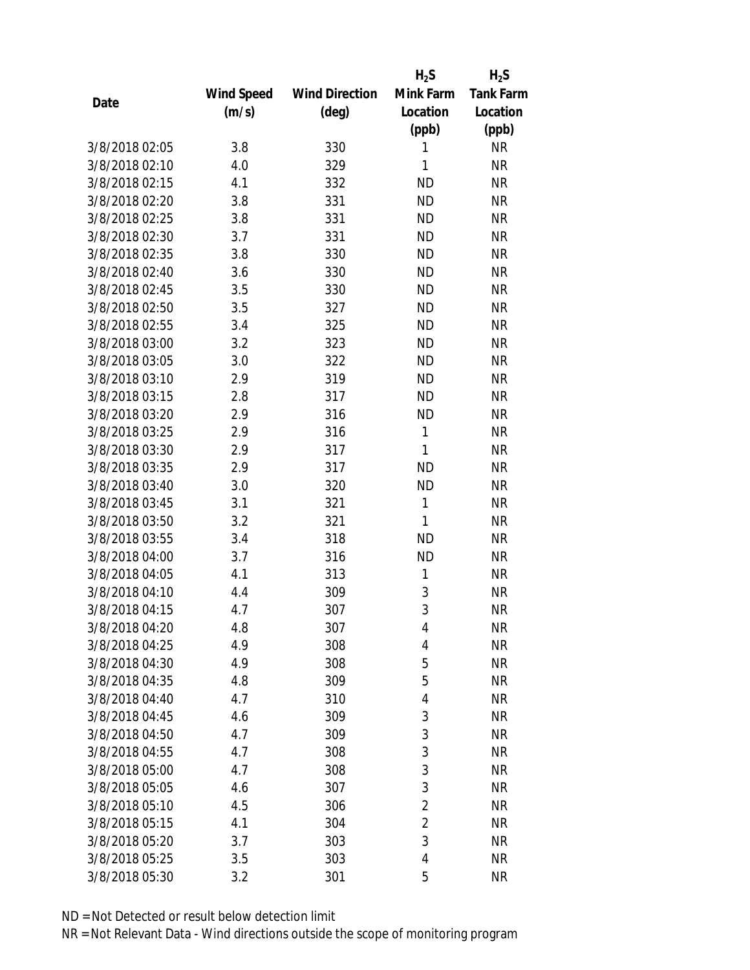|                |            |                       | $H_2S$         | $H_2S$           |
|----------------|------------|-----------------------|----------------|------------------|
|                | Wind Speed | <b>Wind Direction</b> | Mink Farm      | <b>Tank Farm</b> |
| Date           | (m/s)      | $(\text{deg})$        | Location       | Location         |
|                |            |                       | (ppb)          | (ppb)            |
| 3/8/2018 02:05 | 3.8        | 330                   | 1              | <b>NR</b>        |
| 3/8/2018 02:10 | 4.0        | 329                   | 1              | <b>NR</b>        |
| 3/8/2018 02:15 | 4.1        | 332                   | <b>ND</b>      | <b>NR</b>        |
| 3/8/2018 02:20 | 3.8        | 331                   | <b>ND</b>      | <b>NR</b>        |
| 3/8/2018 02:25 | 3.8        | 331                   | <b>ND</b>      | <b>NR</b>        |
| 3/8/2018 02:30 | 3.7        | 331                   | <b>ND</b>      | <b>NR</b>        |
| 3/8/2018 02:35 | 3.8        | 330                   | <b>ND</b>      | <b>NR</b>        |
| 3/8/2018 02:40 | 3.6        | 330                   | <b>ND</b>      | <b>NR</b>        |
| 3/8/2018 02:45 | 3.5        | 330                   | <b>ND</b>      | <b>NR</b>        |
| 3/8/2018 02:50 | 3.5        | 327                   | <b>ND</b>      | <b>NR</b>        |
| 3/8/2018 02:55 | 3.4        | 325                   | <b>ND</b>      | <b>NR</b>        |
| 3/8/2018 03:00 | 3.2        | 323                   | <b>ND</b>      | <b>NR</b>        |
| 3/8/2018 03:05 | 3.0        | 322                   | <b>ND</b>      | <b>NR</b>        |
| 3/8/2018 03:10 | 2.9        | 319                   | <b>ND</b>      | <b>NR</b>        |
| 3/8/2018 03:15 | 2.8        | 317                   | <b>ND</b>      | <b>NR</b>        |
| 3/8/2018 03:20 | 2.9        | 316                   | <b>ND</b>      | <b>NR</b>        |
| 3/8/2018 03:25 | 2.9        | 316                   | 1              | <b>NR</b>        |
| 3/8/2018 03:30 | 2.9        | 317                   | 1              | <b>NR</b>        |
| 3/8/2018 03:35 | 2.9        | 317                   | <b>ND</b>      | <b>NR</b>        |
| 3/8/2018 03:40 | 3.0        | 320                   | <b>ND</b>      | <b>NR</b>        |
| 3/8/2018 03:45 | 3.1        | 321                   | 1              | <b>NR</b>        |
| 3/8/2018 03:50 | 3.2        | 321                   | 1              | <b>NR</b>        |
| 3/8/2018 03:55 | 3.4        | 318                   | <b>ND</b>      | <b>NR</b>        |
| 3/8/2018 04:00 | 3.7        | 316                   | <b>ND</b>      | <b>NR</b>        |
| 3/8/2018 04:05 | 4.1        | 313                   | 1              | <b>NR</b>        |
| 3/8/2018 04:10 | 4.4        | 309                   | 3              | <b>NR</b>        |
| 3/8/2018 04:15 | 4.7        | 307                   | 3              | <b>NR</b>        |
| 3/8/2018 04:20 | 4.8        | 307                   | 4              | <b>NR</b>        |
| 3/8/2018 04:25 | 4.9        | 308                   | 4              | <b>NR</b>        |
| 3/8/2018 04:30 | 4.9        | 308                   | 5              | <b>NR</b>        |
| 3/8/2018 04:35 | 4.8        | 309                   | 5              | <b>NR</b>        |
| 3/8/2018 04:40 | 4.7        | 310                   | 4              | <b>NR</b>        |
| 3/8/2018 04:45 | 4.6        | 309                   | 3              | <b>NR</b>        |
| 3/8/2018 04:50 | 4.7        | 309                   | 3              | <b>NR</b>        |
| 3/8/2018 04:55 | 4.7        | 308                   | 3              | <b>NR</b>        |
| 3/8/2018 05:00 | 4.7        | 308                   | 3              | <b>NR</b>        |
| 3/8/2018 05:05 | 4.6        | 307                   | 3              | <b>NR</b>        |
| 3/8/2018 05:10 | 4.5        | 306                   | 2              | <b>NR</b>        |
| 3/8/2018 05:15 | 4.1        | 304                   | $\overline{2}$ | <b>NR</b>        |
| 3/8/2018 05:20 | 3.7        | 303                   | 3              | <b>NR</b>        |
| 3/8/2018 05:25 | 3.5        | 303                   | 4              | <b>NR</b>        |
| 3/8/2018 05:30 | 3.2        | 301                   | 5              | <b>NR</b>        |
|                |            |                       |                |                  |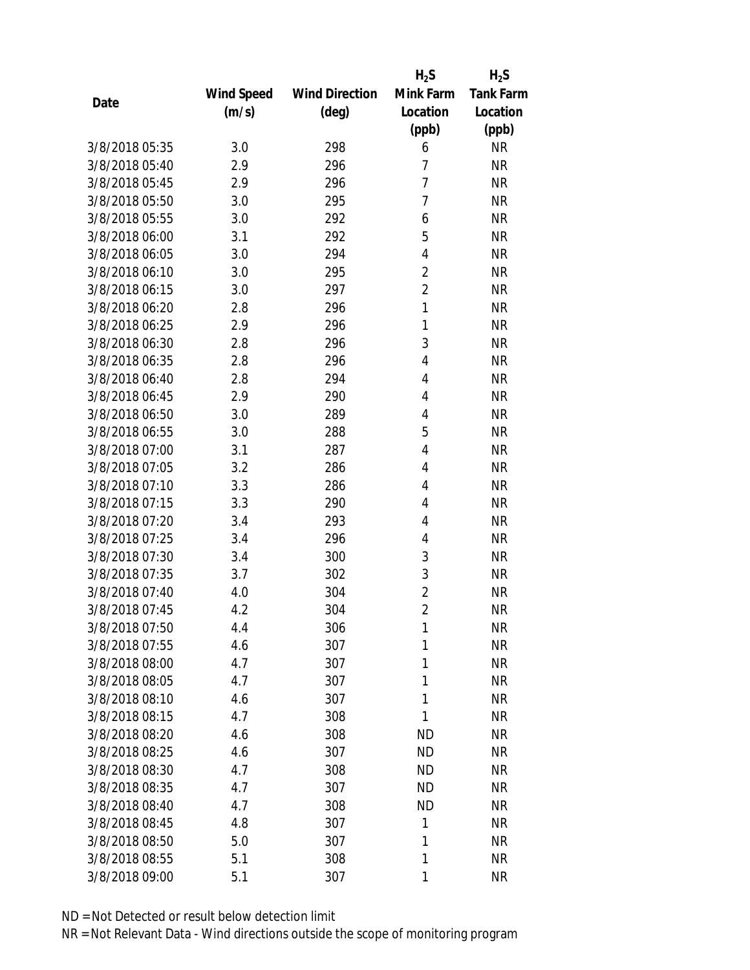|                |                   |                       | $H_2S$         | $H_2S$           |
|----------------|-------------------|-----------------------|----------------|------------------|
|                | <b>Wind Speed</b> | <b>Wind Direction</b> | Mink Farm      | <b>Tank Farm</b> |
| Date           | (m/s)             | $(\text{deg})$        | Location       | Location         |
|                |                   |                       | (ppb)          | (ppb)            |
| 3/8/2018 05:35 | 3.0               | 298                   | 6              | <b>NR</b>        |
| 3/8/2018 05:40 | 2.9               | 296                   | 7              | <b>NR</b>        |
| 3/8/2018 05:45 | 2.9               | 296                   | $\overline{1}$ | <b>NR</b>        |
| 3/8/2018 05:50 | 3.0               | 295                   | 7              | <b>NR</b>        |
| 3/8/2018 05:55 | 3.0               | 292                   | 6              | <b>NR</b>        |
| 3/8/2018 06:00 | 3.1               | 292                   | 5              | <b>NR</b>        |
| 3/8/2018 06:05 | 3.0               | 294                   | 4              | <b>NR</b>        |
| 3/8/2018 06:10 | 3.0               | 295                   | $\overline{2}$ | <b>NR</b>        |
| 3/8/2018 06:15 | 3.0               | 297                   | $\overline{2}$ | <b>NR</b>        |
| 3/8/2018 06:20 | 2.8               | 296                   | 1              | <b>NR</b>        |
| 3/8/2018 06:25 | 2.9               | 296                   | 1              | <b>NR</b>        |
| 3/8/2018 06:30 | 2.8               | 296                   | 3              | <b>NR</b>        |
| 3/8/2018 06:35 | 2.8               | 296                   | 4              | <b>NR</b>        |
| 3/8/2018 06:40 | 2.8               | 294                   | 4              | <b>NR</b>        |
| 3/8/2018 06:45 | 2.9               | 290                   | 4              | <b>NR</b>        |
| 3/8/2018 06:50 | 3.0               | 289                   | 4              | <b>NR</b>        |
| 3/8/2018 06:55 | 3.0               | 288                   | 5              | <b>NR</b>        |
| 3/8/2018 07:00 | 3.1               | 287                   | 4              | <b>NR</b>        |
| 3/8/2018 07:05 | 3.2               | 286                   | 4              | <b>NR</b>        |
| 3/8/2018 07:10 | 3.3               | 286                   | 4              | <b>NR</b>        |
| 3/8/2018 07:15 | 3.3               | 290                   | 4              | <b>NR</b>        |
| 3/8/2018 07:20 | 3.4               | 293                   | 4              | <b>NR</b>        |
| 3/8/2018 07:25 | 3.4               | 296                   | 4              | <b>NR</b>        |
| 3/8/2018 07:30 | 3.4               | 300                   | 3              | <b>NR</b>        |
| 3/8/2018 07:35 | 3.7               | 302                   | 3              | <b>NR</b>        |
| 3/8/2018 07:40 | 4.0               | 304                   | $\overline{c}$ | <b>NR</b>        |
| 3/8/2018 07:45 | 4.2               | 304                   | $\overline{2}$ | <b>NR</b>        |
| 3/8/2018 07:50 | 4.4               | 306                   | 1              | <b>NR</b>        |
| 3/8/2018 07:55 | 4.6               | 307                   | 1              | <b>NR</b>        |
| 3/8/2018 08:00 | 4.7               | 307                   | 1              | <b>NR</b>        |
| 3/8/2018 08:05 | 4.7               | 307                   | 1              | <b>NR</b>        |
| 3/8/2018 08:10 | 4.6               | 307                   | 1              | <b>NR</b>        |
| 3/8/2018 08:15 | 4.7               | 308                   | 1              | <b>NR</b>        |
| 3/8/2018 08:20 | 4.6               | 308                   | <b>ND</b>      | <b>NR</b>        |
| 3/8/2018 08:25 | 4.6               | 307                   | <b>ND</b>      | <b>NR</b>        |
| 3/8/2018 08:30 | 4.7               | 308                   | <b>ND</b>      | <b>NR</b>        |
| 3/8/2018 08:35 | 4.7               | 307                   | <b>ND</b>      | <b>NR</b>        |
| 3/8/2018 08:40 | 4.7               | 308                   | <b>ND</b>      | <b>NR</b>        |
| 3/8/2018 08:45 | 4.8               | 307                   | 1              | <b>NR</b>        |
| 3/8/2018 08:50 | 5.0               | 307                   | 1              | <b>NR</b>        |
| 3/8/2018 08:55 | 5.1               | 308                   | 1              | <b>NR</b>        |
| 3/8/2018 09:00 | 5.1               | 307                   | 1              | <b>NR</b>        |
|                |                   |                       |                |                  |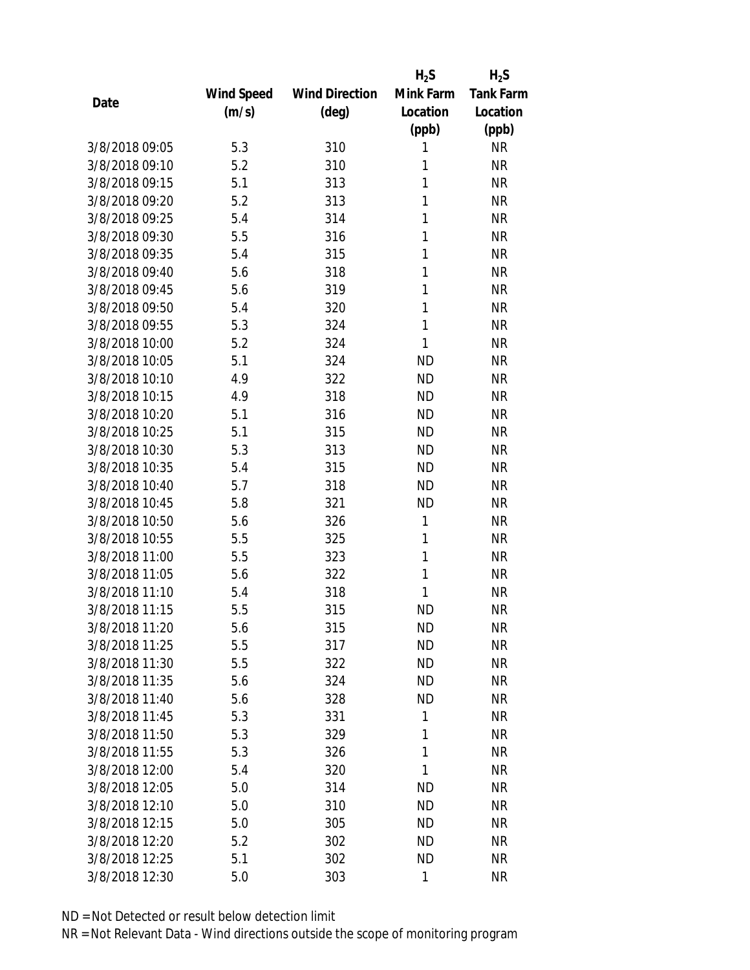|                |            |                       | $H_2S$       | $H_2S$           |
|----------------|------------|-----------------------|--------------|------------------|
|                | Wind Speed | <b>Wind Direction</b> | Mink Farm    | <b>Tank Farm</b> |
| Date           | (m/s)      | $(\text{deg})$        | Location     | Location         |
|                |            |                       | (ppb)        | (ppb)            |
| 3/8/2018 09:05 | 5.3        | 310                   | 1            | <b>NR</b>        |
| 3/8/2018 09:10 | 5.2        | 310                   | 1            | <b>NR</b>        |
| 3/8/2018 09:15 | 5.1        | 313                   | 1            | <b>NR</b>        |
| 3/8/2018 09:20 | 5.2        | 313                   | 1            | <b>NR</b>        |
| 3/8/2018 09:25 | 5.4        | 314                   | 1            | <b>NR</b>        |
| 3/8/2018 09:30 | 5.5        | 316                   | 1            | <b>NR</b>        |
| 3/8/2018 09:35 | 5.4        | 315                   | 1            | <b>NR</b>        |
| 3/8/2018 09:40 | 5.6        | 318                   | 1            | <b>NR</b>        |
| 3/8/2018 09:45 | 5.6        | 319                   | 1            | <b>NR</b>        |
| 3/8/2018 09:50 | 5.4        | 320                   | 1            | <b>NR</b>        |
| 3/8/2018 09:55 | 5.3        | 324                   | 1            | <b>NR</b>        |
| 3/8/2018 10:00 | 5.2        | 324                   | 1            | <b>NR</b>        |
| 3/8/2018 10:05 | 5.1        | 324                   | <b>ND</b>    | <b>NR</b>        |
| 3/8/2018 10:10 | 4.9        | 322                   | <b>ND</b>    | <b>NR</b>        |
| 3/8/2018 10:15 | 4.9        | 318                   | <b>ND</b>    | <b>NR</b>        |
| 3/8/2018 10:20 | 5.1        | 316                   | <b>ND</b>    | <b>NR</b>        |
| 3/8/2018 10:25 | 5.1        | 315                   | <b>ND</b>    | <b>NR</b>        |
| 3/8/2018 10:30 | 5.3        | 313                   | <b>ND</b>    | <b>NR</b>        |
| 3/8/2018 10:35 | 5.4        | 315                   | <b>ND</b>    | <b>NR</b>        |
| 3/8/2018 10:40 | 5.7        | 318                   | <b>ND</b>    | <b>NR</b>        |
| 3/8/2018 10:45 | 5.8        | 321                   | <b>ND</b>    | <b>NR</b>        |
| 3/8/2018 10:50 | 5.6        | 326                   | $\mathbf{1}$ | <b>NR</b>        |
| 3/8/2018 10:55 | 5.5        | 325                   | 1            | <b>NR</b>        |
| 3/8/2018 11:00 | 5.5        | 323                   | 1            | <b>NR</b>        |
| 3/8/2018 11:05 | 5.6        | 322                   | 1            | <b>NR</b>        |
| 3/8/2018 11:10 | 5.4        | 318                   | 1            | <b>NR</b>        |
| 3/8/2018 11:15 | 5.5        | 315                   | <b>ND</b>    | <b>NR</b>        |
| 3/8/2018 11:20 | 5.6        | 315                   | <b>ND</b>    | <b>NR</b>        |
| 3/8/2018 11:25 | 5.5        | 317                   | <b>ND</b>    | <b>NR</b>        |
| 3/8/2018 11:30 | 5.5        | 322                   | <b>ND</b>    | <b>NR</b>        |
| 3/8/2018 11:35 | 5.6        | 324                   | <b>ND</b>    | <b>NR</b>        |
| 3/8/2018 11:40 | 5.6        | 328                   | <b>ND</b>    | <b>NR</b>        |
| 3/8/2018 11:45 | 5.3        | 331                   | 1            | <b>NR</b>        |
| 3/8/2018 11:50 | 5.3        | 329                   | 1            | <b>NR</b>        |
| 3/8/2018 11:55 | 5.3        | 326                   | 1            | <b>NR</b>        |
| 3/8/2018 12:00 | 5.4        | 320                   | 1            | <b>NR</b>        |
| 3/8/2018 12:05 | 5.0        | 314                   | <b>ND</b>    | <b>NR</b>        |
| 3/8/2018 12:10 | 5.0        | 310                   | <b>ND</b>    | <b>NR</b>        |
| 3/8/2018 12:15 | 5.0        | 305                   | <b>ND</b>    | <b>NR</b>        |
| 3/8/2018 12:20 | 5.2        | 302                   | <b>ND</b>    | <b>NR</b>        |
| 3/8/2018 12:25 | 5.1        | 302                   | <b>ND</b>    | <b>NR</b>        |
| 3/8/2018 12:30 | 5.0        | 303                   | 1            | <b>NR</b>        |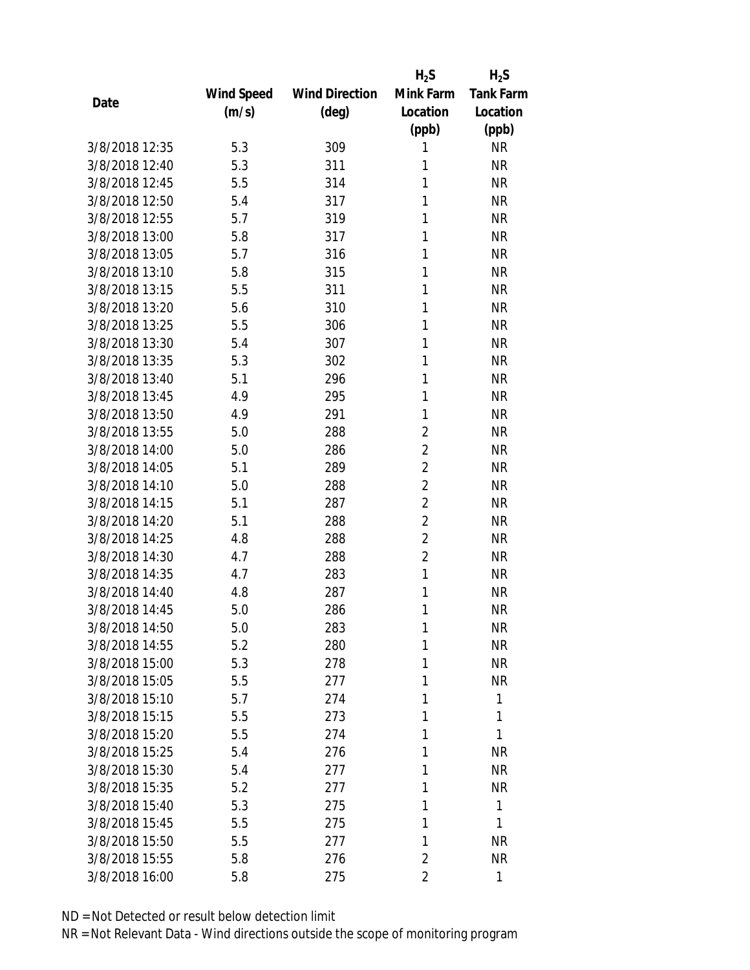|                |            |                       | $H_2S$         | $H_2S$           |
|----------------|------------|-----------------------|----------------|------------------|
|                | Wind Speed | <b>Wind Direction</b> | Mink Farm      | <b>Tank Farm</b> |
| Date           | (m/s)      | $(\text{deg})$        | Location       | Location         |
|                |            |                       | (ppb)          | (ppb)            |
| 3/8/2018 12:35 | 5.3        | 309                   | 1              | <b>NR</b>        |
| 3/8/2018 12:40 | 5.3        | 311                   | 1              | <b>NR</b>        |
| 3/8/2018 12:45 | 5.5        | 314                   | 1              | <b>NR</b>        |
| 3/8/2018 12:50 | 5.4        | 317                   | 1              | <b>NR</b>        |
| 3/8/2018 12:55 | 5.7        | 319                   | 1              | <b>NR</b>        |
| 3/8/2018 13:00 | 5.8        | 317                   | 1              | <b>NR</b>        |
| 3/8/2018 13:05 | 5.7        | 316                   | 1              | <b>NR</b>        |
| 3/8/2018 13:10 | 5.8        | 315                   | 1              | <b>NR</b>        |
| 3/8/2018 13:15 | 5.5        | 311                   | 1              | <b>NR</b>        |
| 3/8/2018 13:20 | 5.6        | 310                   | 1              | <b>NR</b>        |
| 3/8/2018 13:25 | 5.5        | 306                   | 1              | <b>NR</b>        |
| 3/8/2018 13:30 | 5.4        | 307                   | 1              | <b>NR</b>        |
| 3/8/2018 13:35 | 5.3        | 302                   | 1              | <b>NR</b>        |
| 3/8/2018 13:40 | 5.1        | 296                   | 1              | <b>NR</b>        |
| 3/8/2018 13:45 | 4.9        | 295                   | 1              | <b>NR</b>        |
| 3/8/2018 13:50 | 4.9        | 291                   | 1              | <b>NR</b>        |
| 3/8/2018 13:55 | 5.0        | 288                   | 2              | <b>NR</b>        |
| 3/8/2018 14:00 | 5.0        | 286                   | $\overline{2}$ | <b>NR</b>        |
| 3/8/2018 14:05 | 5.1        | 289                   | $\overline{2}$ | <b>NR</b>        |
| 3/8/2018 14:10 | 5.0        | 288                   | $\overline{2}$ | <b>NR</b>        |
| 3/8/2018 14:15 | 5.1        | 287                   | $\overline{2}$ | <b>NR</b>        |
| 3/8/2018 14:20 | 5.1        | 288                   | $\overline{2}$ | <b>NR</b>        |
| 3/8/2018 14:25 | 4.8        | 288                   | $\overline{c}$ | <b>NR</b>        |
| 3/8/2018 14:30 | 4.7        | 288                   | $\overline{2}$ | <b>NR</b>        |
| 3/8/2018 14:35 | 4.7        | 283                   | 1              | <b>NR</b>        |
| 3/8/2018 14:40 | 4.8        | 287                   | 1              | <b>NR</b>        |
| 3/8/2018 14:45 | 5.0        | 286                   | 1              | <b>NR</b>        |
| 3/8/2018 14:50 | 5.0        | 283                   | 1              | <b>NR</b>        |
| 3/8/2018 14:55 | 5.2        | 280                   | 1              | <b>NR</b>        |
| 3/8/2018 15:00 | 5.3        | 278                   | 1              | <b>NR</b>        |
| 3/8/2018 15:05 | 5.5        | 277                   | 1              | <b>NR</b>        |
| 3/8/2018 15:10 | 5.7        | 274                   | 1              | 1                |
| 3/8/2018 15:15 | 5.5        | 273                   | 1              | 1                |
| 3/8/2018 15:20 | 5.5        | 274                   | 1              | 1                |
| 3/8/2018 15:25 | 5.4        | 276                   | 1              | <b>NR</b>        |
| 3/8/2018 15:30 | 5.4        | 277                   | 1              | <b>NR</b>        |
| 3/8/2018 15:35 | 5.2        | 277                   | 1              | <b>NR</b>        |
| 3/8/2018 15:40 | 5.3        | 275                   | 1              | 1                |
| 3/8/2018 15:45 | 5.5        | 275                   | 1              | 1                |
| 3/8/2018 15:50 | 5.5        | 277                   | 1              | <b>NR</b>        |
| 3/8/2018 15:55 | 5.8        | 276                   | $\overline{2}$ | <b>NR</b>        |
| 3/8/2018 16:00 | 5.8        | 275                   | 2              | 1                |
|                |            |                       |                |                  |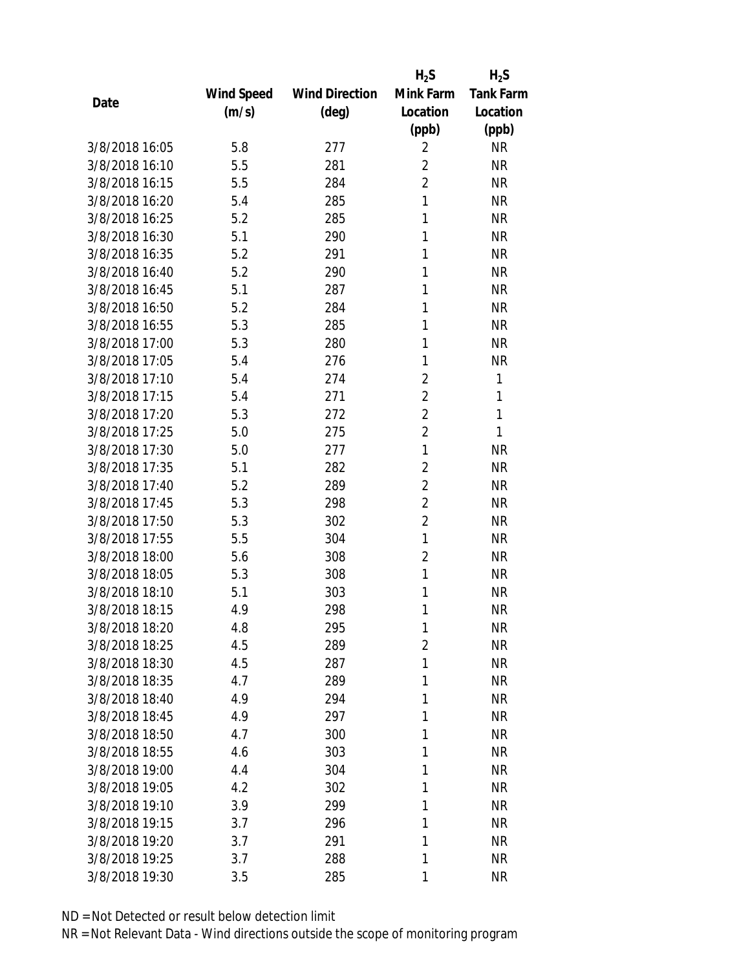|                |            |                       | $H_2S$         | $H_2S$           |
|----------------|------------|-----------------------|----------------|------------------|
|                | Wind Speed | <b>Wind Direction</b> | Mink Farm      | <b>Tank Farm</b> |
| Date           | (m/s)      | $(\text{deg})$        | Location       | Location         |
|                |            |                       | (ppb)          | (ppb)            |
| 3/8/2018 16:05 | 5.8        | 277                   | $\overline{2}$ | <b>NR</b>        |
| 3/8/2018 16:10 | 5.5        | 281                   | $\overline{2}$ | <b>NR</b>        |
| 3/8/2018 16:15 | 5.5        | 284                   | $\overline{2}$ | <b>NR</b>        |
| 3/8/2018 16:20 | 5.4        | 285                   | 1              | <b>NR</b>        |
| 3/8/2018 16:25 | 5.2        | 285                   | 1              | <b>NR</b>        |
| 3/8/2018 16:30 | 5.1        | 290                   | 1              | <b>NR</b>        |
| 3/8/2018 16:35 | 5.2        | 291                   | 1              | <b>NR</b>        |
| 3/8/2018 16:40 | 5.2        | 290                   | 1              | <b>NR</b>        |
| 3/8/2018 16:45 | 5.1        | 287                   | 1              | <b>NR</b>        |
| 3/8/2018 16:50 | 5.2        | 284                   | 1              | <b>NR</b>        |
| 3/8/2018 16:55 | 5.3        | 285                   | 1              | <b>NR</b>        |
| 3/8/2018 17:00 | 5.3        | 280                   | 1              | <b>NR</b>        |
| 3/8/2018 17:05 | 5.4        | 276                   | 1              | <b>NR</b>        |
| 3/8/2018 17:10 | 5.4        | 274                   | $\overline{2}$ | 1                |
| 3/8/2018 17:15 | 5.4        | 271                   | $\overline{2}$ | 1                |
| 3/8/2018 17:20 | 5.3        | 272                   | $\overline{2}$ | 1                |
| 3/8/2018 17:25 | 5.0        | 275                   | $\overline{2}$ | 1                |
| 3/8/2018 17:30 | 5.0        | 277                   | 1              | <b>NR</b>        |
| 3/8/2018 17:35 | 5.1        | 282                   | $\overline{2}$ | <b>NR</b>        |
| 3/8/2018 17:40 | 5.2        | 289                   | $\overline{2}$ | <b>NR</b>        |
| 3/8/2018 17:45 | 5.3        | 298                   | $\overline{2}$ | <b>NR</b>        |
| 3/8/2018 17:50 | 5.3        | 302                   | $\overline{2}$ | <b>NR</b>        |
| 3/8/2018 17:55 | 5.5        | 304                   | 1              | <b>NR</b>        |
| 3/8/2018 18:00 | 5.6        | 308                   | $\overline{2}$ | <b>NR</b>        |
| 3/8/2018 18:05 | 5.3        | 308                   | 1              | <b>NR</b>        |
| 3/8/2018 18:10 | 5.1        | 303                   | 1              | <b>NR</b>        |
| 3/8/2018 18:15 | 4.9        | 298                   | 1              | <b>NR</b>        |
| 3/8/2018 18:20 | 4.8        | 295                   | 1              | <b>NR</b>        |
| 3/8/2018 18:25 | 4.5        | 289                   | $\overline{2}$ | <b>NR</b>        |
| 3/8/2018 18:30 | 4.5        | 287                   | 1              | <b>NR</b>        |
| 3/8/2018 18:35 | 4.7        | 289                   | 1              | <b>NR</b>        |
| 3/8/2018 18:40 | 4.9        | 294                   | 1              | <b>NR</b>        |
| 3/8/2018 18:45 | 4.9        | 297                   | 1              | <b>NR</b>        |
| 3/8/2018 18:50 | 4.7        | 300                   | 1              | <b>NR</b>        |
| 3/8/2018 18:55 | 4.6        | 303                   | 1              | <b>NR</b>        |
| 3/8/2018 19:00 | 4.4        | 304                   | 1              | <b>NR</b>        |
| 3/8/2018 19:05 | 4.2        | 302                   | 1              | <b>NR</b>        |
| 3/8/2018 19:10 | 3.9        | 299                   | 1              | <b>NR</b>        |
| 3/8/2018 19:15 | 3.7        | 296                   | 1              | <b>NR</b>        |
| 3/8/2018 19:20 | 3.7        | 291                   | 1              | <b>NR</b>        |
| 3/8/2018 19:25 | 3.7        | 288                   | 1              | <b>NR</b>        |
| 3/8/2018 19:30 | 3.5        | 285                   | 1              | <b>NR</b>        |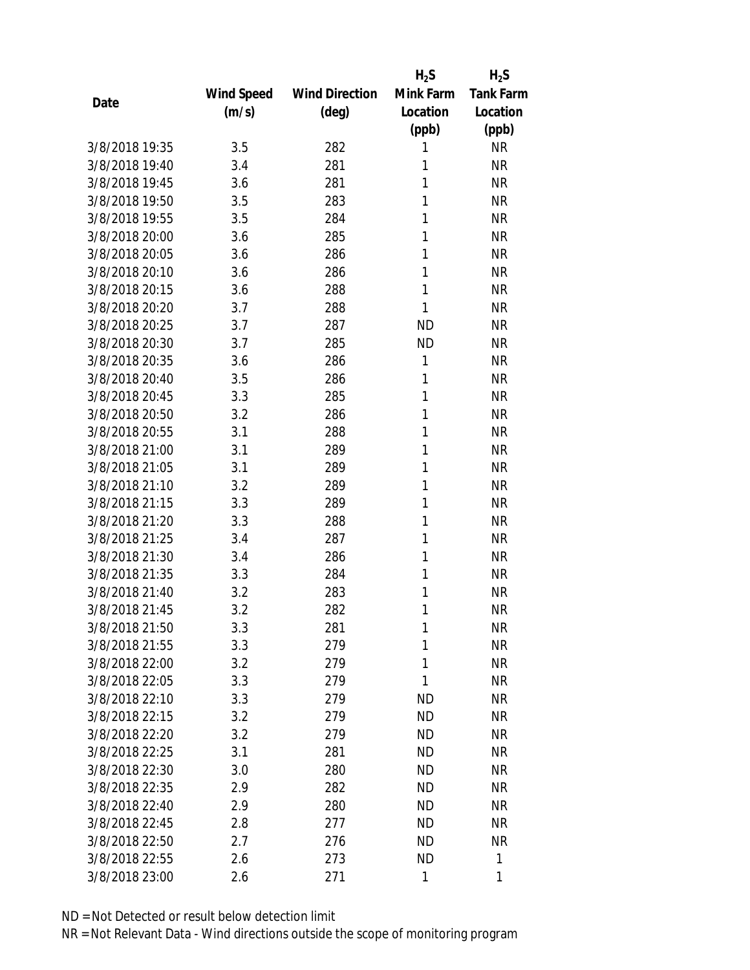|                |            |                       | $H_2S$    | $H_2S$           |
|----------------|------------|-----------------------|-----------|------------------|
|                | Wind Speed | <b>Wind Direction</b> | Mink Farm | <b>Tank Farm</b> |
| Date           | (m/s)      | $(\text{deg})$        | Location  | Location         |
|                |            |                       | (ppb)     | (ppb)            |
| 3/8/2018 19:35 | 3.5        | 282                   | 1         | <b>NR</b>        |
| 3/8/2018 19:40 | 3.4        | 281                   | 1         | <b>NR</b>        |
| 3/8/2018 19:45 | 3.6        | 281                   | 1         | <b>NR</b>        |
| 3/8/2018 19:50 | 3.5        | 283                   | 1         | <b>NR</b>        |
| 3/8/2018 19:55 | 3.5        | 284                   | 1         | <b>NR</b>        |
| 3/8/2018 20:00 | 3.6        | 285                   | 1         | <b>NR</b>        |
| 3/8/2018 20:05 | 3.6        | 286                   | 1         | <b>NR</b>        |
| 3/8/2018 20:10 | 3.6        | 286                   | 1         | <b>NR</b>        |
| 3/8/2018 20:15 | 3.6        | 288                   | 1         | <b>NR</b>        |
| 3/8/2018 20:20 | 3.7        | 288                   | 1         | <b>NR</b>        |
| 3/8/2018 20:25 | 3.7        | 287                   | <b>ND</b> | <b>NR</b>        |
| 3/8/2018 20:30 | 3.7        | 285                   | <b>ND</b> | <b>NR</b>        |
| 3/8/2018 20:35 | 3.6        | 286                   | 1         | <b>NR</b>        |
| 3/8/2018 20:40 | 3.5        | 286                   | 1         | <b>NR</b>        |
| 3/8/2018 20:45 | 3.3        | 285                   | 1         | <b>NR</b>        |
| 3/8/2018 20:50 | 3.2        | 286                   | 1         | <b>NR</b>        |
| 3/8/2018 20:55 | 3.1        | 288                   | 1         | <b>NR</b>        |
| 3/8/2018 21:00 | 3.1        | 289                   | 1         | <b>NR</b>        |
| 3/8/2018 21:05 | 3.1        | 289                   | 1         | <b>NR</b>        |
| 3/8/2018 21:10 | 3.2        | 289                   | 1         | <b>NR</b>        |
| 3/8/2018 21:15 | 3.3        | 289                   | 1         | <b>NR</b>        |
| 3/8/2018 21:20 | 3.3        | 288                   | 1         | <b>NR</b>        |
| 3/8/2018 21:25 | 3.4        | 287                   | 1         | <b>NR</b>        |
| 3/8/2018 21:30 | 3.4        | 286                   | 1         | <b>NR</b>        |
| 3/8/2018 21:35 | 3.3        | 284                   | 1         | <b>NR</b>        |
| 3/8/2018 21:40 | 3.2        | 283                   | 1         | <b>NR</b>        |
| 3/8/2018 21:45 | 3.2        | 282                   | 1         | <b>NR</b>        |
| 3/8/2018 21:50 | 3.3        | 281                   | 1         | <b>NR</b>        |
| 3/8/2018 21:55 | 3.3        | 279                   | 1         | <b>NR</b>        |
| 3/8/2018 22:00 | 3.2        | 279                   | 1         | <b>NR</b>        |
| 3/8/2018 22:05 | 3.3        | 279                   | 1         | <b>NR</b>        |
| 3/8/2018 22:10 | 3.3        | 279                   | <b>ND</b> | <b>NR</b>        |
| 3/8/2018 22:15 | 3.2        | 279                   | <b>ND</b> | <b>NR</b>        |
| 3/8/2018 22:20 | 3.2        | 279                   | <b>ND</b> | <b>NR</b>        |
| 3/8/2018 22:25 | 3.1        | 281                   | <b>ND</b> | <b>NR</b>        |
| 3/8/2018 22:30 | 3.0        | 280                   | <b>ND</b> | <b>NR</b>        |
| 3/8/2018 22:35 | 2.9        | 282                   | <b>ND</b> | <b>NR</b>        |
| 3/8/2018 22:40 | 2.9        | 280                   | <b>ND</b> | <b>NR</b>        |
| 3/8/2018 22:45 | 2.8        | 277                   | <b>ND</b> | <b>NR</b>        |
| 3/8/2018 22:50 | 2.7        | 276                   | <b>ND</b> | <b>NR</b>        |
| 3/8/2018 22:55 | 2.6        | 273                   | <b>ND</b> | 1                |
| 3/8/2018 23:00 | 2.6        | 271                   | 1         | 1                |
|                |            |                       |           |                  |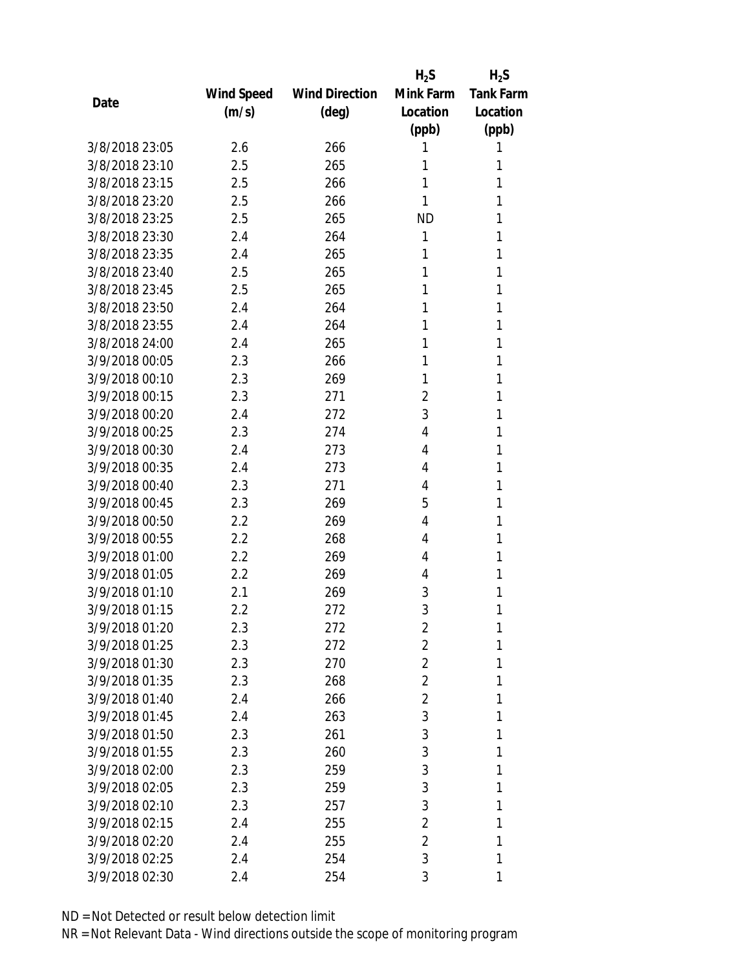|                |            |                       | $H_2S$         | $H_2S$           |
|----------------|------------|-----------------------|----------------|------------------|
|                | Wind Speed | <b>Wind Direction</b> | Mink Farm      | <b>Tank Farm</b> |
| Date           | (m/s)      | $(\text{deg})$        | Location       | Location         |
|                |            |                       | (ppb)          | (ppb)            |
| 3/8/2018 23:05 | 2.6        | 266                   | 1              | 1                |
| 3/8/2018 23:10 | 2.5        | 265                   | 1              | 1                |
| 3/8/2018 23:15 | 2.5        | 266                   | 1              | 1                |
| 3/8/2018 23:20 | 2.5        | 266                   | 1              | 1                |
| 3/8/2018 23:25 | 2.5        | 265                   | <b>ND</b>      | 1                |
| 3/8/2018 23:30 | 2.4        | 264                   | 1              | 1                |
| 3/8/2018 23:35 | 2.4        | 265                   | 1              | 1                |
| 3/8/2018 23:40 | 2.5        | 265                   | 1              | 1                |
| 3/8/2018 23:45 | 2.5        | 265                   | 1              | 1                |
| 3/8/2018 23:50 | 2.4        | 264                   | 1              | 1                |
| 3/8/2018 23:55 | 2.4        | 264                   | 1              | 1                |
| 3/8/2018 24:00 | 2.4        | 265                   | 1              | 1                |
| 3/9/2018 00:05 | 2.3        | 266                   | 1              | 1                |
| 3/9/2018 00:10 | 2.3        | 269                   | 1              | 1                |
| 3/9/2018 00:15 | 2.3        | 271                   | 2              | 1                |
| 3/9/2018 00:20 | 2.4        | 272                   | 3              | 1                |
| 3/9/2018 00:25 | 2.3        | 274                   | 4              | 1                |
| 3/9/2018 00:30 | 2.4        | 273                   | 4              | 1                |
| 3/9/2018 00:35 | 2.4        | 273                   | 4              | 1                |
| 3/9/2018 00:40 | 2.3        | 271                   | 4              | 1                |
| 3/9/2018 00:45 | 2.3        | 269                   | 5              | 1                |
| 3/9/2018 00:50 | 2.2        | 269                   | 4              | 1                |
| 3/9/2018 00:55 | 2.2        | 268                   | 4              | 1                |
| 3/9/2018 01:00 | 2.2        | 269                   | 4              | 1                |
| 3/9/2018 01:05 | 2.2        | 269                   | 4              | 1                |
| 3/9/2018 01:10 | 2.1        | 269                   | 3              | 1                |
| 3/9/2018 01:15 | 2.2        | 272                   | 3              | 1                |
| 3/9/2018 01:20 | 2.3        | 272                   | $\overline{2}$ | 1                |
| 3/9/2018 01:25 | 2.3        | 272                   | $\overline{a}$ | 1                |
| 3/9/2018 01:30 | 2.3        | 270                   | $\overline{2}$ | 1                |
| 3/9/2018 01:35 | 2.3        | 268                   | 2              | 1                |
| 3/9/2018 01:40 | 2.4        | 266                   | $\overline{2}$ | 1                |
| 3/9/2018 01:45 | 2.4        | 263                   | 3              | 1                |
| 3/9/2018 01:50 | 2.3        | 261                   | 3              | 1                |
| 3/9/2018 01:55 | 2.3        | 260                   | 3              | 1                |
| 3/9/2018 02:00 | 2.3        | 259                   | 3              | 1                |
| 3/9/2018 02:05 | 2.3        | 259                   | 3              | 1                |
| 3/9/2018 02:10 | 2.3        | 257                   | 3              | 1                |
| 3/9/2018 02:15 | 2.4        | 255                   | $\overline{2}$ | 1                |
| 3/9/2018 02:20 | 2.4        | 255                   | $\overline{2}$ | 1                |
| 3/9/2018 02:25 | 2.4        | 254                   | 3              | 1                |
| 3/9/2018 02:30 | 2.4        | 254                   | 3              | 1                |
|                |            |                       |                |                  |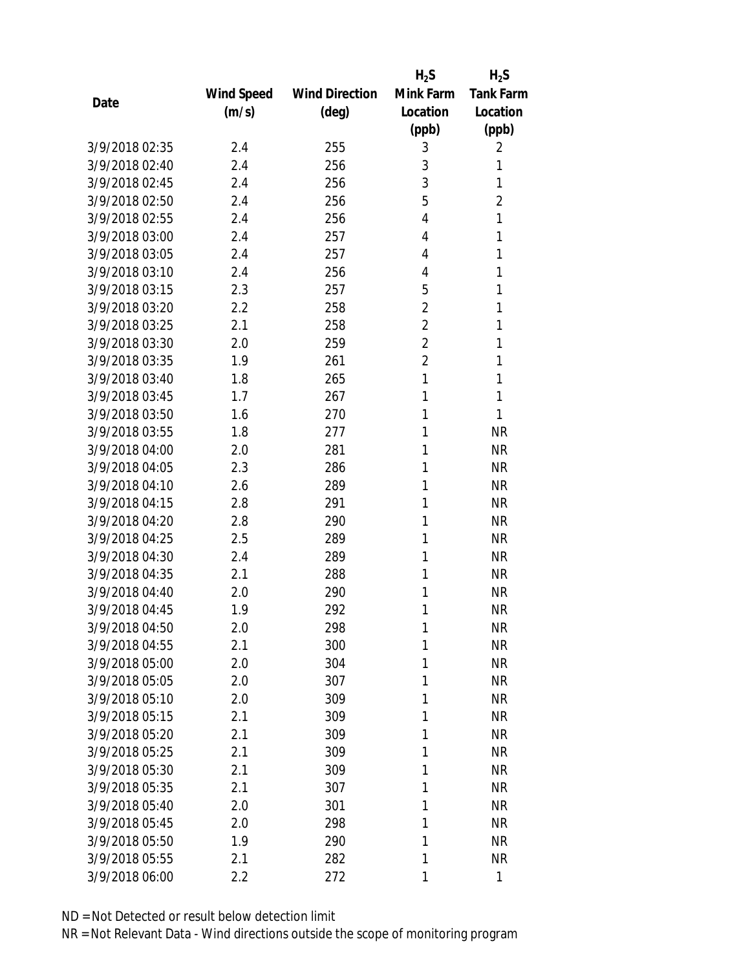|                |            |                       | $H_2S$         | $H_2S$           |
|----------------|------------|-----------------------|----------------|------------------|
|                | Wind Speed | <b>Wind Direction</b> | Mink Farm      | <b>Tank Farm</b> |
| Date           | (m/s)      | $(\text{deg})$        | Location       | Location         |
|                |            |                       | (ppb)          | (ppb)            |
| 3/9/2018 02:35 | 2.4        | 255                   | 3              | 2                |
| 3/9/2018 02:40 | 2.4        | 256                   | 3              | 1                |
| 3/9/2018 02:45 | 2.4        | 256                   | 3              | 1                |
| 3/9/2018 02:50 | 2.4        | 256                   | 5              | $\overline{2}$   |
| 3/9/2018 02:55 | 2.4        | 256                   | 4              | 1                |
| 3/9/2018 03:00 | 2.4        | 257                   | 4              | 1                |
| 3/9/2018 03:05 | 2.4        | 257                   | 4              | 1                |
| 3/9/2018 03:10 | 2.4        | 256                   | 4              | 1                |
| 3/9/2018 03:15 | 2.3        | 257                   | 5              | 1                |
| 3/9/2018 03:20 | 2.2        | 258                   | $\overline{2}$ | 1                |
| 3/9/2018 03:25 | 2.1        | 258                   | $\overline{2}$ | 1                |
| 3/9/2018 03:30 | 2.0        | 259                   | $\overline{2}$ | 1                |
| 3/9/2018 03:35 | 1.9        | 261                   | $\overline{2}$ | 1                |
| 3/9/2018 03:40 | 1.8        | 265                   | 1              | 1                |
| 3/9/2018 03:45 | 1.7        | 267                   | 1              | 1                |
| 3/9/2018 03:50 | 1.6        | 270                   | 1              | 1                |
| 3/9/2018 03:55 | 1.8        | 277                   | 1              | <b>NR</b>        |
| 3/9/2018 04:00 | 2.0        | 281                   | 1              | <b>NR</b>        |
| 3/9/2018 04:05 | 2.3        | 286                   | 1              | <b>NR</b>        |
| 3/9/2018 04:10 | 2.6        | 289                   | 1              | <b>NR</b>        |
| 3/9/2018 04:15 | 2.8        | 291                   | 1              | <b>NR</b>        |
| 3/9/2018 04:20 | 2.8        | 290                   | 1              | <b>NR</b>        |
| 3/9/2018 04:25 | 2.5        | 289                   | 1              | <b>NR</b>        |
| 3/9/2018 04:30 | 2.4        | 289                   | 1              | <b>NR</b>        |
| 3/9/2018 04:35 | 2.1        | 288                   | 1              | <b>NR</b>        |
| 3/9/2018 04:40 | 2.0        | 290                   | 1              | <b>NR</b>        |
| 3/9/2018 04:45 | 1.9        | 292                   | 1              | <b>NR</b>        |
| 3/9/2018 04:50 | 2.0        | 298                   | 1              | <b>NR</b>        |
| 3/9/2018 04:55 | 2.1        | 300                   | 1              | <b>NR</b>        |
| 3/9/2018 05:00 | 2.0        | 304                   | 1              | <b>NR</b>        |
| 3/9/2018 05:05 | 2.0        | 307                   | 1              | <b>NR</b>        |
| 3/9/2018 05:10 | 2.0        | 309                   | 1              | <b>NR</b>        |
| 3/9/2018 05:15 | 2.1        | 309                   | 1              | <b>NR</b>        |
| 3/9/2018 05:20 | 2.1        | 309                   | 1              | <b>NR</b>        |
| 3/9/2018 05:25 | 2.1        | 309                   | 1              | <b>NR</b>        |
| 3/9/2018 05:30 | 2.1        | 309                   | 1              | <b>NR</b>        |
| 3/9/2018 05:35 | 2.1        | 307                   | 1              | <b>NR</b>        |
| 3/9/2018 05:40 | 2.0        | 301                   | 1              | <b>NR</b>        |
| 3/9/2018 05:45 | 2.0        | 298                   | 1              | <b>NR</b>        |
| 3/9/2018 05:50 | 1.9        | 290                   | 1              | <b>NR</b>        |
| 3/9/2018 05:55 | 2.1        | 282                   | 1              | <b>NR</b>        |
|                |            |                       |                | 1                |
| 3/9/2018 06:00 | 2.2        | 272                   | 1              |                  |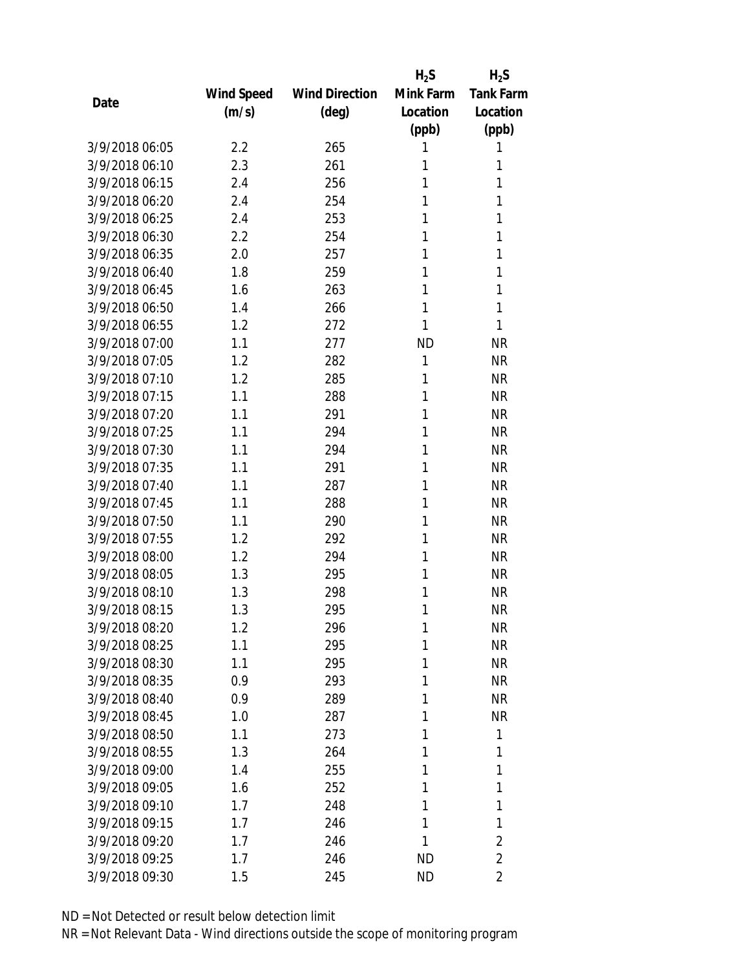|                |            |                       | $H_2S$    | $H_2S$           |
|----------------|------------|-----------------------|-----------|------------------|
|                | Wind Speed | <b>Wind Direction</b> | Mink Farm | <b>Tank Farm</b> |
| Date           | (m/s)      | $(\text{deg})$        | Location  | Location         |
|                |            |                       | (ppb)     | (ppb)            |
| 3/9/2018 06:05 | 2.2        | 265                   | 1         | 1                |
| 3/9/2018 06:10 | 2.3        | 261                   | 1         | 1                |
| 3/9/2018 06:15 | 2.4        | 256                   | 1         | 1                |
| 3/9/2018 06:20 | 2.4        | 254                   | 1         | 1                |
| 3/9/2018 06:25 | 2.4        | 253                   | 1         | 1                |
| 3/9/2018 06:30 | 2.2        | 254                   | 1         | 1                |
| 3/9/2018 06:35 | 2.0        | 257                   | 1         | 1                |
| 3/9/2018 06:40 | 1.8        | 259                   | 1         | 1                |
| 3/9/2018 06:45 | 1.6        | 263                   | 1         | 1                |
| 3/9/2018 06:50 | 1.4        | 266                   | 1         | 1                |
| 3/9/2018 06:55 | 1.2        | 272                   | 1         | 1                |
| 3/9/2018 07:00 | 1.1        | 277                   | <b>ND</b> | <b>NR</b>        |
| 3/9/2018 07:05 | 1.2        | 282                   | 1         | <b>NR</b>        |
| 3/9/2018 07:10 | 1.2        | 285                   | 1         | <b>NR</b>        |
| 3/9/2018 07:15 | 1.1        | 288                   | 1         | <b>NR</b>        |
| 3/9/2018 07:20 | 1.1        | 291                   | 1         | <b>NR</b>        |
| 3/9/2018 07:25 | 1.1        | 294                   | 1         | <b>NR</b>        |
| 3/9/2018 07:30 | 1.1        | 294                   | 1         | <b>NR</b>        |
| 3/9/2018 07:35 | 1.1        | 291                   | 1         | <b>NR</b>        |
| 3/9/2018 07:40 | 1.1        | 287                   | 1         | <b>NR</b>        |
| 3/9/2018 07:45 | 1.1        | 288                   | 1         | <b>NR</b>        |
| 3/9/2018 07:50 | 1.1        | 290                   | 1         | <b>NR</b>        |
| 3/9/2018 07:55 | 1.2        | 292                   | 1         | <b>NR</b>        |
| 3/9/2018 08:00 | 1.2        | 294                   | 1         | <b>NR</b>        |
| 3/9/2018 08:05 | 1.3        | 295                   | 1         | <b>NR</b>        |
| 3/9/2018 08:10 | 1.3        | 298                   | 1         | <b>NR</b>        |
| 3/9/2018 08:15 | 1.3        | 295                   | 1         | <b>NR</b>        |
| 3/9/2018 08:20 | 1.2        | 296                   | 1         | <b>NR</b>        |
| 3/9/2018 08:25 | 1.1        | 295                   | 1         | <b>NR</b>        |
| 3/9/2018 08:30 | 1.1        | 295                   | 1         | <b>NR</b>        |
| 3/9/2018 08:35 | 0.9        | 293                   | 1         | <b>NR</b>        |
| 3/9/2018 08:40 | 0.9        | 289                   | 1         | <b>NR</b>        |
| 3/9/2018 08:45 | 1.0        | 287                   | 1         | <b>NR</b>        |
| 3/9/2018 08:50 | 1.1        | 273                   | 1         | 1                |
| 3/9/2018 08:55 | 1.3        | 264                   | 1         | 1                |
| 3/9/2018 09:00 | 1.4        | 255                   | 1         | 1                |
| 3/9/2018 09:05 | 1.6        | 252                   | 1         | 1                |
| 3/9/2018 09:10 | 1.7        | 248                   | 1         | 1                |
| 3/9/2018 09:15 | 1.7        | 246                   | 1         | 1                |
| 3/9/2018 09:20 | 1.7        | 246                   | 1         | $\overline{2}$   |
| 3/9/2018 09:25 | 1.7        | 246                   | <b>ND</b> | $\overline{2}$   |
| 3/9/2018 09:30 | 1.5        | 245                   | <b>ND</b> | $\overline{2}$   |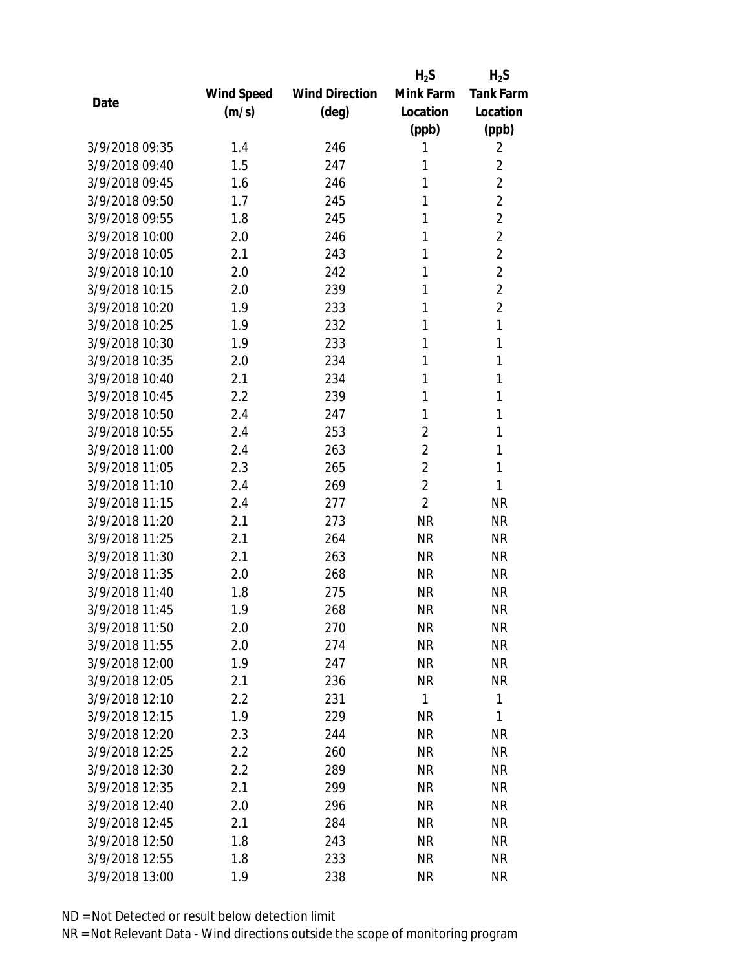|                |            |                       | $H_2S$         | $H_2S$           |
|----------------|------------|-----------------------|----------------|------------------|
|                | Wind Speed | <b>Wind Direction</b> | Mink Farm      | <b>Tank Farm</b> |
| Date           | (m/s)      | (deg)                 | Location       | Location         |
|                |            |                       | (ppb)          | (ppb)            |
| 3/9/2018 09:35 | 1.4        | 246                   | 1              | 2                |
| 3/9/2018 09:40 | 1.5        | 247                   | 1              | $\overline{2}$   |
| 3/9/2018 09:45 | 1.6        | 246                   | 1              | $\overline{2}$   |
| 3/9/2018 09:50 | 1.7        | 245                   | 1              | $\overline{2}$   |
| 3/9/2018 09:55 | 1.8        | 245                   | 1              | $\overline{2}$   |
| 3/9/2018 10:00 | 2.0        | 246                   | 1              | $\overline{2}$   |
| 3/9/2018 10:05 | 2.1        | 243                   | 1              | $\overline{2}$   |
| 3/9/2018 10:10 | 2.0        | 242                   | 1              | $\overline{2}$   |
| 3/9/2018 10:15 | 2.0        | 239                   | 1              | $\overline{2}$   |
| 3/9/2018 10:20 | 1.9        | 233                   | 1              | $\overline{2}$   |
| 3/9/2018 10:25 | 1.9        | 232                   | 1              | 1                |
| 3/9/2018 10:30 | 1.9        | 233                   | 1              | 1                |
| 3/9/2018 10:35 | 2.0        | 234                   | 1              | 1                |
| 3/9/2018 10:40 | 2.1        | 234                   | 1              | 1                |
| 3/9/2018 10:45 | 2.2        | 239                   | 1              | 1                |
| 3/9/2018 10:50 | 2.4        | 247                   | 1              | 1                |
| 3/9/2018 10:55 | 2.4        | 253                   | $\overline{2}$ | 1                |
| 3/9/2018 11:00 | 2.4        | 263                   | $\overline{2}$ | 1                |
| 3/9/2018 11:05 | 2.3        | 265                   | $\overline{2}$ | 1                |
| 3/9/2018 11:10 | 2.4        | 269                   | $\overline{2}$ | 1                |
| 3/9/2018 11:15 | 2.4        | 277                   | $\overline{2}$ | <b>NR</b>        |
| 3/9/2018 11:20 | 2.1        | 273                   | <b>NR</b>      | <b>NR</b>        |
| 3/9/2018 11:25 | 2.1        | 264                   | <b>NR</b>      | <b>NR</b>        |
| 3/9/2018 11:30 | 2.1        | 263                   | <b>NR</b>      | <b>NR</b>        |
| 3/9/2018 11:35 | 2.0        | 268                   | <b>NR</b>      | <b>NR</b>        |
| 3/9/2018 11:40 | 1.8        | 275                   | <b>NR</b>      | <b>NR</b>        |
| 3/9/2018 11:45 | 1.9        | 268                   | <b>NR</b>      | <b>NR</b>        |
| 3/9/2018 11:50 | 2.0        | 270                   | <b>NR</b>      | <b>NR</b>        |
| 3/9/2018 11:55 | 2.0        | 274                   | <b>NR</b>      | <b>NR</b>        |
| 3/9/2018 12:00 | 1.9        | 247                   | <b>NR</b>      | <b>NR</b>        |
| 3/9/2018 12:05 | 2.1        | 236                   | <b>NR</b>      | <b>NR</b>        |
| 3/9/2018 12:10 | 2.2        | 231                   | 1              | 1                |
| 3/9/2018 12:15 | 1.9        | 229                   | <b>NR</b>      | 1                |
| 3/9/2018 12:20 | 2.3        | 244                   | <b>NR</b>      | <b>NR</b>        |
| 3/9/2018 12:25 | $2.2\,$    | 260                   | <b>NR</b>      | <b>NR</b>        |
| 3/9/2018 12:30 | $2.2\,$    | 289                   | <b>NR</b>      | <b>NR</b>        |
| 3/9/2018 12:35 | 2.1        | 299                   | <b>NR</b>      | <b>NR</b>        |
| 3/9/2018 12:40 | 2.0        | 296                   | <b>NR</b>      | <b>NR</b>        |
| 3/9/2018 12:45 | 2.1        | 284                   | <b>NR</b>      | <b>NR</b>        |
| 3/9/2018 12:50 | 1.8        | 243                   | <b>NR</b>      | <b>NR</b>        |
| 3/9/2018 12:55 | 1.8        | 233                   | <b>NR</b>      | <b>NR</b>        |
| 3/9/2018 13:00 | 1.9        | 238                   | <b>NR</b>      | <b>NR</b>        |
|                |            |                       |                |                  |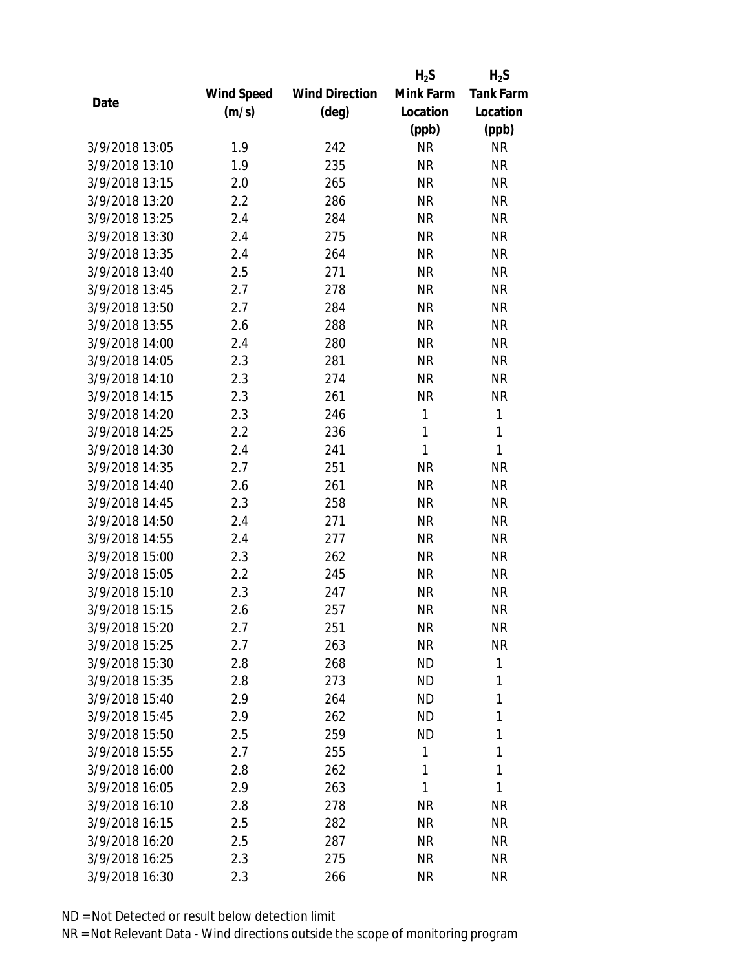|                |            |                       | $H_2S$       | $H_2S$           |
|----------------|------------|-----------------------|--------------|------------------|
|                | Wind Speed | <b>Wind Direction</b> | Mink Farm    | <b>Tank Farm</b> |
| Date           | (m/s)      | $(\text{deg})$        | Location     | Location         |
|                |            |                       | (ppb)        | (ppb)            |
| 3/9/2018 13:05 | 1.9        | 242                   | <b>NR</b>    | <b>NR</b>        |
| 3/9/2018 13:10 | 1.9        | 235                   | <b>NR</b>    | <b>NR</b>        |
| 3/9/2018 13:15 | 2.0        | 265                   | <b>NR</b>    | <b>NR</b>        |
| 3/9/2018 13:20 | 2.2        | 286                   | <b>NR</b>    | <b>NR</b>        |
| 3/9/2018 13:25 | 2.4        | 284                   | <b>NR</b>    | <b>NR</b>        |
| 3/9/2018 13:30 | 2.4        | 275                   | <b>NR</b>    | <b>NR</b>        |
| 3/9/2018 13:35 | 2.4        | 264                   | <b>NR</b>    | <b>NR</b>        |
| 3/9/2018 13:40 | 2.5        | 271                   | <b>NR</b>    | <b>NR</b>        |
| 3/9/2018 13:45 | 2.7        | 278                   | <b>NR</b>    | <b>NR</b>        |
| 3/9/2018 13:50 | 2.7        | 284                   | <b>NR</b>    | <b>NR</b>        |
| 3/9/2018 13:55 | 2.6        | 288                   | <b>NR</b>    | <b>NR</b>        |
| 3/9/2018 14:00 | 2.4        | 280                   | <b>NR</b>    | <b>NR</b>        |
| 3/9/2018 14:05 | 2.3        | 281                   | <b>NR</b>    | <b>NR</b>        |
| 3/9/2018 14:10 | 2.3        | 274                   | <b>NR</b>    | <b>NR</b>        |
| 3/9/2018 14:15 | 2.3        | 261                   | <b>NR</b>    | <b>NR</b>        |
| 3/9/2018 14:20 | 2.3        | 246                   | $\mathbf{1}$ | $\mathbf{1}$     |
| 3/9/2018 14:25 | 2.2        | 236                   | 1            | $\mathbf{1}$     |
| 3/9/2018 14:30 | 2.4        | 241                   | 1            | $\mathbf{1}$     |
| 3/9/2018 14:35 | 2.7        | 251                   | <b>NR</b>    | <b>NR</b>        |
| 3/9/2018 14:40 | 2.6        | 261                   | <b>NR</b>    | <b>NR</b>        |
| 3/9/2018 14:45 | 2.3        | 258                   | <b>NR</b>    | <b>NR</b>        |
| 3/9/2018 14:50 | 2.4        | 271                   | <b>NR</b>    | <b>NR</b>        |
| 3/9/2018 14:55 | 2.4        | 277                   | <b>NR</b>    | <b>NR</b>        |
| 3/9/2018 15:00 | 2.3        | 262                   | <b>NR</b>    | <b>NR</b>        |
| 3/9/2018 15:05 | 2.2        | 245                   | <b>NR</b>    | <b>NR</b>        |
| 3/9/2018 15:10 | 2.3        | 247                   | <b>NR</b>    | <b>NR</b>        |
| 3/9/2018 15:15 | 2.6        | 257                   | <b>NR</b>    | <b>NR</b>        |
| 3/9/2018 15:20 | 2.7        | 251                   | ΝR           | <b>NR</b>        |
| 3/9/2018 15:25 | 2.7        | 263                   | <b>NR</b>    | <b>NR</b>        |
| 3/9/2018 15:30 | 2.8        | 268                   | ND           | 1                |
| 3/9/2018 15:35 | 2.8        | 273                   | ND.          | 1                |
| 3/9/2018 15:40 | 2.9        | 264                   | <b>ND</b>    | 1                |
| 3/9/2018 15:45 | 2.9        | 262                   | ND           | 1                |
| 3/9/2018 15:50 | 2.5        | 259                   | <b>ND</b>    | 1                |
| 3/9/2018 15:55 | 2.7        | 255                   | 1            | 1                |
| 3/9/2018 16:00 | 2.8        | 262                   | 1            | 1                |
| 3/9/2018 16:05 | 2.9        | 263                   | 1            | 1                |
| 3/9/2018 16:10 | 2.8        | 278                   | ΝR           | <b>NR</b>        |
| 3/9/2018 16:15 | 2.5        | 282                   | <b>NR</b>    | <b>NR</b>        |
| 3/9/2018 16:20 |            |                       |              |                  |
|                | 2.5        | 287                   | NR           | <b>NR</b>        |
| 3/9/2018 16:25 | 2.3        | 275                   | <b>NR</b>    | <b>NR</b>        |
| 3/9/2018 16:30 | 2.3        | 266                   | <b>NR</b>    | <b>NR</b>        |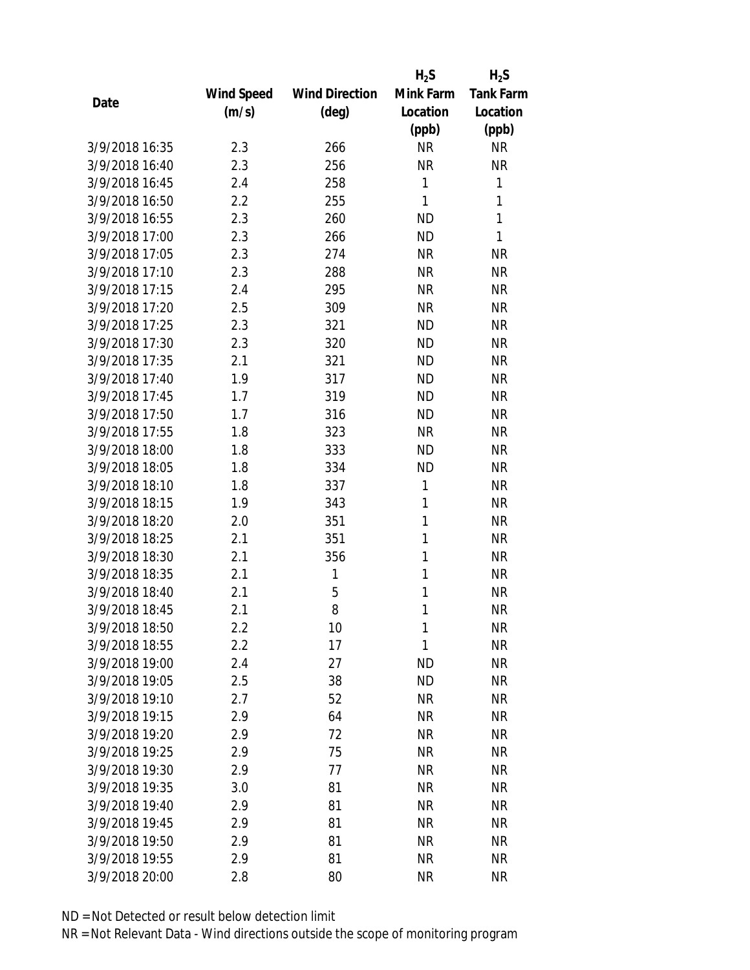|                |            |                       | $H_2S$    | $H_2S$           |
|----------------|------------|-----------------------|-----------|------------------|
|                | Wind Speed | <b>Wind Direction</b> | Mink Farm | <b>Tank Farm</b> |
| Date           | (m/s)      | (deg)                 | Location  | Location         |
|                |            |                       | (ppb)     | (ppb)            |
| 3/9/2018 16:35 | 2.3        | 266                   | <b>NR</b> | <b>NR</b>        |
| 3/9/2018 16:40 | 2.3        | 256                   | <b>NR</b> | <b>NR</b>        |
| 3/9/2018 16:45 | 2.4        | 258                   | 1         | 1                |
| 3/9/2018 16:50 | 2.2        | 255                   | 1         | 1                |
| 3/9/2018 16:55 | 2.3        | 260                   | <b>ND</b> | 1                |
| 3/9/2018 17:00 | 2.3        | 266                   | <b>ND</b> | 1                |
| 3/9/2018 17:05 | 2.3        | 274                   | <b>NR</b> | <b>NR</b>        |
| 3/9/2018 17:10 | 2.3        | 288                   | <b>NR</b> | <b>NR</b>        |
| 3/9/2018 17:15 | 2.4        | 295                   | <b>NR</b> | <b>NR</b>        |
| 3/9/2018 17:20 | 2.5        | 309                   | <b>NR</b> | <b>NR</b>        |
| 3/9/2018 17:25 | 2.3        | 321                   | <b>ND</b> | <b>NR</b>        |
| 3/9/2018 17:30 | 2.3        | 320                   | <b>ND</b> | <b>NR</b>        |
| 3/9/2018 17:35 | 2.1        | 321                   | <b>ND</b> | <b>NR</b>        |
| 3/9/2018 17:40 | 1.9        | 317                   | <b>ND</b> | <b>NR</b>        |
| 3/9/2018 17:45 | 1.7        | 319                   | <b>ND</b> | <b>NR</b>        |
| 3/9/2018 17:50 | 1.7        | 316                   | <b>ND</b> | <b>NR</b>        |
| 3/9/2018 17:55 | 1.8        | 323                   | <b>NR</b> | <b>NR</b>        |
| 3/9/2018 18:00 | 1.8        | 333                   | <b>ND</b> | <b>NR</b>        |
| 3/9/2018 18:05 | 1.8        | 334                   | <b>ND</b> | <b>NR</b>        |
| 3/9/2018 18:10 | 1.8        | 337                   | 1         | <b>NR</b>        |
| 3/9/2018 18:15 | 1.9        | 343                   | 1         | <b>NR</b>        |
| 3/9/2018 18:20 | 2.0        | 351                   | 1         | <b>NR</b>        |
| 3/9/2018 18:25 | 2.1        | 351                   | 1         | <b>NR</b>        |
| 3/9/2018 18:30 | 2.1        | 356                   | 1         | <b>NR</b>        |
| 3/9/2018 18:35 | 2.1        | 1                     | 1         | <b>NR</b>        |
| 3/9/2018 18:40 | 2.1        | 5                     | 1         | <b>NR</b>        |
| 3/9/2018 18:45 | 2.1        | 8                     | 1         | <b>NR</b>        |
| 3/9/2018 18:50 | 2.2        | 10                    | 1         | <b>NR</b>        |
| 3/9/2018 18:55 | 2.2        | 17                    | 1         | <b>NR</b>        |
| 3/9/2018 19:00 | 2.4        | 27                    | <b>ND</b> | <b>NR</b>        |
| 3/9/2018 19:05 | 2.5        | 38                    | <b>ND</b> | <b>NR</b>        |
| 3/9/2018 19:10 | 2.7        | 52                    | <b>NR</b> | <b>NR</b>        |
| 3/9/2018 19:15 | 2.9        | 64                    | <b>NR</b> | <b>NR</b>        |
| 3/9/2018 19:20 | 2.9        | 72                    | <b>NR</b> | <b>NR</b>        |
| 3/9/2018 19:25 | 2.9        | 75                    | <b>NR</b> | <b>NR</b>        |
| 3/9/2018 19:30 | 2.9        | 77                    | <b>NR</b> | <b>NR</b>        |
| 3/9/2018 19:35 | 3.0        | 81                    | <b>NR</b> | <b>NR</b>        |
| 3/9/2018 19:40 | 2.9        | 81                    | <b>NR</b> | <b>NR</b>        |
| 3/9/2018 19:45 | 2.9        | 81                    | <b>NR</b> | <b>NR</b>        |
| 3/9/2018 19:50 | 2.9        | 81                    | <b>NR</b> | <b>NR</b>        |
| 3/9/2018 19:55 | 2.9        | 81                    | <b>NR</b> | <b>NR</b>        |
| 3/9/2018 20:00 | 2.8        | 80                    | <b>NR</b> | <b>NR</b>        |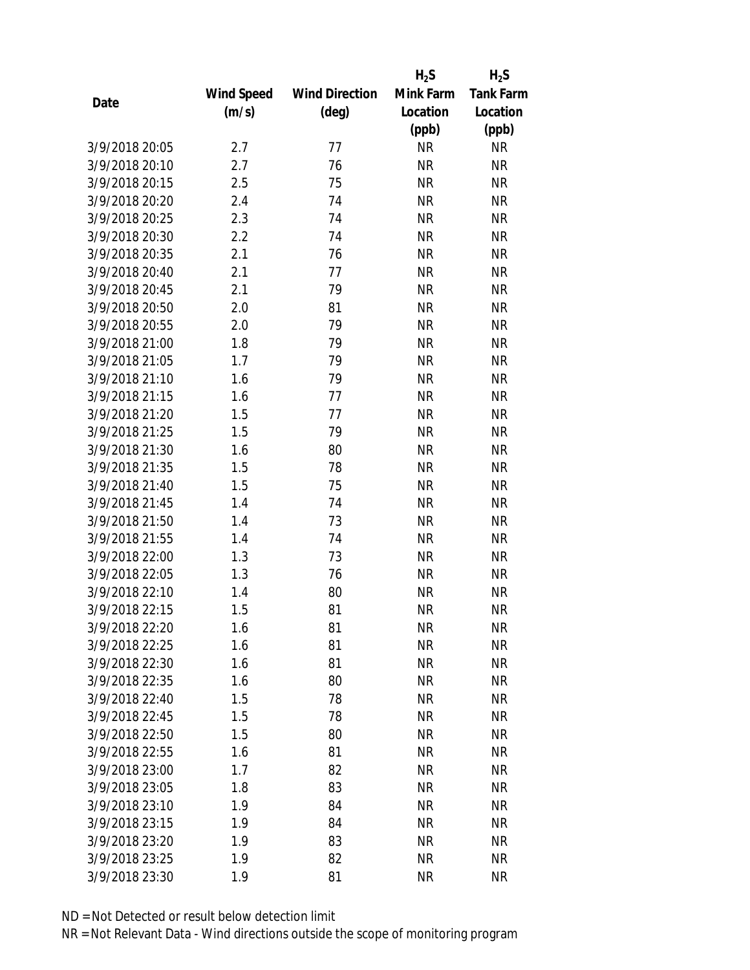|                |            |                       | $H_2S$    | $H_2S$           |
|----------------|------------|-----------------------|-----------|------------------|
|                | Wind Speed | <b>Wind Direction</b> | Mink Farm | <b>Tank Farm</b> |
| Date           | (m/s)      | $(\text{deg})$        | Location  | Location         |
|                |            |                       | (ppb)     | (ppb)            |
| 3/9/2018 20:05 | 2.7        | 77                    | <b>NR</b> | <b>NR</b>        |
| 3/9/2018 20:10 | 2.7        | 76                    | <b>NR</b> | <b>NR</b>        |
| 3/9/2018 20:15 | 2.5        | 75                    | <b>NR</b> | <b>NR</b>        |
| 3/9/2018 20:20 | 2.4        | 74                    | <b>NR</b> | <b>NR</b>        |
| 3/9/2018 20:25 | 2.3        | 74                    | <b>NR</b> | <b>NR</b>        |
| 3/9/2018 20:30 | 2.2        | 74                    | <b>NR</b> | <b>NR</b>        |
| 3/9/2018 20:35 | 2.1        | 76                    | <b>NR</b> | <b>NR</b>        |
| 3/9/2018 20:40 | 2.1        | 77                    | <b>NR</b> | <b>NR</b>        |
| 3/9/2018 20:45 | 2.1        | 79                    | <b>NR</b> | <b>NR</b>        |
| 3/9/2018 20:50 | 2.0        | 81                    | <b>NR</b> | <b>NR</b>        |
| 3/9/2018 20:55 | 2.0        | 79                    | <b>NR</b> | <b>NR</b>        |
| 3/9/2018 21:00 | 1.8        | 79                    | <b>NR</b> | <b>NR</b>        |
| 3/9/2018 21:05 | 1.7        | 79                    | <b>NR</b> | <b>NR</b>        |
| 3/9/2018 21:10 | 1.6        | 79                    | <b>NR</b> | <b>NR</b>        |
| 3/9/2018 21:15 | 1.6        | 77                    | <b>NR</b> | <b>NR</b>        |
| 3/9/2018 21:20 | 1.5        | 77                    | <b>NR</b> | <b>NR</b>        |
| 3/9/2018 21:25 | 1.5        | 79                    | <b>NR</b> | <b>NR</b>        |
| 3/9/2018 21:30 | 1.6        | 80                    | <b>NR</b> | <b>NR</b>        |
| 3/9/2018 21:35 | 1.5        | 78                    | <b>NR</b> | <b>NR</b>        |
| 3/9/2018 21:40 | 1.5        | 75                    | <b>NR</b> | <b>NR</b>        |
| 3/9/2018 21:45 | 1.4        | 74                    | <b>NR</b> | <b>NR</b>        |
| 3/9/2018 21:50 | 1.4        | 73                    | <b>NR</b> | <b>NR</b>        |
| 3/9/2018 21:55 | 1.4        | 74                    | <b>NR</b> | <b>NR</b>        |
| 3/9/2018 22:00 | 1.3        | 73                    | <b>NR</b> | <b>NR</b>        |
| 3/9/2018 22:05 | 1.3        | 76                    | <b>NR</b> | <b>NR</b>        |
| 3/9/2018 22:10 | 1.4        | 80                    | <b>NR</b> | <b>NR</b>        |
| 3/9/2018 22:15 | 1.5        | 81                    | <b>NR</b> | <b>NR</b>        |
| 3/9/2018 22:20 | 1.6        | 81                    | NR        | <b>NR</b>        |
| 3/9/2018 22:25 | 1.6        | 81                    | <b>NR</b> | <b>NR</b>        |
| 3/9/2018 22:30 | 1.6        | 81                    | <b>NR</b> | <b>NR</b>        |
| 3/9/2018 22:35 | 1.6        | 80                    | <b>NR</b> | <b>NR</b>        |
| 3/9/2018 22:40 | 1.5        | 78                    | <b>NR</b> | <b>NR</b>        |
| 3/9/2018 22:45 | 1.5        | 78                    | <b>NR</b> | <b>NR</b>        |
| 3/9/2018 22:50 | 1.5        | 80                    | <b>NR</b> | <b>NR</b>        |
| 3/9/2018 22:55 | 1.6        | 81                    | <b>NR</b> | <b>NR</b>        |
| 3/9/2018 23:00 | 1.7        | 82                    | <b>NR</b> | <b>NR</b>        |
| 3/9/2018 23:05 | 1.8        | 83                    | <b>NR</b> | <b>NR</b>        |
| 3/9/2018 23:10 | 1.9        | 84                    | NR        | <b>NR</b>        |
| 3/9/2018 23:15 | 1.9        | 84                    | <b>NR</b> | <b>NR</b>        |
| 3/9/2018 23:20 | 1.9        | 83                    | NR        | <b>NR</b>        |
| 3/9/2018 23:25 | 1.9        | 82                    | <b>NR</b> | <b>NR</b>        |
| 3/9/2018 23:30 | 1.9        | 81                    | <b>NR</b> | <b>NR</b>        |
|                |            |                       |           |                  |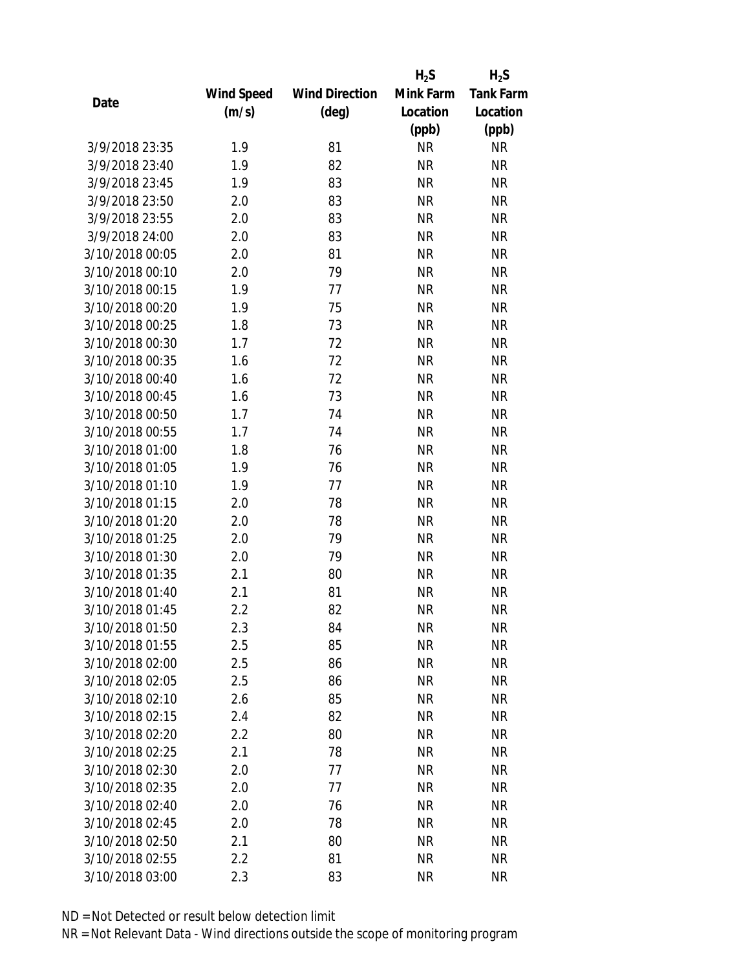|                 |            |                       | $H_2S$    | $H_2S$           |
|-----------------|------------|-----------------------|-----------|------------------|
|                 | Wind Speed | <b>Wind Direction</b> | Mink Farm | <b>Tank Farm</b> |
| Date            | (m/s)      | $(\text{deg})$        | Location  | Location         |
|                 |            |                       | (ppb)     | (ppb)            |
| 3/9/2018 23:35  | 1.9        | 81                    | <b>NR</b> | <b>NR</b>        |
| 3/9/2018 23:40  | 1.9        | 82                    | <b>NR</b> | <b>NR</b>        |
| 3/9/2018 23:45  | 1.9        | 83                    | <b>NR</b> | <b>NR</b>        |
| 3/9/2018 23:50  | 2.0        | 83                    | <b>NR</b> | <b>NR</b>        |
| 3/9/2018 23:55  | 2.0        | 83                    | <b>NR</b> | <b>NR</b>        |
| 3/9/2018 24:00  | 2.0        | 83                    | <b>NR</b> | <b>NR</b>        |
| 3/10/2018 00:05 | 2.0        | 81                    | <b>NR</b> | <b>NR</b>        |
| 3/10/2018 00:10 | 2.0        | 79                    | <b>NR</b> | <b>NR</b>        |
| 3/10/2018 00:15 | 1.9        | 77                    | <b>NR</b> | <b>NR</b>        |
| 3/10/2018 00:20 | 1.9        | 75                    | <b>NR</b> | <b>NR</b>        |
| 3/10/2018 00:25 | 1.8        | 73                    | <b>NR</b> | <b>NR</b>        |
| 3/10/2018 00:30 | 1.7        | 72                    | <b>NR</b> | <b>NR</b>        |
| 3/10/2018 00:35 | 1.6        | 72                    | <b>NR</b> | <b>NR</b>        |
| 3/10/2018 00:40 | 1.6        | 72                    | <b>NR</b> | <b>NR</b>        |
| 3/10/2018 00:45 | 1.6        | 73                    | <b>NR</b> | <b>NR</b>        |
| 3/10/2018 00:50 | 1.7        | 74                    | <b>NR</b> | <b>NR</b>        |
| 3/10/2018 00:55 | 1.7        | 74                    | <b>NR</b> | <b>NR</b>        |
| 3/10/2018 01:00 | 1.8        | 76                    | <b>NR</b> | <b>NR</b>        |
| 3/10/2018 01:05 | 1.9        | 76                    | <b>NR</b> | <b>NR</b>        |
| 3/10/2018 01:10 | 1.9        | 77                    | <b>NR</b> | <b>NR</b>        |
| 3/10/2018 01:15 | 2.0        | 78                    | <b>NR</b> | <b>NR</b>        |
| 3/10/2018 01:20 | 2.0        | 78                    | <b>NR</b> | <b>NR</b>        |
| 3/10/2018 01:25 | 2.0        | 79                    | <b>NR</b> | <b>NR</b>        |
| 3/10/2018 01:30 | 2.0        | 79                    | <b>NR</b> | <b>NR</b>        |
| 3/10/2018 01:35 | 2.1        | 80                    | <b>NR</b> | <b>NR</b>        |
| 3/10/2018 01:40 | 2.1        | 81                    | <b>NR</b> | <b>NR</b>        |
| 3/10/2018 01:45 | 2.2        | 82                    | <b>NR</b> | <b>NR</b>        |
| 3/10/2018 01:50 | 2.3        | 84                    | ΝR        | <b>NR</b>        |
| 3/10/2018 01:55 | 2.5        | 85                    | <b>NR</b> | <b>NR</b>        |
| 3/10/2018 02:00 | 2.5        | 86                    | NR        | <b>NR</b>        |
| 3/10/2018 02:05 | 2.5        | 86                    | NR        | <b>NR</b>        |
| 3/10/2018 02:10 | 2.6        | 85                    | <b>NR</b> | <b>NR</b>        |
| 3/10/2018 02:15 | 2.4        | 82                    | NR        | <b>NR</b>        |
| 3/10/2018 02:20 | 2.2        | 80                    | <b>NR</b> | <b>NR</b>        |
| 3/10/2018 02:25 | 2.1        | 78                    | NR        | <b>NR</b>        |
| 3/10/2018 02:30 | 2.0        | 77                    | <b>NR</b> | <b>NR</b>        |
| 3/10/2018 02:35 | 2.0        | 77                    | ΝR        | <b>NR</b>        |
| 3/10/2018 02:40 | 2.0        | 76                    | ΝR        | <b>NR</b>        |
| 3/10/2018 02:45 | 2.0        | 78                    | <b>NR</b> | <b>NR</b>        |
| 3/10/2018 02:50 | 2.1        | 80                    | NR        | <b>NR</b>        |
| 3/10/2018 02:55 | 2.2        | 81                    | <b>NR</b> | <b>NR</b>        |
| 3/10/2018 03:00 | 2.3        | 83                    | <b>NR</b> | <b>NR</b>        |
|                 |            |                       |           |                  |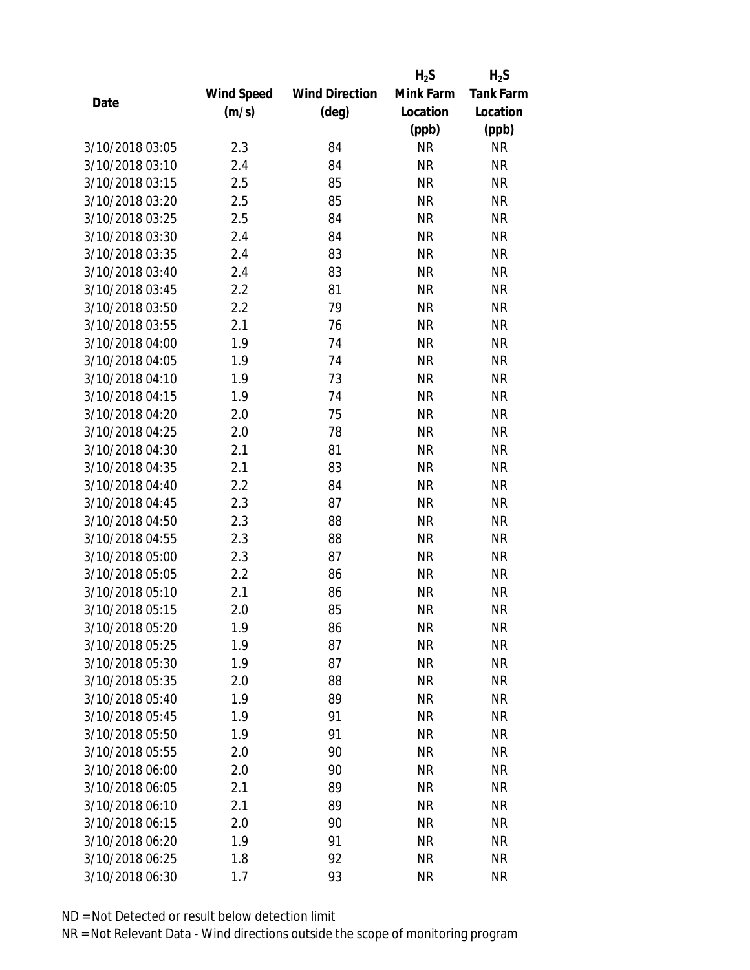|                 |            |                       | $H_2S$    | $H_2S$           |
|-----------------|------------|-----------------------|-----------|------------------|
|                 | Wind Speed | <b>Wind Direction</b> | Mink Farm | <b>Tank Farm</b> |
| Date            | (m/s)      | $(\text{deg})$        | Location  | Location         |
|                 |            |                       | (ppb)     | (ppb)            |
| 3/10/2018 03:05 | 2.3        | 84                    | <b>NR</b> | <b>NR</b>        |
| 3/10/2018 03:10 | 2.4        | 84                    | <b>NR</b> | <b>NR</b>        |
| 3/10/2018 03:15 | 2.5        | 85                    | <b>NR</b> | <b>NR</b>        |
| 3/10/2018 03:20 | 2.5        | 85                    | <b>NR</b> | <b>NR</b>        |
| 3/10/2018 03:25 | 2.5        | 84                    | <b>NR</b> | <b>NR</b>        |
| 3/10/2018 03:30 | 2.4        | 84                    | <b>NR</b> | <b>NR</b>        |
| 3/10/2018 03:35 | 2.4        | 83                    | <b>NR</b> | <b>NR</b>        |
| 3/10/2018 03:40 | 2.4        | 83                    | <b>NR</b> | <b>NR</b>        |
| 3/10/2018 03:45 | 2.2        | 81                    | <b>NR</b> | <b>NR</b>        |
| 3/10/2018 03:50 | 2.2        | 79                    | <b>NR</b> | <b>NR</b>        |
| 3/10/2018 03:55 | 2.1        | 76                    | <b>NR</b> | <b>NR</b>        |
| 3/10/2018 04:00 | 1.9        | 74                    | <b>NR</b> | <b>NR</b>        |
| 3/10/2018 04:05 | 1.9        | 74                    | <b>NR</b> | <b>NR</b>        |
| 3/10/2018 04:10 | 1.9        | 73                    | <b>NR</b> | <b>NR</b>        |
| 3/10/2018 04:15 | 1.9        | 74                    | <b>NR</b> | <b>NR</b>        |
| 3/10/2018 04:20 | 2.0        | 75                    | <b>NR</b> | <b>NR</b>        |
| 3/10/2018 04:25 | 2.0        | 78                    | <b>NR</b> | <b>NR</b>        |
| 3/10/2018 04:30 | 2.1        | 81                    | <b>NR</b> | <b>NR</b>        |
| 3/10/2018 04:35 | 2.1        | 83                    | <b>NR</b> | <b>NR</b>        |
| 3/10/2018 04:40 | 2.2        | 84                    | <b>NR</b> | <b>NR</b>        |
| 3/10/2018 04:45 | 2.3        | 87                    | <b>NR</b> | <b>NR</b>        |
| 3/10/2018 04:50 | 2.3        | 88                    | <b>NR</b> | <b>NR</b>        |
| 3/10/2018 04:55 | 2.3        | 88                    | <b>NR</b> | <b>NR</b>        |
| 3/10/2018 05:00 | 2.3        | 87                    | <b>NR</b> | <b>NR</b>        |
| 3/10/2018 05:05 | 2.2        | 86                    | <b>NR</b> | <b>NR</b>        |
| 3/10/2018 05:10 | 2.1        | 86                    | <b>NR</b> | <b>NR</b>        |
| 3/10/2018 05:15 | 2.0        | 85                    | <b>NR</b> | <b>NR</b>        |
| 3/10/2018 05:20 | 1.9        | 86                    | ΝR        | <b>NR</b>        |
| 3/10/2018 05:25 | 1.9        | 87                    | <b>NR</b> | <b>NR</b>        |
| 3/10/2018 05:30 | 1.9        | 87                    | ΝR        | <b>NR</b>        |
| 3/10/2018 05:35 | 2.0        | 88                    | <b>NR</b> | <b>NR</b>        |
| 3/10/2018 05:40 | 1.9        | 89                    | <b>NR</b> | <b>NR</b>        |
| 3/10/2018 05:45 | 1.9        | 91                    | <b>NR</b> | <b>NR</b>        |
| 3/10/2018 05:50 | 1.9        | 91                    | <b>NR</b> | <b>NR</b>        |
| 3/10/2018 05:55 | 2.0        | 90                    | <b>NR</b> | <b>NR</b>        |
| 3/10/2018 06:00 | 2.0        | 90                    | <b>NR</b> | <b>NR</b>        |
| 3/10/2018 06:05 | 2.1        | 89                    | ΝR        | <b>NR</b>        |
| 3/10/2018 06:10 | 2.1        | 89                    | ΝR        | <b>NR</b>        |
| 3/10/2018 06:15 | 2.0        | 90                    | <b>NR</b> | <b>NR</b>        |
| 3/10/2018 06:20 | 1.9        | 91                    | NR        | <b>NR</b>        |
| 3/10/2018 06:25 | 1.8        | 92                    | <b>NR</b> | <b>NR</b>        |
| 3/10/2018 06:30 | 1.7        | 93                    | <b>NR</b> | <b>NR</b>        |
|                 |            |                       |           |                  |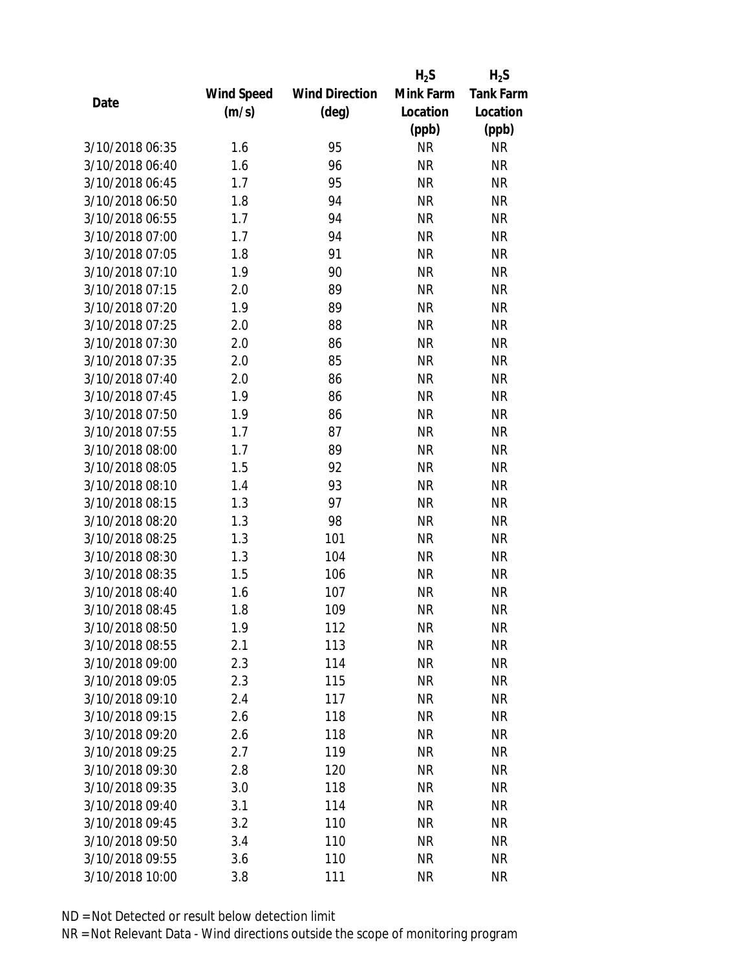|                 |            |                       | $H_2S$    | $H_2S$           |
|-----------------|------------|-----------------------|-----------|------------------|
|                 | Wind Speed | <b>Wind Direction</b> | Mink Farm | <b>Tank Farm</b> |
| Date            | (m/s)      | $(\text{deg})$        | Location  | Location         |
|                 |            |                       | (ppb)     | (ppb)            |
| 3/10/2018 06:35 | 1.6        | 95                    | <b>NR</b> | <b>NR</b>        |
| 3/10/2018 06:40 | 1.6        | 96                    | <b>NR</b> | <b>NR</b>        |
| 3/10/2018 06:45 | 1.7        | 95                    | <b>NR</b> | <b>NR</b>        |
| 3/10/2018 06:50 | 1.8        | 94                    | <b>NR</b> | <b>NR</b>        |
| 3/10/2018 06:55 | 1.7        | 94                    | <b>NR</b> | <b>NR</b>        |
| 3/10/2018 07:00 | 1.7        | 94                    | <b>NR</b> | <b>NR</b>        |
| 3/10/2018 07:05 | 1.8        | 91                    | <b>NR</b> | <b>NR</b>        |
| 3/10/2018 07:10 | 1.9        | 90                    | <b>NR</b> | <b>NR</b>        |
| 3/10/2018 07:15 | 2.0        | 89                    | <b>NR</b> | <b>NR</b>        |
| 3/10/2018 07:20 | 1.9        | 89                    | <b>NR</b> | <b>NR</b>        |
| 3/10/2018 07:25 | 2.0        | 88                    | <b>NR</b> | <b>NR</b>        |
| 3/10/2018 07:30 | 2.0        | 86                    | <b>NR</b> | <b>NR</b>        |
| 3/10/2018 07:35 | 2.0        | 85                    | <b>NR</b> | <b>NR</b>        |
| 3/10/2018 07:40 | 2.0        | 86                    | <b>NR</b> | <b>NR</b>        |
| 3/10/2018 07:45 | 1.9        | 86                    | <b>NR</b> | <b>NR</b>        |
| 3/10/2018 07:50 | 1.9        | 86                    | <b>NR</b> | <b>NR</b>        |
| 3/10/2018 07:55 | 1.7        | 87                    | <b>NR</b> | <b>NR</b>        |
| 3/10/2018 08:00 | 1.7        | 89                    | <b>NR</b> | <b>NR</b>        |
| 3/10/2018 08:05 | 1.5        | 92                    | <b>NR</b> | <b>NR</b>        |
| 3/10/2018 08:10 | 1.4        | 93                    | <b>NR</b> | <b>NR</b>        |
| 3/10/2018 08:15 | 1.3        | 97                    | <b>NR</b> | <b>NR</b>        |
| 3/10/2018 08:20 | 1.3        | 98                    | <b>NR</b> | <b>NR</b>        |
| 3/10/2018 08:25 | 1.3        | 101                   | <b>NR</b> | <b>NR</b>        |
| 3/10/2018 08:30 | 1.3        | 104                   | <b>NR</b> | <b>NR</b>        |
| 3/10/2018 08:35 | 1.5        | 106                   | <b>NR</b> | <b>NR</b>        |
| 3/10/2018 08:40 | 1.6        | 107                   | <b>NR</b> | <b>NR</b>        |
| 3/10/2018 08:45 | 1.8        | 109                   | <b>NR</b> | <b>NR</b>        |
| 3/10/2018 08:50 | 1.9        | 112                   | ΝR        | <b>NR</b>        |
| 3/10/2018 08:55 | 2.1        | 113                   | <b>NR</b> | <b>NR</b>        |
| 3/10/2018 09:00 | 2.3        | 114                   | <b>NR</b> | <b>NR</b>        |
| 3/10/2018 09:05 | 2.3        | 115                   | <b>NR</b> | NR               |
| 3/10/2018 09:10 | 2.4        | 117                   | <b>NR</b> | NR               |
| 3/10/2018 09:15 | 2.6        | 118                   | <b>NR</b> | NR               |
| 3/10/2018 09:20 | 2.6        | 118                   | <b>NR</b> | <b>NR</b>        |
| 3/10/2018 09:25 | 2.7        | 119                   | <b>NR</b> | <b>NR</b>        |
| 3/10/2018 09:30 | 2.8        | 120                   | <b>NR</b> | NR               |
| 3/10/2018 09:35 | 3.0        | 118                   | <b>NR</b> | NR               |
| 3/10/2018 09:40 | 3.1        | 114                   | NR        | NR               |
| 3/10/2018 09:45 | 3.2        | 110                   | <b>NR</b> | <b>NR</b>        |
| 3/10/2018 09:50 | 3.4        | 110                   | NR        | NR               |
| 3/10/2018 09:55 | 3.6        | 110                   | <b>NR</b> | NR               |
| 3/10/2018 10:00 | 3.8        | 111                   | <b>NR</b> | <b>NR</b>        |
|                 |            |                       |           |                  |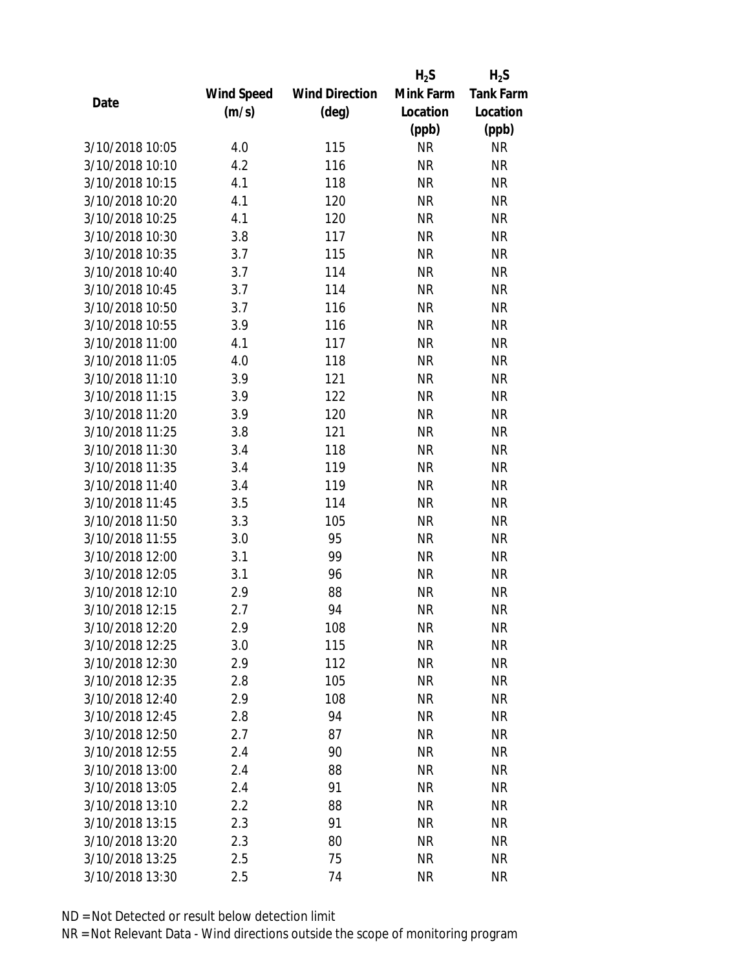|                 |            |                       | $H_2S$    | $H_2S$           |
|-----------------|------------|-----------------------|-----------|------------------|
|                 | Wind Speed | <b>Wind Direction</b> | Mink Farm | <b>Tank Farm</b> |
| Date            | (m/s)      | $(\text{deg})$        | Location  | Location         |
|                 |            |                       | (ppb)     | (ppb)            |
| 3/10/2018 10:05 | 4.0        | 115                   | <b>NR</b> | <b>NR</b>        |
| 3/10/2018 10:10 | 4.2        | 116                   | <b>NR</b> | <b>NR</b>        |
| 3/10/2018 10:15 | 4.1        | 118                   | <b>NR</b> | <b>NR</b>        |
| 3/10/2018 10:20 | 4.1        | 120                   | <b>NR</b> | <b>NR</b>        |
| 3/10/2018 10:25 | 4.1        | 120                   | <b>NR</b> | <b>NR</b>        |
| 3/10/2018 10:30 | 3.8        | 117                   | <b>NR</b> | <b>NR</b>        |
| 3/10/2018 10:35 | 3.7        | 115                   | <b>NR</b> | <b>NR</b>        |
| 3/10/2018 10:40 | 3.7        | 114                   | <b>NR</b> | <b>NR</b>        |
| 3/10/2018 10:45 | 3.7        | 114                   | <b>NR</b> | <b>NR</b>        |
| 3/10/2018 10:50 | 3.7        | 116                   | <b>NR</b> | <b>NR</b>        |
| 3/10/2018 10:55 | 3.9        | 116                   | <b>NR</b> | <b>NR</b>        |
| 3/10/2018 11:00 | 4.1        | 117                   | <b>NR</b> | <b>NR</b>        |
| 3/10/2018 11:05 | 4.0        | 118                   | <b>NR</b> | <b>NR</b>        |
| 3/10/2018 11:10 | 3.9        | 121                   | <b>NR</b> | <b>NR</b>        |
| 3/10/2018 11:15 | 3.9        | 122                   | <b>NR</b> | <b>NR</b>        |
| 3/10/2018 11:20 | 3.9        | 120                   | <b>NR</b> | <b>NR</b>        |
| 3/10/2018 11:25 | 3.8        | 121                   | <b>NR</b> | <b>NR</b>        |
| 3/10/2018 11:30 | 3.4        | 118                   | <b>NR</b> | <b>NR</b>        |
| 3/10/2018 11:35 | 3.4        | 119                   | <b>NR</b> | <b>NR</b>        |
| 3/10/2018 11:40 | 3.4        | 119                   | <b>NR</b> | <b>NR</b>        |
| 3/10/2018 11:45 | 3.5        | 114                   | <b>NR</b> | <b>NR</b>        |
| 3/10/2018 11:50 | 3.3        | 105                   | <b>NR</b> | <b>NR</b>        |
| 3/10/2018 11:55 | 3.0        | 95                    | <b>NR</b> | <b>NR</b>        |
| 3/10/2018 12:00 | 3.1        | 99                    | <b>NR</b> | <b>NR</b>        |
| 3/10/2018 12:05 | 3.1        | 96                    | <b>NR</b> | <b>NR</b>        |
| 3/10/2018 12:10 | 2.9        | 88                    | <b>NR</b> | <b>NR</b>        |
| 3/10/2018 12:15 | 2.7        | 94                    | <b>NR</b> | <b>NR</b>        |
| 3/10/2018 12:20 | 2.9        | 108                   | NR        | <b>NR</b>        |
| 3/10/2018 12:25 | 3.0        | 115                   | <b>NR</b> | <b>NR</b>        |
| 3/10/2018 12:30 | 2.9        | 112                   | NR        | <b>NR</b>        |
| 3/10/2018 12:35 | 2.8        | 105                   | <b>NR</b> | <b>NR</b>        |
| 3/10/2018 12:40 | 2.9        | 108                   | <b>NR</b> | <b>NR</b>        |
| 3/10/2018 12:45 | 2.8        | 94                    | <b>NR</b> | <b>NR</b>        |
| 3/10/2018 12:50 | 2.7        | 87                    | <b>NR</b> | <b>NR</b>        |
| 3/10/2018 12:55 | 2.4        | 90                    | <b>NR</b> | <b>NR</b>        |
| 3/10/2018 13:00 | 2.4        | 88                    | <b>NR</b> | <b>NR</b>        |
| 3/10/2018 13:05 | 2.4        | 91                    | ΝR        | <b>NR</b>        |
| 3/10/2018 13:10 | 2.2        | 88                    | ΝR        | <b>NR</b>        |
| 3/10/2018 13:15 | 2.3        | 91                    | <b>NR</b> | <b>NR</b>        |
| 3/10/2018 13:20 | 2.3        | 80                    | NR        | <b>NR</b>        |
| 3/10/2018 13:25 | 2.5        | 75                    | <b>NR</b> | <b>NR</b>        |
| 3/10/2018 13:30 | 2.5        | 74                    | NR        | <b>NR</b>        |
|                 |            |                       |           |                  |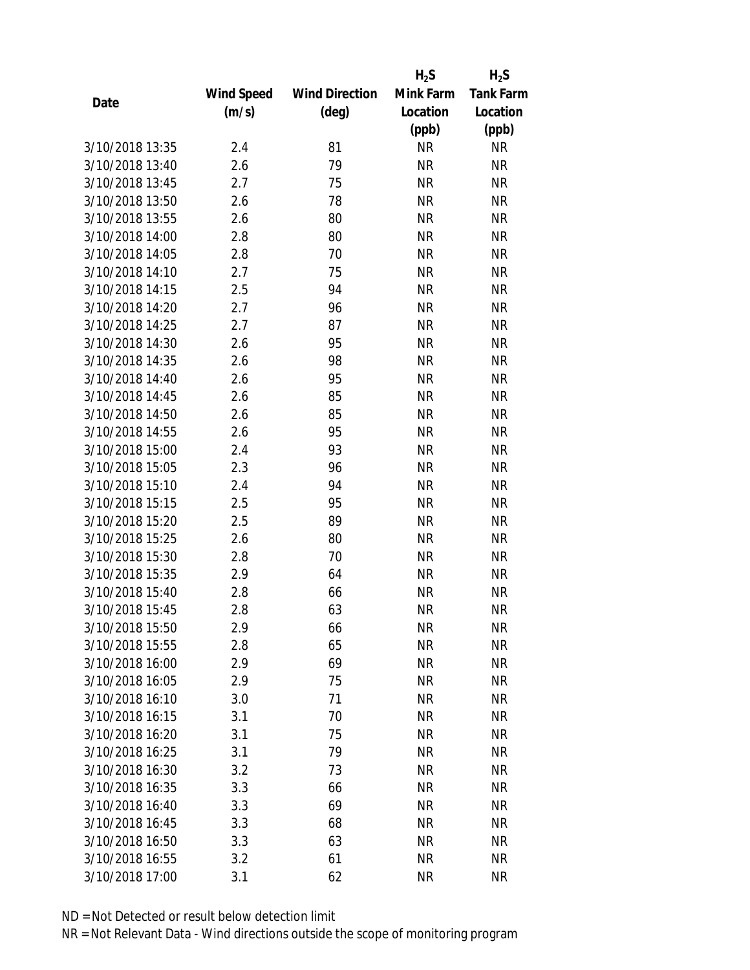|                 |            |                       | $H_2S$    | $H_2S$           |
|-----------------|------------|-----------------------|-----------|------------------|
|                 | Wind Speed | <b>Wind Direction</b> | Mink Farm | <b>Tank Farm</b> |
| Date            | (m/s)      | $(\text{deg})$        | Location  | Location         |
|                 |            |                       | (ppb)     | (ppb)            |
| 3/10/2018 13:35 | 2.4        | 81                    | <b>NR</b> | <b>NR</b>        |
| 3/10/2018 13:40 | 2.6        | 79                    | <b>NR</b> | <b>NR</b>        |
| 3/10/2018 13:45 | 2.7        | 75                    | <b>NR</b> | <b>NR</b>        |
| 3/10/2018 13:50 | 2.6        | 78                    | <b>NR</b> | <b>NR</b>        |
| 3/10/2018 13:55 | 2.6        | 80                    | <b>NR</b> | <b>NR</b>        |
| 3/10/2018 14:00 | 2.8        | 80                    | <b>NR</b> | <b>NR</b>        |
| 3/10/2018 14:05 | 2.8        | 70                    | <b>NR</b> | <b>NR</b>        |
| 3/10/2018 14:10 | 2.7        | 75                    | <b>NR</b> | <b>NR</b>        |
| 3/10/2018 14:15 | 2.5        | 94                    | <b>NR</b> | <b>NR</b>        |
| 3/10/2018 14:20 | 2.7        | 96                    | <b>NR</b> | <b>NR</b>        |
| 3/10/2018 14:25 | 2.7        | 87                    | <b>NR</b> | <b>NR</b>        |
| 3/10/2018 14:30 | 2.6        | 95                    | <b>NR</b> | <b>NR</b>        |
| 3/10/2018 14:35 | 2.6        | 98                    | <b>NR</b> | <b>NR</b>        |
| 3/10/2018 14:40 | 2.6        | 95                    | <b>NR</b> | <b>NR</b>        |
| 3/10/2018 14:45 | 2.6        | 85                    | <b>NR</b> | <b>NR</b>        |
| 3/10/2018 14:50 | 2.6        | 85                    | <b>NR</b> | <b>NR</b>        |
| 3/10/2018 14:55 | 2.6        | 95                    | <b>NR</b> | <b>NR</b>        |
| 3/10/2018 15:00 | 2.4        | 93                    | <b>NR</b> | <b>NR</b>        |
| 3/10/2018 15:05 | 2.3        | 96                    | <b>NR</b> | <b>NR</b>        |
| 3/10/2018 15:10 | 2.4        | 94                    | <b>NR</b> | <b>NR</b>        |
| 3/10/2018 15:15 | 2.5        | 95                    | <b>NR</b> | <b>NR</b>        |
| 3/10/2018 15:20 | 2.5        | 89                    | <b>NR</b> | <b>NR</b>        |
| 3/10/2018 15:25 | 2.6        | 80                    | <b>NR</b> | <b>NR</b>        |
| 3/10/2018 15:30 | 2.8        | 70                    | <b>NR</b> | <b>NR</b>        |
| 3/10/2018 15:35 | 2.9        | 64                    | <b>NR</b> | <b>NR</b>        |
| 3/10/2018 15:40 | 2.8        | 66                    | <b>NR</b> | <b>NR</b>        |
| 3/10/2018 15:45 | 2.8        | 63                    | <b>NR</b> | <b>NR</b>        |
| 3/10/2018 15:50 | 2.9        | 66                    | NR        | <b>NR</b>        |
| 3/10/2018 15:55 | 2.8        | 65                    | <b>NR</b> | <b>NR</b>        |
| 3/10/2018 16:00 | 2.9        | 69                    | NR        | <b>NR</b>        |
| 3/10/2018 16:05 | 2.9        | 75                    | <b>NR</b> | <b>NR</b>        |
| 3/10/2018 16:10 | 3.0        | 71                    | <b>NR</b> | <b>NR</b>        |
| 3/10/2018 16:15 | 3.1        | 70                    | NR        | <b>NR</b>        |
| 3/10/2018 16:20 | 3.1        | 75                    | <b>NR</b> | <b>NR</b>        |
| 3/10/2018 16:25 | 3.1        | 79                    | NR        | <b>NR</b>        |
| 3/10/2018 16:30 | 3.2        | 73                    | <b>NR</b> | <b>NR</b>        |
| 3/10/2018 16:35 | 3.3        | 66                    | NR        | <b>NR</b>        |
| 3/10/2018 16:40 | 3.3        | 69                    | NR        | <b>NR</b>        |
| 3/10/2018 16:45 | 3.3        | 68                    | <b>NR</b> | <b>NR</b>        |
| 3/10/2018 16:50 | 3.3        | 63                    | NR        | <b>NR</b>        |
| 3/10/2018 16:55 | 3.2        | 61                    | <b>NR</b> | <b>NR</b>        |
| 3/10/2018 17:00 | 3.1        | 62                    | <b>NR</b> | <b>NR</b>        |
|                 |            |                       |           |                  |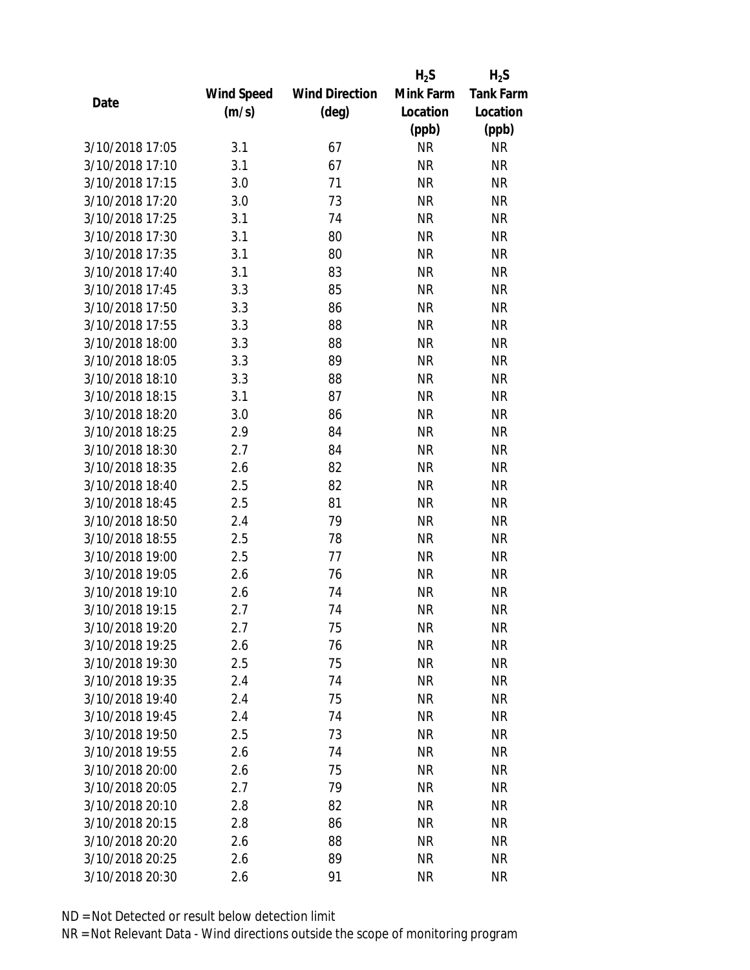|                 |            |                       | $H_2S$    | $H_2S$           |
|-----------------|------------|-----------------------|-----------|------------------|
|                 | Wind Speed | <b>Wind Direction</b> | Mink Farm | <b>Tank Farm</b> |
| Date            | (m/s)      | $(\text{deg})$        | Location  | Location         |
|                 |            |                       | (ppb)     | (ppb)            |
| 3/10/2018 17:05 | 3.1        | 67                    | <b>NR</b> | <b>NR</b>        |
| 3/10/2018 17:10 | 3.1        | 67                    | <b>NR</b> | <b>NR</b>        |
| 3/10/2018 17:15 | 3.0        | 71                    | <b>NR</b> | <b>NR</b>        |
| 3/10/2018 17:20 | 3.0        | 73                    | <b>NR</b> | <b>NR</b>        |
| 3/10/2018 17:25 | 3.1        | 74                    | <b>NR</b> | <b>NR</b>        |
| 3/10/2018 17:30 | 3.1        | 80                    | <b>NR</b> | <b>NR</b>        |
| 3/10/2018 17:35 | 3.1        | 80                    | <b>NR</b> | <b>NR</b>        |
| 3/10/2018 17:40 | 3.1        | 83                    | <b>NR</b> | <b>NR</b>        |
| 3/10/2018 17:45 | 3.3        | 85                    | <b>NR</b> | <b>NR</b>        |
| 3/10/2018 17:50 | 3.3        | 86                    | <b>NR</b> | <b>NR</b>        |
| 3/10/2018 17:55 | 3.3        | 88                    | <b>NR</b> | <b>NR</b>        |
| 3/10/2018 18:00 | 3.3        | 88                    | <b>NR</b> | <b>NR</b>        |
| 3/10/2018 18:05 | 3.3        | 89                    | <b>NR</b> | <b>NR</b>        |
| 3/10/2018 18:10 | 3.3        | 88                    | <b>NR</b> | <b>NR</b>        |
| 3/10/2018 18:15 | 3.1        | 87                    | <b>NR</b> | <b>NR</b>        |
| 3/10/2018 18:20 | 3.0        | 86                    | <b>NR</b> | <b>NR</b>        |
| 3/10/2018 18:25 | 2.9        | 84                    | <b>NR</b> | <b>NR</b>        |
| 3/10/2018 18:30 | 2.7        | 84                    | <b>NR</b> | <b>NR</b>        |
| 3/10/2018 18:35 | 2.6        | 82                    | <b>NR</b> | <b>NR</b>        |
| 3/10/2018 18:40 | 2.5        | 82                    | <b>NR</b> | <b>NR</b>        |
| 3/10/2018 18:45 | 2.5        | 81                    | <b>NR</b> | <b>NR</b>        |
| 3/10/2018 18:50 | 2.4        | 79                    | <b>NR</b> | <b>NR</b>        |
| 3/10/2018 18:55 | 2.5        | 78                    | <b>NR</b> | <b>NR</b>        |
| 3/10/2018 19:00 | 2.5        | 77                    | <b>NR</b> | <b>NR</b>        |
| 3/10/2018 19:05 | 2.6        | 76                    | <b>NR</b> | <b>NR</b>        |
| 3/10/2018 19:10 | 2.6        | 74                    | <b>NR</b> | <b>NR</b>        |
| 3/10/2018 19:15 | 2.7        | 74                    | <b>NR</b> | <b>NR</b>        |
| 3/10/2018 19:20 | 2.7        | 75                    | NR        | <b>NR</b>        |
| 3/10/2018 19:25 | 2.6        | 76                    | <b>NR</b> | <b>NR</b>        |
| 3/10/2018 19:30 | 2.5        | 75                    | NR        | <b>NR</b>        |
| 3/10/2018 19:35 | 2.4        | 74                    | NR        | <b>NR</b>        |
| 3/10/2018 19:40 | 2.4        | 75                    | <b>NR</b> | <b>NR</b>        |
| 3/10/2018 19:45 | 2.4        | 74                    | NR        | <b>NR</b>        |
| 3/10/2018 19:50 | 2.5        | 73                    | <b>NR</b> | <b>NR</b>        |
| 3/10/2018 19:55 | 2.6        | 74                    | NR        | <b>NR</b>        |
| 3/10/2018 20:00 | 2.6        | 75                    | <b>NR</b> | <b>NR</b>        |
| 3/10/2018 20:05 | 2.7        | 79                    | NR        | <b>NR</b>        |
| 3/10/2018 20:10 | 2.8        | 82                    | NR        | <b>NR</b>        |
| 3/10/2018 20:15 | 2.8        | 86                    | <b>NR</b> | <b>NR</b>        |
| 3/10/2018 20:20 | 2.6        | 88                    | NR        | <b>NR</b>        |
| 3/10/2018 20:25 | 2.6        | 89                    | <b>NR</b> | <b>NR</b>        |
| 3/10/2018 20:30 | 2.6        | 91                    | <b>NR</b> | <b>NR</b>        |
|                 |            |                       |           |                  |